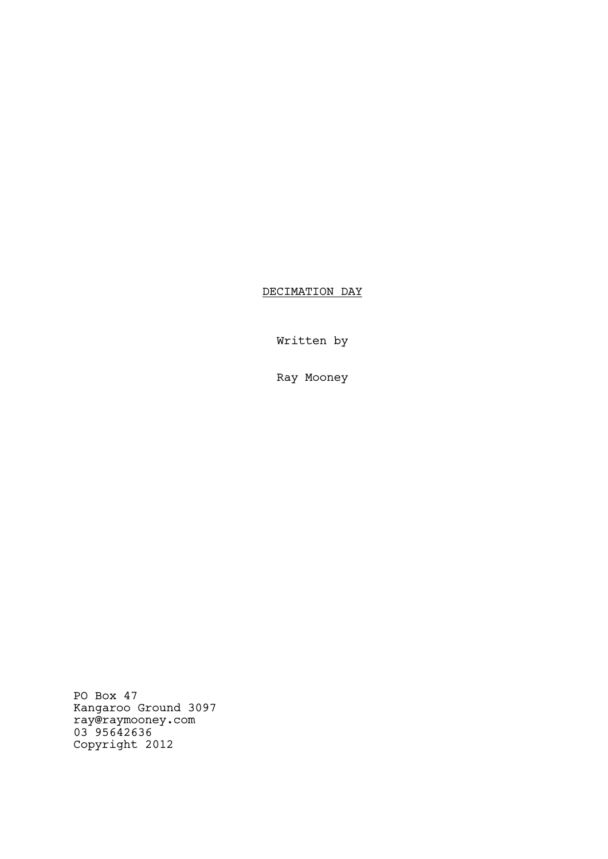DECIMATION DAY

Written by

Ray Mooney

PO Box 47 Kangaroo Ground 3097 ray@raymooney.com 03 95642636 Copyright 2012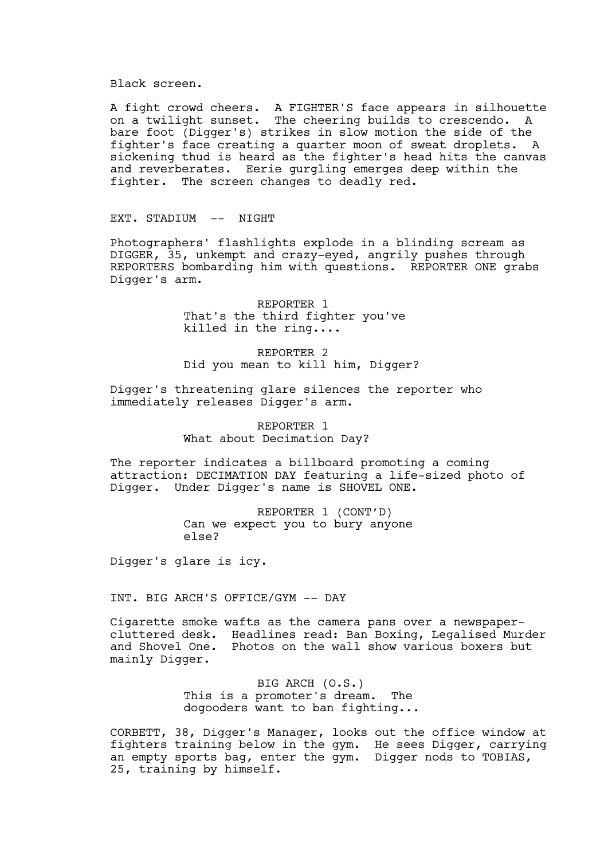Black screen.

A fight crowd cheers. A FIGHTER'S face appears in silhouette on a twilight sunset. The cheering builds to crescendo. A bare foot (Digger's) strikes in slow motion the side of the fighter's face creating a quarter moon of sweat droplets. A sickening thud is heard as the fighter's head hits the canvas and reverberates. Eerie gurgling emerges deep within the fighter. The screen changes to deadly red.

EXT. STADIUM -- NIGHT

Photographers' flashlights explode in a blinding scream as DIGGER, 35, unkempt and crazy-eyed, angrily pushes through REPORTERS bombarding him with questions. REPORTER ONE grabs Digger's arm.

> REPORTER 1 That's the third fighter you've killed in the ring....

REPORTER 2 Did you mean to kill him, Digger?

Digger's threatening glare silences the reporter who immediately releases Digger's arm.

> REPORTER 1 What about Decimation Day?

The reporter indicates a billboard promoting a coming attraction: DECIMATION DAY featuring a life-sized photo of Digger. Under Digger's name is SHOVEL ONE.

> REPORTER 1 (CONT'D) Can we expect you to bury anyone else?

Digger's glare is icy.

INT. BIG ARCH'S OFFICE/GYM -- DAY

Cigarette smoke wafts as the camera pans over a newspapercluttered desk. Headlines read: Ban Boxing, Legalised Murder and Shovel One. Photos on the wall show various boxers but mainly Digger.

> BIG ARCH (O.S.) This is a promoter's dream. The dogooders want to ban fighting...

CORBETT, 38, Digger's Manager, looks out the office window at fighters training below in the gym. He sees Digger, carrying an empty sports bag, enter the gym. Digger nods to TOBIAS, 25, training by himself.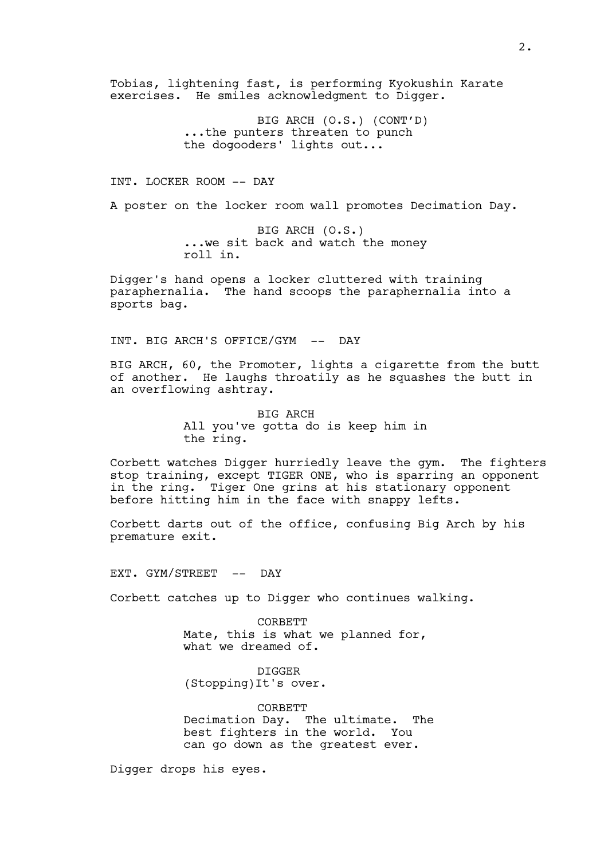Tobias, lightening fast, is performing Kyokushin Karate exercises. He smiles acknowledgment to Digger.

> BIG ARCH (O.S.) (CONT'D) ...the punters threaten to punch the dogooders' lights out...

INT. LOCKER ROOM -- DAY

A poster on the locker room wall promotes Decimation Day.

BIG ARCH (O.S.) ...we sit back and watch the money roll in.

Digger's hand opens a locker cluttered with training paraphernalia. The hand scoops the paraphernalia into a sports bag.

INT. BIG ARCH'S OFFICE/GYM -- DAY

BIG ARCH, 60, the Promoter, lights a cigarette from the butt of another. He laughs throatily as he squashes the butt in an overflowing ashtray.

> BIG ARCH All you've gotta do is keep him in the ring.

Corbett watches Digger hurriedly leave the gym. The fighters stop training, except TIGER ONE, who is sparring an opponent in the ring. Tiger One grins at his stationary opponent before hitting him in the face with snappy lefts.

Corbett darts out of the office, confusing Big Arch by his premature exit.

EXT. GYM/STREET -- DAY

Corbett catches up to Digger who continues walking.

**CORBETT** Mate, this is what we planned for, what we dreamed of.

DIGGER (Stopping)It's over.

CORBETT Decimation Day. The ultimate. The best fighters in the world. You can go down as the greatest ever.

Digger drops his eyes.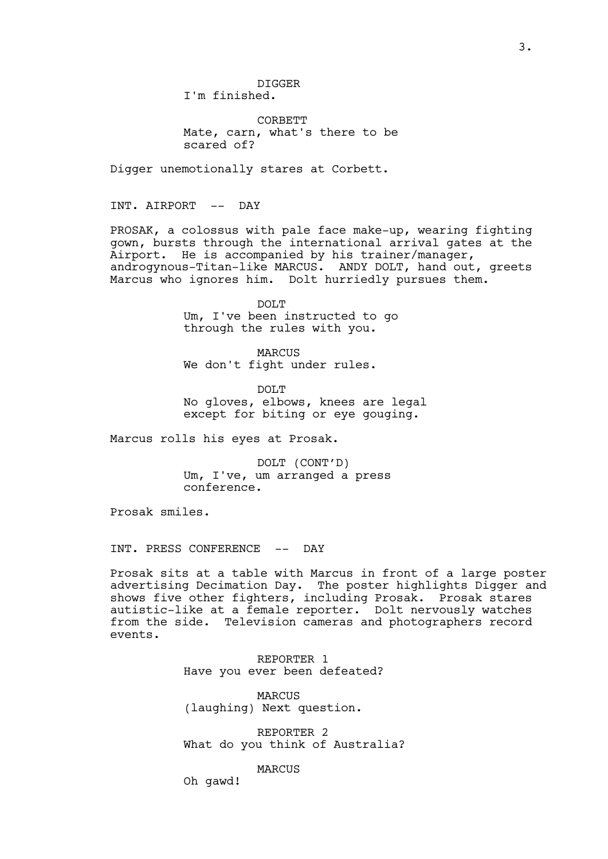DIGGER I'm finished.

CORBETT Mate, carn, what's there to be scared of?

Digger unemotionally stares at Corbett.

INT. AIRPORT -- DAY

PROSAK, a colossus with pale face make-up, wearing fighting gown, bursts through the international arrival gates at the Airport. He is accompanied by his trainer/manager, androgynous-Titan-like MARCUS. ANDY DOLT, hand out, greets Marcus who ignores him. Dolt hurriedly pursues them.

> DOLT Um, I've been instructed to go through the rules with you.

MARCUS We don't fight under rules.

DOLT No gloves, elbows, knees are legal except for biting or eye gouging.

Marcus rolls his eyes at Prosak.

DOLT (CONT'D) Um, I've, um arranged a press conference.

Prosak smiles.

INT. PRESS CONFERENCE -- DAY

Prosak sits at a table with Marcus in front of a large poster advertising Decimation Day. The poster highlights Digger and shows five other fighters, including Prosak. Prosak stares autistic-like at a female reporter. Dolt nervously watches from the side. Television cameras and photographers record events.

> REPORTER 1 Have you ever been defeated?

MARCUS (laughing) Next question.

REPORTER 2 What do you think of Australia?

MARCUS

Oh gawd!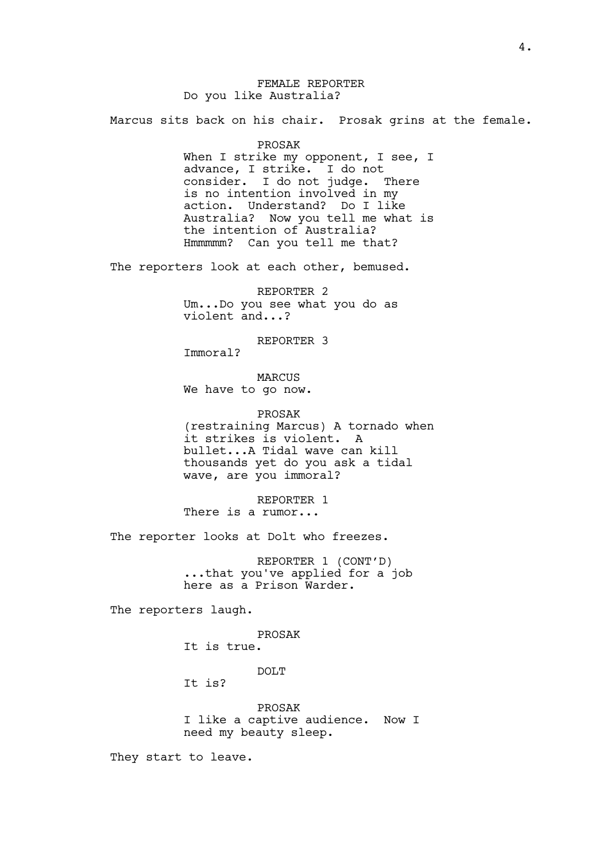# FEMALE REPORTER Do you like Australia?

Marcus sits back on his chair. Prosak grins at the female.

PROSAK

When I strike my opponent, I see, I advance, I strike. I do not consider. I do not judge. There is no intention involved in my action. Understand? Do I like Australia? Now you tell me what is the intention of Australia? Hmmmmm? Can you tell me that?

The reporters look at each other, bemused.

REPORTER 2 Um...Do you see what you do as violent and...?

REPORTER 3

Immoral?

MARCUS We have to go now.

PROSAK (restraining Marcus) A tornado when it strikes is violent. A bullet...A Tidal wave can kill

thousands yet do you ask a tidal wave, are you immoral?

REPORTER 1 There is a rumor...

The reporter looks at Dolt who freezes.

REPORTER 1 (CONT'D) ...that you've applied for a job here as a Prison Warder.

The reporters laugh.

PROSAK It is true.

DOLT

It is?

PROSAK I like a captive audience. Now I need my beauty sleep.

They start to leave.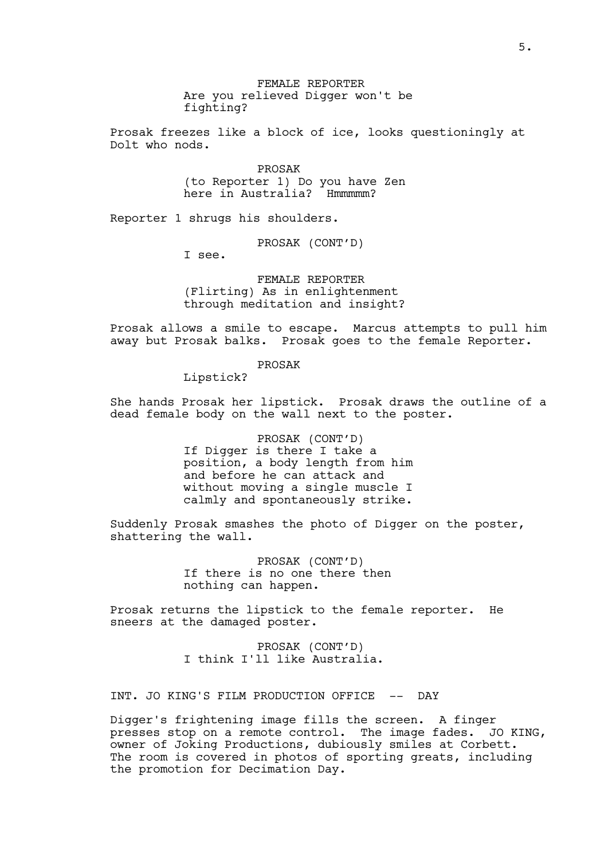FEMALE REPORTER Are you relieved Digger won't be fighting?

Prosak freezes like a block of ice, looks questioningly at Dolt who nods.

> PROSAK (to Reporter 1) Do you have Zen here in Australia? Hmmmmm?

Reporter 1 shrugs his shoulders.

PROSAK (CONT'D)

I see.

FEMALE REPORTER (Flirting) As in enlightenment through meditation and insight?

Prosak allows a smile to escape. Marcus attempts to pull him away but Prosak balks. Prosak goes to the female Reporter.

## PROSAK

Lipstick?

She hands Prosak her lipstick. Prosak draws the outline of a dead female body on the wall next to the poster.

> PROSAK (CONT'D) If Digger is there I take a position, a body length from him and before he can attack and without moving a single muscle I calmly and spontaneously strike.

Suddenly Prosak smashes the photo of Digger on the poster, shattering the wall.

> PROSAK (CONT'D) If there is no one there then nothing can happen.

Prosak returns the lipstick to the female reporter. He sneers at the damaged poster.

> PROSAK (CONT'D) I think I'll like Australia.

INT. JO KING'S FILM PRODUCTION OFFICE -- DAY

Digger's frightening image fills the screen. A finger presses stop on a remote control. The image fades. JO KING, owner of Joking Productions, dubiously smiles at Corbett. The room is covered in photos of sporting greats, including the promotion for Decimation Day.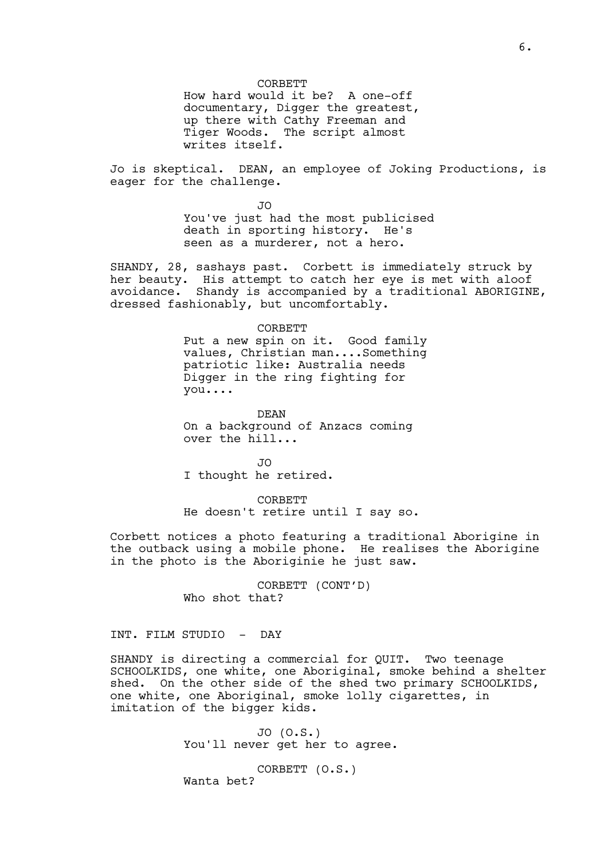CORBETT

How hard would it be? A one-off documentary, Digger the greatest, up there with Cathy Freeman and Tiger Woods. The script almost writes itself.

Jo is skeptical. DEAN, an employee of Joking Productions, is eager for the challenge.

> JO You've just had the most publicised death in sporting history. He's seen as a murderer, not a hero.

SHANDY, 28, sashays past. Corbett is immediately struck by her beauty. His attempt to catch her eye is met with aloof avoidance. Shandy is accompanied by a traditional ABORIGINE, dressed fashionably, but uncomfortably.

#### CORBETT

Put a new spin on it. Good family values, Christian man....Something patriotic like: Australia needs Digger in the ring fighting for you....

DEAN On a background of Anzacs coming over the hill...

JO I thought he retired.

CORBETT He doesn't retire until I say so.

Corbett notices a photo featuring a traditional Aborigine in the outback using a mobile phone. He realises the Aborigine in the photo is the Aboriginie he just saw.

> CORBETT (CONT'D) Who shot that?

# INT. FILM STUDIO - DAY

SHANDY is directing a commercial for QUIT. Two teenage SCHOOLKIDS, one white, one Aboriginal, smoke behind a shelter shed. On the other side of the shed two primary SCHOOLKIDS, one white, one Aboriginal, smoke lolly cigarettes, in imitation of the bigger kids.

> JO (O.S.) You'll never get her to agree.

CORBETT (O.S.) Wanta bet?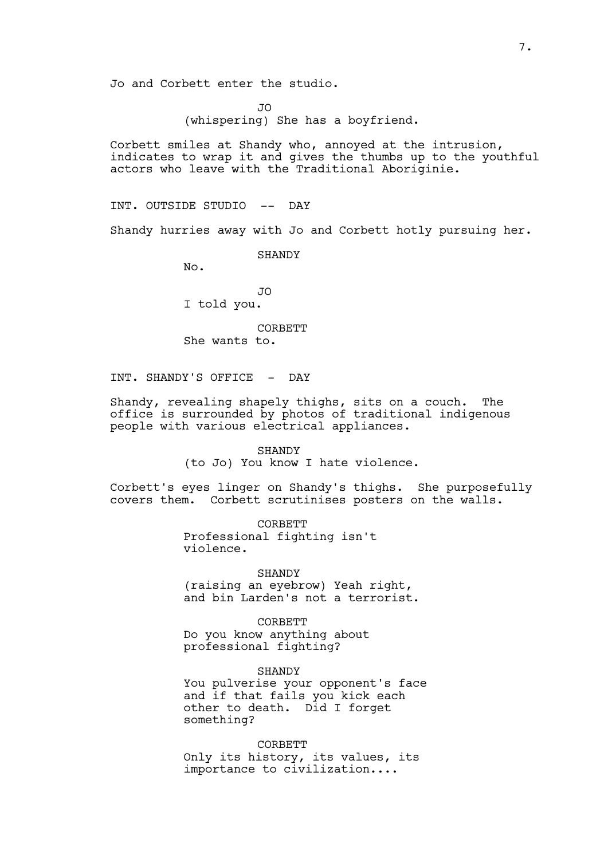Jo and Corbett enter the studio.

JO (whispering) She has a boyfriend.

Corbett smiles at Shandy who, annoyed at the intrusion, indicates to wrap it and gives the thumbs up to the youthful actors who leave with the Traditional Aboriginie.

INT. OUTSIDE STUDIO -- DAY

Shandy hurries away with Jo and Corbett hotly pursuing her.

SHANDY

No.

JO I told you.

CORBETT She wants to.

INT. SHANDY'S OFFICE - DAY

Shandy, revealing shapely thighs, sits on a couch. The office is surrounded by photos of traditional indigenous people with various electrical appliances.

> SHANDY (to Jo) You know I hate violence.

Corbett's eyes linger on Shandy's thighs. She purposefully covers them. Corbett scrutinises posters on the walls.

> CORBETT Professional fighting isn't violence.

> > SHANDY

(raising an eyebrow) Yeah right, and bin Larden's not a terrorist.

**CORBETT** Do you know anything about professional fighting?

**SHANDY** You pulverise your opponent's face and if that fails you kick each other to death. Did I forget something?

**CORBETT** Only its history, its values, its importance to civilization....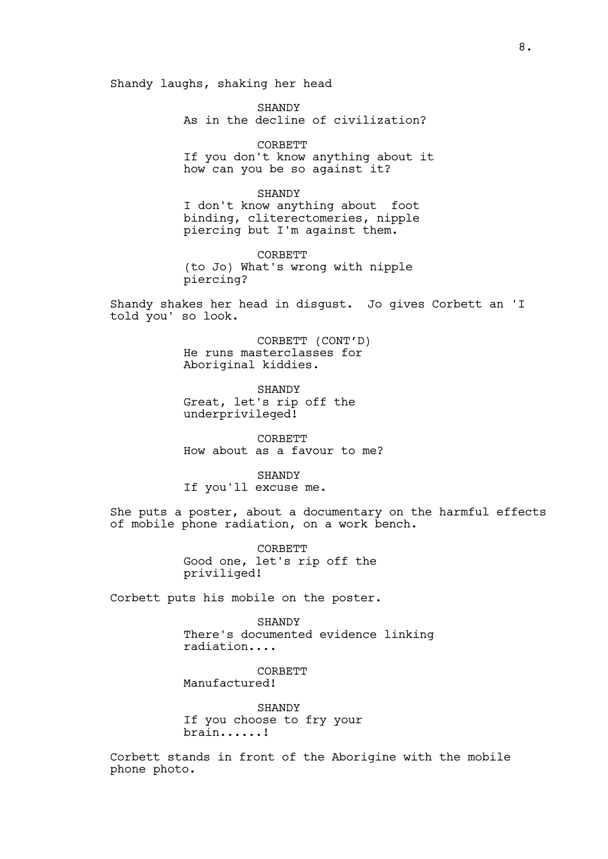Shandy laughs, shaking her head

SHANDY As in the decline of civilization?

CORBETT If you don't know anything about it how can you be so against it?

SHANDY I don't know anything about foot binding, cliterectomeries, nipple piercing but I'm against them.

**CORBETT** (to Jo) What's wrong with nipple piercing?

Shandy shakes her head in disgust. Jo gives Corbett an 'I told you' so look.

> CORBETT (CONT'D) He runs masterclasses for Aboriginal kiddies.

SHANDY Great, let's rip off the underprivileged!

CORBETT How about as a favour to me?

SHANDY If you'll excuse me.

She puts a poster, about a documentary on the harmful effects of mobile phone radiation, on a work bench.

> CORBETT Good one, let's rip off the priviliged!

Corbett puts his mobile on the poster.

**SHANDY** There's documented evidence linking radiation....

**CORBETT** Manufactured!

SHANDY If you choose to fry your brain......!

Corbett stands in front of the Aborigine with the mobile phone photo.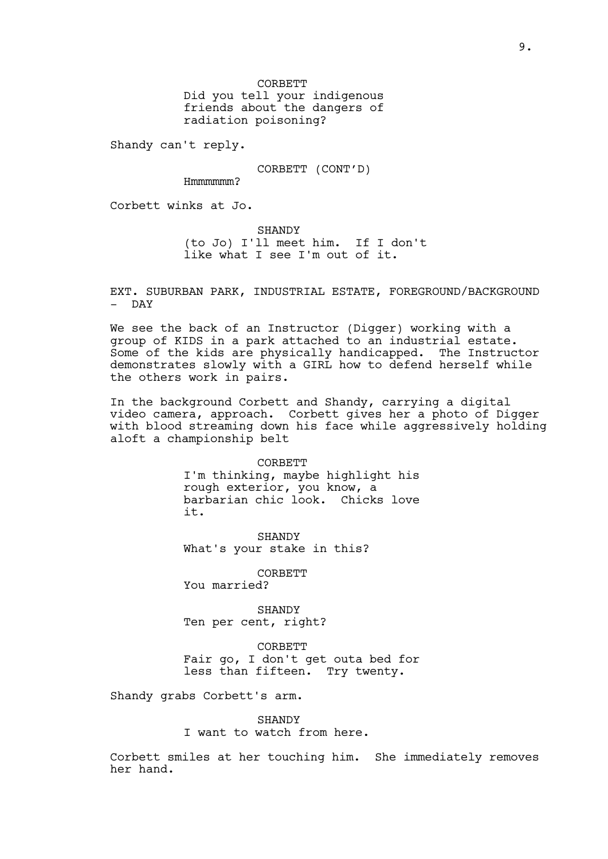CORBETT

Did you tell your indigenous friends about the dangers of radiation poisoning?

Shandy can't reply.

CORBETT (CONT'D)

Hmmmmmm?

Corbett winks at Jo.

SHANDY (to Jo) I'll meet him. If I don't like what I see I'm out of it.

EXT. SUBURBAN PARK, INDUSTRIAL ESTATE, FOREGROUND/BACKGROUND - DAY

We see the back of an Instructor (Digger) working with a group of KIDS in a park attached to an industrial estate. Some of the kids are physically handicapped. The Instructor demonstrates slowly with a GIRL how to defend herself while the others work in pairs.

In the background Corbett and Shandy, carrying a digital video camera, approach. Corbett gives her a photo of Digger with blood streaming down his face while aggressively holding aloft a championship belt

> CORBETT I'm thinking, maybe highlight his rough exterior, you know, a barbarian chic look. Chicks love it.

SHANDY What's your stake in this?

CORBETT

You married?

SHANDY Ten per cent, right?

CORBETT Fair go, I don't get outa bed for less than fifteen. Try twenty.

Shandy grabs Corbett's arm.

**SHANDY** I want to watch from here.

Corbett smiles at her touching him. She immediately removes her hand.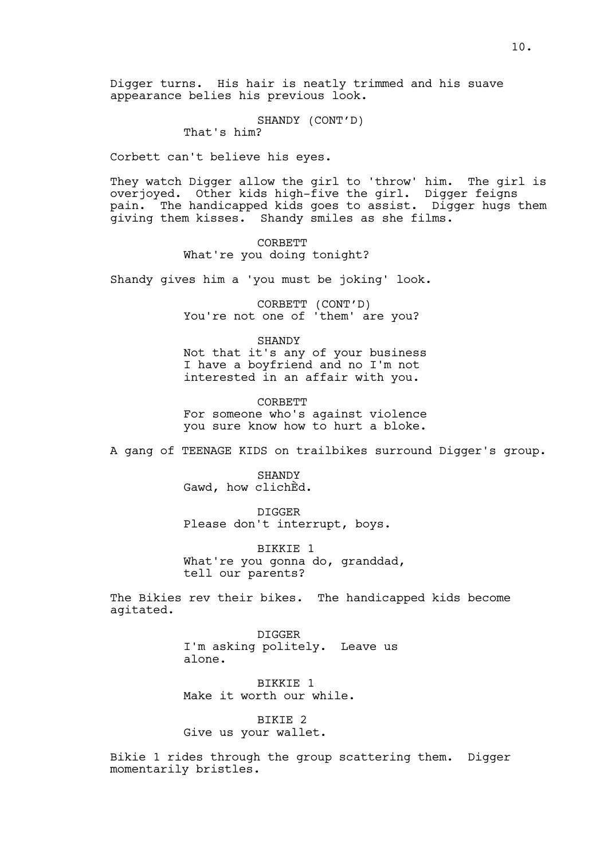Digger turns. His hair is neatly trimmed and his suave appearance belies his previous look.

SHANDY (CONT'D)

That's him?

Corbett can't believe his eyes.

They watch Digger allow the girl to 'throw' him. The girl is overjoyed. Other kids high-five the girl. Digger feigns pain. The handicapped kids goes to assist. Digger hugs them giving them kisses. Shandy smiles as she films.

> CORBETT What're you doing tonight?

Shandy gives him a 'you must be joking' look.

CORBETT (CONT'D) You're not one of 'them' are you?

SHANDY Not that it's any of your business I have a boyfriend and no I'm not interested in an affair with you.

**CORBETT** For someone who's against violence you sure know how to hurt a bloke.

A gang of TEENAGE KIDS on trailbikes surround Digger's group.

SHANDY Gawd, how clichÈd.

DIGGER Please don't interrupt, boys.

BIKKIE 1 What're you gonna do, granddad, tell our parents?

The Bikies rev their bikes. The handicapped kids become agitated.

> DIGGER I'm asking politely. Leave us alone.

BIKKIE 1 Make it worth our while.

BIKIE 2 Give us your wallet.

Bikie 1 rides through the group scattering them. Digger momentarily bristles.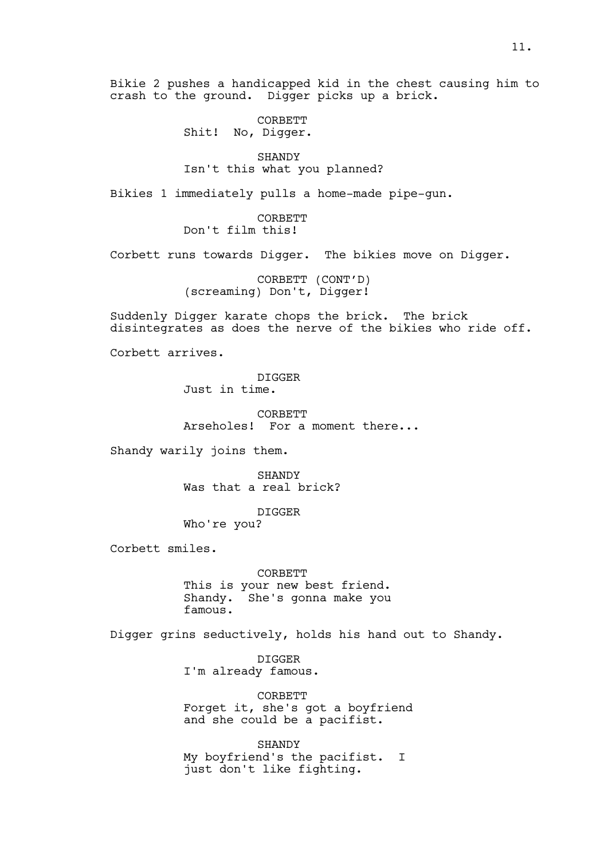Bikie 2 pushes a handicapped kid in the chest causing him to crash to the ground. Digger picks up a brick.

> CORBETT Shit! No, Digger.

SHANDY Isn't this what you planned?

Bikies 1 immediately pulls a home-made pipe-gun.

CORBETT Don't film this!

Corbett runs towards Digger. The bikies move on Digger.

CORBETT (CONT'D) (screaming) Don't, Digger!

Suddenly Digger karate chops the brick. The brick disintegrates as does the nerve of the bikies who ride off.

Corbett arrives.

DIGGER Just in time.

CORBETT Arseholes! For a moment there...

Shandy warily joins them.

SHANDY Was that a real brick?

DIGGER

Who're you?

Corbett smiles.

CORBETT This is your new best friend. Shandy. She's gonna make you famous.

Digger grins seductively, holds his hand out to Shandy.

DIGGER I'm already famous.

CORBETT Forget it, she's got a boyfriend and she could be a pacifist.

**SHANDY** My boyfriend's the pacifist. I just don't like fighting.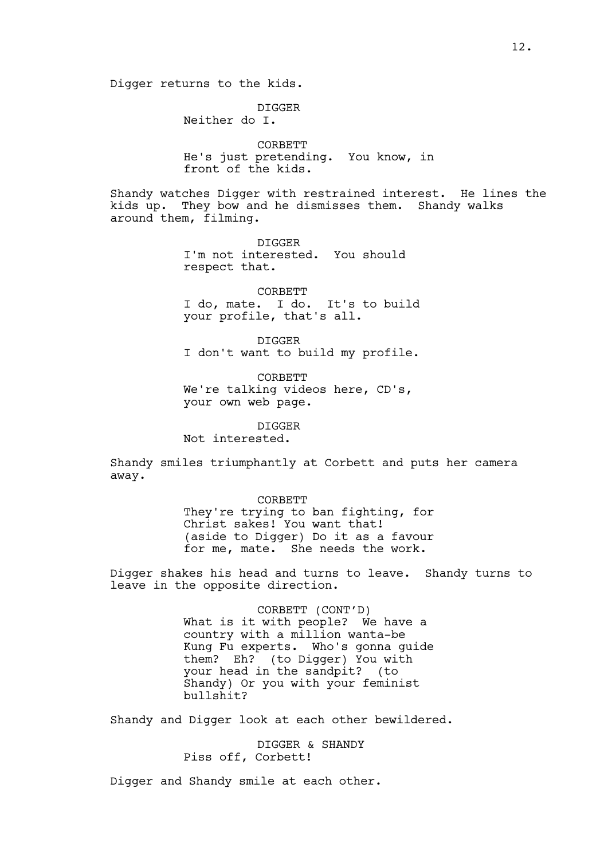Digger returns to the kids.

DIGGER Neither do I.

CORBETT He's just pretending. You know, in front of the kids.

Shandy watches Digger with restrained interest. He lines the kids up. They bow and he dismisses them. Shandy walks around them, filming.

> DIGGER I'm not interested. You should respect that.

CORBETT I do, mate. I do. It's to build your profile, that's all.

DIGGER I don't want to build my profile.

CORBETT We're talking videos here, CD's, your own web page.

DIGGER Not interested.

Shandy smiles triumphantly at Corbett and puts her camera away.

> CORBETT They're trying to ban fighting, for Christ sakes! You want that! (aside to Digger) Do it as a favour for me, mate. She needs the work.

Digger shakes his head and turns to leave. Shandy turns to leave in the opposite direction.

> CORBETT (CONT'D) What is it with people? We have a country with a million wanta-be Kung Fu experts. Who's gonna guide them? Eh? (to Digger) You with your head in the sandpit? (to Shandy) Or you with your feminist bullshit?

Shandy and Digger look at each other bewildered.

DIGGER & SHANDY Piss off, Corbett!

Digger and Shandy smile at each other.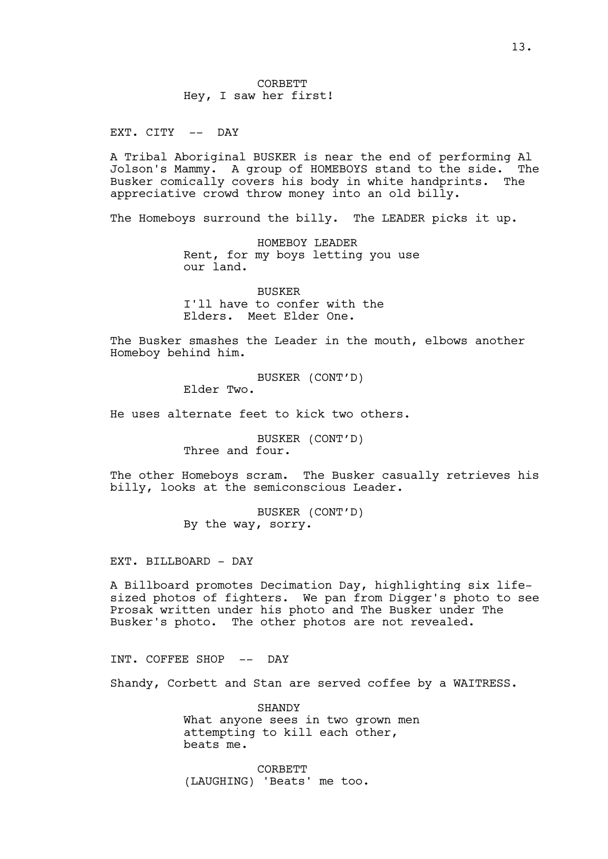EXT. CITY -- DAY

A Tribal Aboriginal BUSKER is near the end of performing Al Jolson's Mammy. A group of HOMEBOYS stand to the side. The Busker comically covers his body in white handprints. The appreciative crowd throw money into an old billy.

The Homeboys surround the billy. The LEADER picks it up.

HOMEBOY LEADER Rent, for my boys letting you use our land.

BUSKER I'll have to confer with the Elders. Meet Elder One.

The Busker smashes the Leader in the mouth, elbows another Homeboy behind him.

BUSKER (CONT'D)

Elder Two.

He uses alternate feet to kick two others.

BUSKER (CONT'D) Three and four.

The other Homeboys scram. The Busker casually retrieves his billy, looks at the semiconscious Leader.

> BUSKER (CONT'D) By the way, sorry.

EXT. BILLBOARD - DAY

A Billboard promotes Decimation Day, highlighting six lifesized photos of fighters. We pan from Digger's photo to see Prosak written under his photo and The Busker under The Busker's photo. The other photos are not revealed.

INT. COFFEE SHOP -- DAY

Shandy, Corbett and Stan are served coffee by a WAITRESS.

SHANDY What anyone sees in two grown men attempting to kill each other, beats me.

CORBETT (LAUGHING) 'Beats' me too.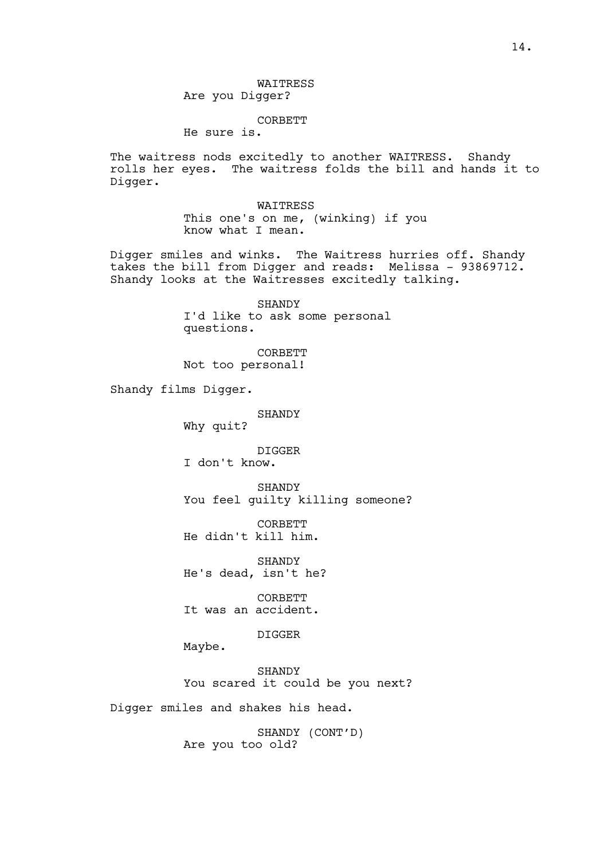WAITRESS Are you Digger?

## CORBETT

He sure is.

The waitress nods excitedly to another WAITRESS. Shandy rolls her eyes. The waitress folds the bill and hands it to Digger.

> WAITRESS This one's on me, (winking) if you know what I mean.

Digger smiles and winks. The Waitress hurries off. Shandy takes the bill from Digger and reads: Melissa - 93869712. Shandy looks at the Waitresses excitedly talking.

> SHANDY I'd like to ask some personal questions.

CORBETT Not too personal!

Shandy films Digger.

SHANDY Why quit?

DIGGER I don't know.

**SHANDY** You feel guilty killing someone?

CORBETT He didn't kill him.

SHANDY He's dead, isn't he?

CORBETT It was an accident.

DIGGER

Maybe.

**SHANDY** You scared it could be you next?

Digger smiles and shakes his head.

SHANDY (CONT'D) Are you too old?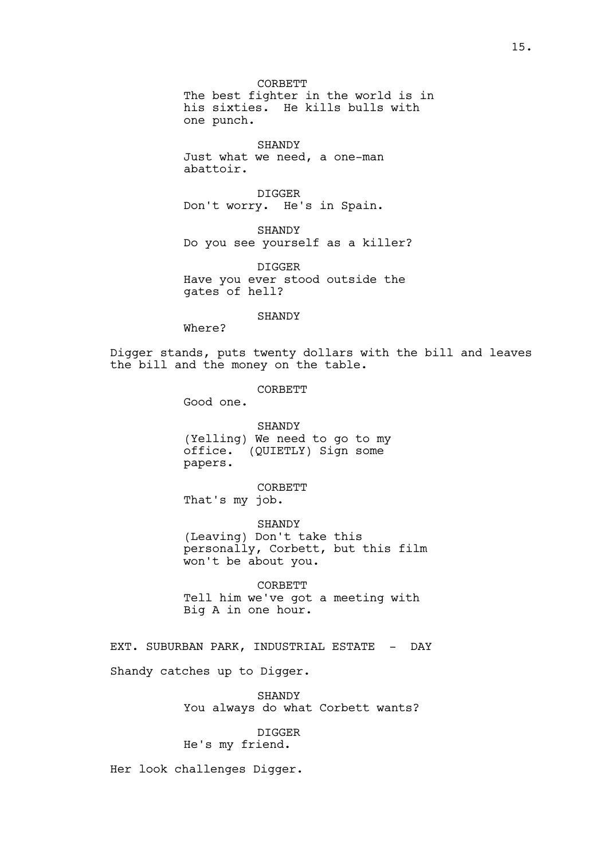CORBETT The best fighter in the world is in his sixties. He kills bulls with one punch.

SHANDY Just what we need, a one-man abattoir.

DIGGER Don't worry. He's in Spain.

SHANDY Do you see yourself as a killer?

DIGGER Have you ever stood outside the gates of hell?

### SHANDY

Where?

Digger stands, puts twenty dollars with the bill and leaves the bill and the money on the table.

CORBETT

Good one.

SHANDY (Yelling) We need to go to my office. (QUIETLY) Sign some papers.

CORBETT That's my job.

SHANDY (Leaving) Don't take this personally, Corbett, but this film won't be about you.

CORBETT Tell him we've got a meeting with Big A in one hour.

EXT. SUBURBAN PARK, INDUSTRIAL ESTATE - DAY Shandy catches up to Digger.

> SHANDY You always do what Corbett wants?

DIGGER He's my friend.

Her look challenges Digger.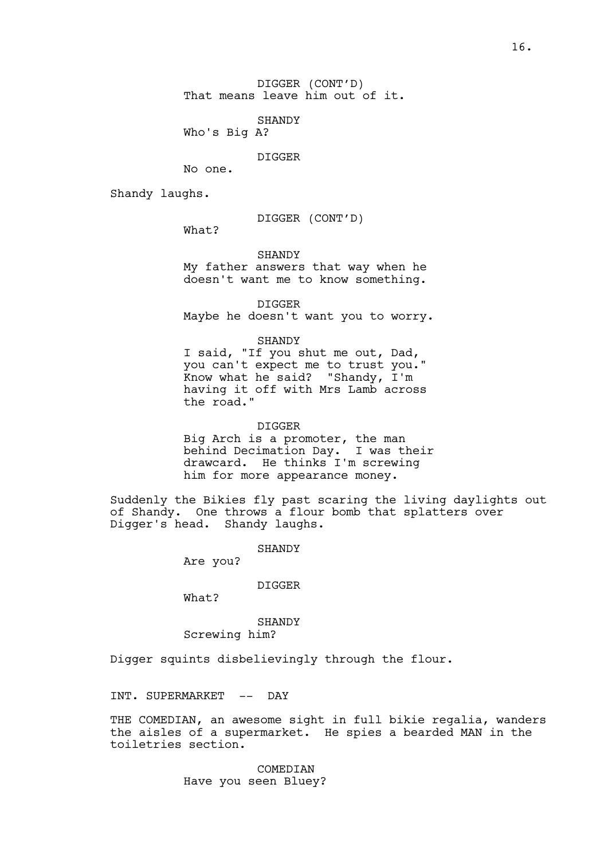SHANDY

Who's Big A?

DIGGER

No one.

Shandy laughs.

DIGGER (CONT'D)

What?

SHANDY My father answers that way when he doesn't want me to know something.

DIGGER Maybe he doesn't want you to worry.

SHANDY

I said, "If you shut me out, Dad, you can't expect me to trust you." Know what he said? "Shandy, I'm having it off with Mrs Lamb across the road."

DIGGER Big Arch is a promoter, the man behind Decimation Day. I was their drawcard. He thinks I'm screwing him for more appearance money.

Suddenly the Bikies fly past scaring the living daylights out of Shandy. One throws a flour bomb that splatters over Digger's head. Shandy laughs.

SHANDY

Are you?

DIGGER

What?

SHANDY Screwing him?

Digger squints disbelievingly through the flour.

INT. SUPERMARKET -- DAY

THE COMEDIAN, an awesome sight in full bikie regalia, wanders the aisles of a supermarket. He spies a bearded MAN in the toiletries section.

> COMEDIAN Have you seen Bluey?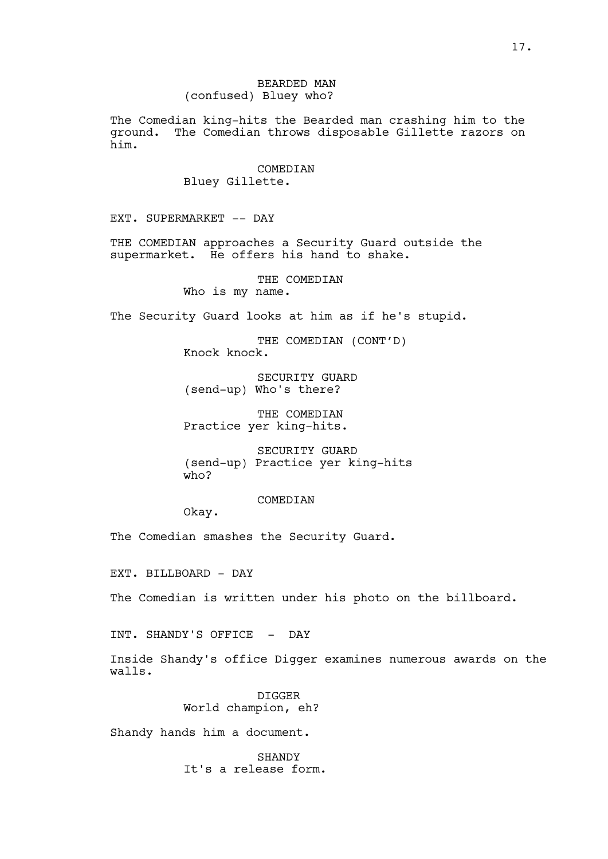The Comedian king-hits the Bearded man crashing him to the ground. The Comedian throws disposable Gillette razors on him.

### COMEDIAN

Bluey Gillette.

EXT. SUPERMARKET -- DAY

THE COMEDIAN approaches a Security Guard outside the supermarket. He offers his hand to shake.

THE COMEDIAN

Who is my name.

The Security Guard looks at him as if he's stupid.

THE COMEDIAN (CONT'D) Knock knock.

SECURITY GUARD (send-up) Who's there?

THE COMEDIAN Practice yer king-hits.

SECURITY GUARD (send-up) Practice yer king-hits who?

COMEDIAN

Okay.

The Comedian smashes the Security Guard.

EXT. BILLBOARD - DAY

The Comedian is written under his photo on the billboard.

INT. SHANDY'S OFFICE - DAY

Inside Shandy's office Digger examines numerous awards on the walls.

> DIGGER World champion, eh?

Shandy hands him a document.

**SHANDY** It's a release form.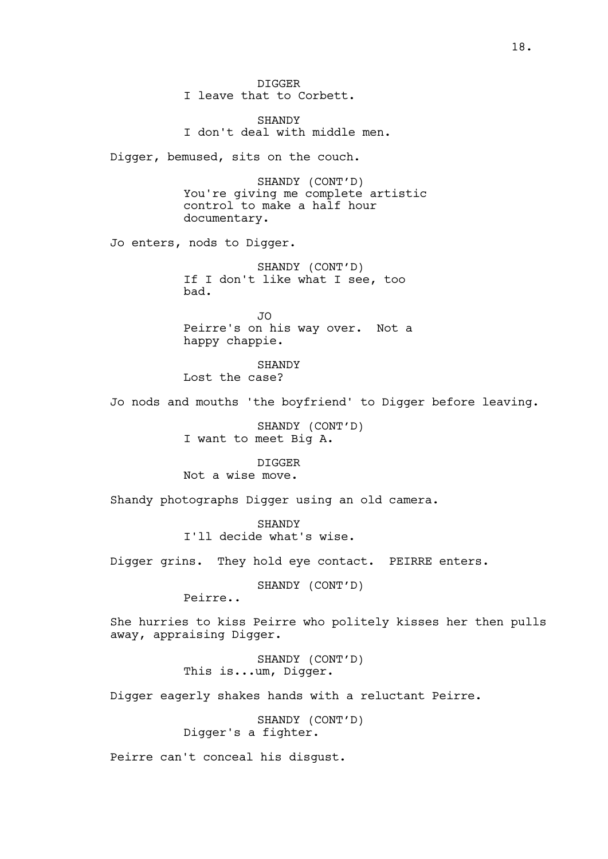DIGGER I leave that to Corbett. SHANDY I don't deal with middle men. Digger, bemused, sits on the couch. SHANDY (CONT'D) You're giving me complete artistic control to make a half hour documentary. Jo enters, nods to Digger. SHANDY (CONT'D) If I don't like what I see, too bad.  $\overline{J}$ Peirre's on his way over. Not a happy chappie. **SHANDY** Lost the case? Jo nods and mouths 'the boyfriend' to Digger before leaving. SHANDY (CONT'D) I want to meet Big A. DIGGER Not a wise move. Shandy photographs Digger using an old camera. **SHANDY** I'll decide what's wise. Digger grins. They hold eye contact. PEIRRE enters. SHANDY (CONT'D) Peirre.. She hurries to kiss Peirre who politely kisses her then pulls away, appraising Digger. SHANDY (CONT'D) This is...um, Digger. Digger eagerly shakes hands with a reluctant Peirre. SHANDY (CONT'D) Digger's a fighter. Peirre can't conceal his disgust.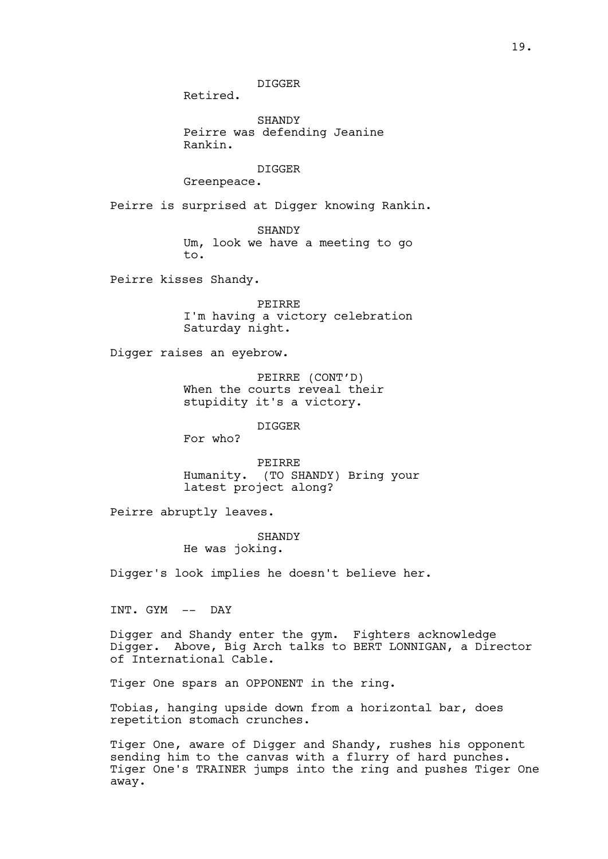DIGGER

Retired.

**SHANDY** Peirre was defending Jeanine Rankin.

DIGGER

Greenpeace.

Peirre is surprised at Digger knowing Rankin.

SHANDY Um, look we have a meeting to go to.

Peirre kisses Shandy.

PEIRRE I'm having a victory celebration Saturday night.

Digger raises an eyebrow.

PEIRRE (CONT'D) When the courts reveal their stupidity it's a victory.

DIGGER

For who?

PEIRRE Humanity. (TO SHANDY) Bring your latest project along?

Peirre abruptly leaves.

SHANDY He was joking.

Digger's look implies he doesn't believe her.

INT. GYM -- DAY

Digger and Shandy enter the gym. Fighters acknowledge Digger. Above, Big Arch talks to BERT LONNIGAN, a Director of International Cable.

Tiger One spars an OPPONENT in the ring.

Tobias, hanging upside down from a horizontal bar, does repetition stomach crunches.

Tiger One, aware of Digger and Shandy, rushes his opponent sending him to the canvas with a flurry of hard punches. Tiger One's TRAINER jumps into the ring and pushes Tiger One away.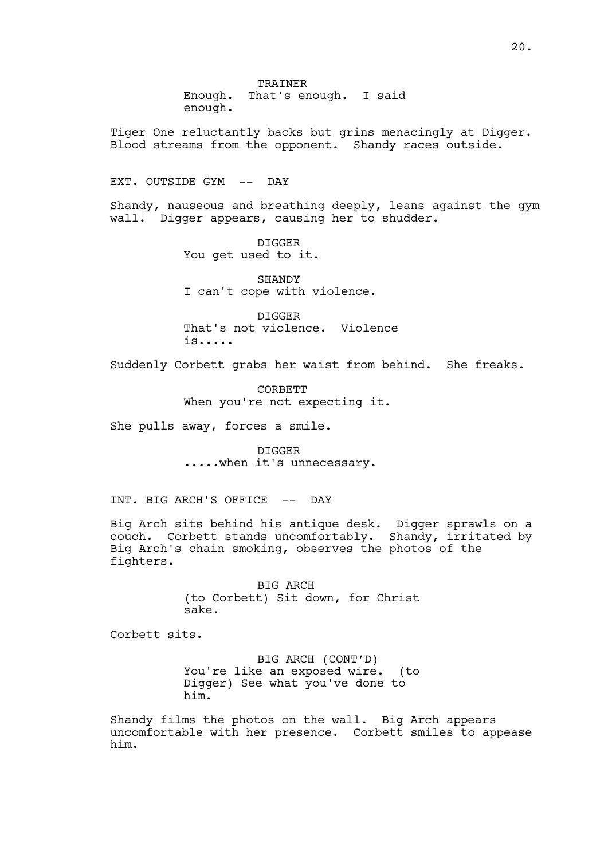TRAINER Enough. That's enough. I said enough.

Tiger One reluctantly backs but grins menacingly at Digger. Blood streams from the opponent. Shandy races outside.

EXT. OUTSIDE GYM -- DAY

Shandy, nauseous and breathing deeply, leans against the gym wall. Digger appears, causing her to shudder.

> DIGGER You get used to it.

SHANDY I can't cope with violence.

DIGGER That's not violence. Violence is.....

Suddenly Corbett grabs her waist from behind. She freaks.

CORBETT When you're not expecting it.

She pulls away, forces a smile.

DIGGER .....when it's unnecessary.

INT. BIG ARCH'S OFFICE -- DAY

Big Arch sits behind his antique desk. Digger sprawls on a couch. Corbett stands uncomfortably. Shandy, irritated by Big Arch's chain smoking, observes the photos of the fighters.

> BIG ARCH (to Corbett) Sit down, for Christ sake.

Corbett sits.

BIG ARCH (CONT'D) You're like an exposed wire. (to Digger) See what you've done to him.

Shandy films the photos on the wall. Big Arch appears uncomfortable with her presence. Corbett smiles to appease him.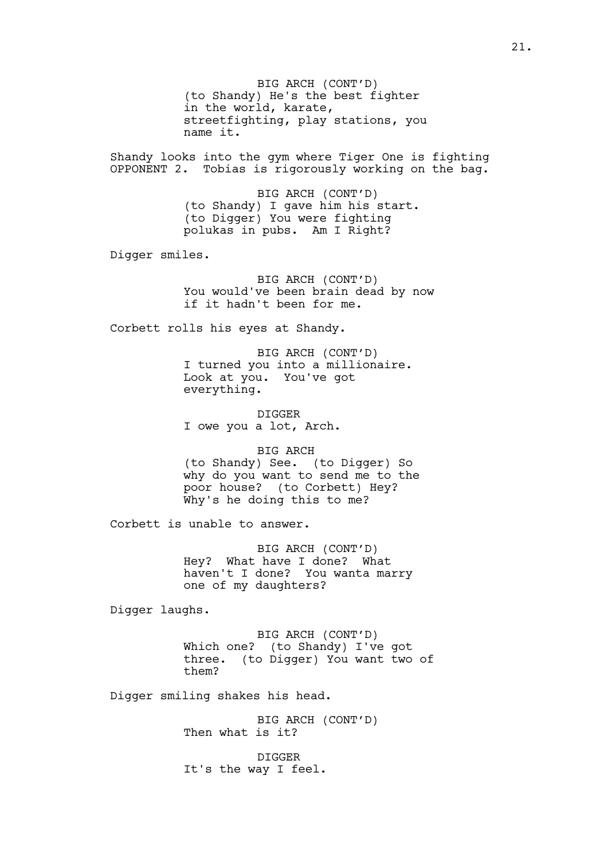BIG ARCH (CONT'D) (to Shandy) He's the best fighter in the world, karate, streetfighting, play stations, you name it.

Shandy looks into the gym where Tiger One is fighting OPPONENT 2. Tobias is rigorously working on the bag.

> BIG ARCH (CONT'D) (to Shandy) I gave him his start. (to Digger) You were fighting polukas in pubs. Am I Right?

Digger smiles.

BIG ARCH (CONT'D) You would've been brain dead by now if it hadn't been for me.

Corbett rolls his eyes at Shandy.

BIG ARCH (CONT'D) I turned you into a millionaire. Look at you. You've got everything.

DIGGER I owe you a lot, Arch.

BIG ARCH (to Shandy) See. (to Digger) So why do you want to send me to the poor house? (to Corbett) Hey? Why's he doing this to me?

Corbett is unable to answer.

BIG ARCH (CONT'D) Hey? What have I done? What haven't I done? You wanta marry one of my daughters?

Digger laughs.

BIG ARCH (CONT'D) Which one? (to Shandy) I've got three. (to Digger) You want two of them?

Digger smiling shakes his head.

BIG ARCH (CONT'D) Then what is it?

DIGGER It's the way I feel.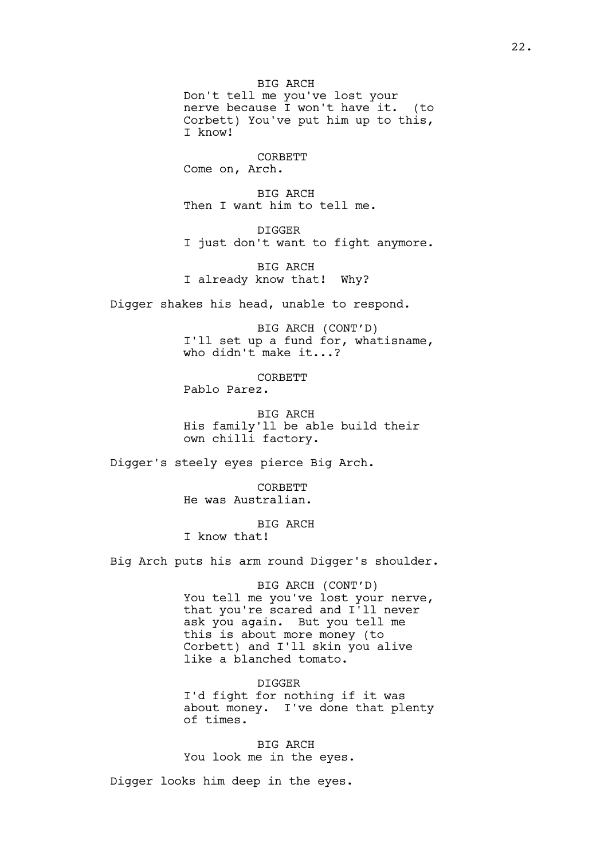BIG ARCH Don't tell me you've lost your nerve because I won't have it. (to Corbett) You've put him up to this, I know!

CORBETT Come on, Arch.

BIG ARCH Then I want him to tell me.

DIGGER I just don't want to fight anymore.

BIG ARCH I already know that! Why?

Digger shakes his head, unable to respond.

BIG ARCH (CONT'D) I'll set up a fund for, whatisname, who didn't make it...?

CORBETT Pablo Parez.

BIG ARCH His family'll be able build their own chilli factory.

Digger's steely eyes pierce Big Arch.

**CORBETT** He was Australian.

BIG ARCH I know that!

Big Arch puts his arm round Digger's shoulder.

BIG ARCH (CONT'D) You tell me you've lost your nerve, that you're scared and I'll never ask you again. But you tell me this is about more money (to Corbett) and I'll skin you alive like a blanched tomato.

DIGGER I'd fight for nothing if it was about money. I've done that plenty of times.

BIG ARCH You look me in the eyes.

Digger looks him deep in the eyes.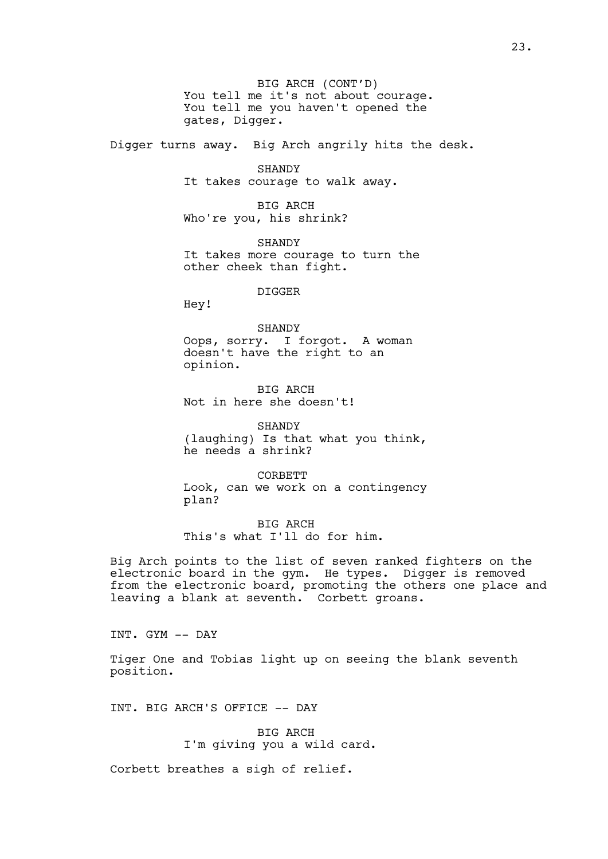BIG ARCH (CONT'D) You tell me it's not about courage. You tell me you haven't opened the gates, Digger.

Digger turns away. Big Arch angrily hits the desk.

SHANDY It takes courage to walk away.

BIG ARCH Who're you, his shrink?

SHANDY It takes more courage to turn the other cheek than fight.

DIGGER

Hey!

SHANDY Oops, sorry. I forgot. A woman doesn't have the right to an opinion.

BIG ARCH Not in here she doesn't!

SHANDY (laughing) Is that what you think, he needs a shrink?

CORBETT Look, can we work on a contingency plan?

BIG ARCH This's what I'll do for him.

Big Arch points to the list of seven ranked fighters on the electronic board in the gym. He types. Digger is removed from the electronic board, promoting the others one place and leaving a blank at seventh. Corbett groans.

INT. GYM -- DAY

Tiger One and Tobias light up on seeing the blank seventh position.

INT. BIG ARCH'S OFFICE -- DAY

BIG ARCH I'm giving you a wild card.

Corbett breathes a sigh of relief.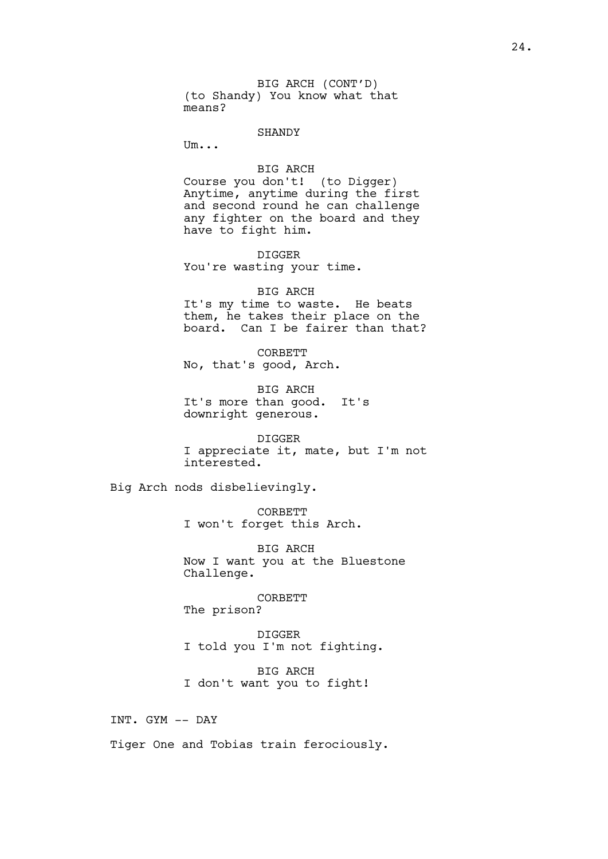BIG ARCH (CONT'D) (to Shandy) You know what that means?

### SHANDY

Um...

BIG ARCH

Course you don't! (to Digger) Anytime, anytime during the first and second round he can challenge any fighter on the board and they have to fight him.

DIGGER You're wasting your time.

#### BIG ARCH

It's my time to waste. He beats them, he takes their place on the board. Can I be fairer than that?

CORBETT No, that's good, Arch.

BIG ARCH It's more than good. It's downright generous.

DIGGER I appreciate it, mate, but I'm not interested.

Big Arch nods disbelievingly.

CORBETT I won't forget this Arch.

BIG ARCH Now I want you at the Bluestone Challenge.

CORBETT

The prison?

DIGGER I told you I'm not fighting.

BIG ARCH I don't want you to fight!

INT. GYM -- DAY

Tiger One and Tobias train ferociously.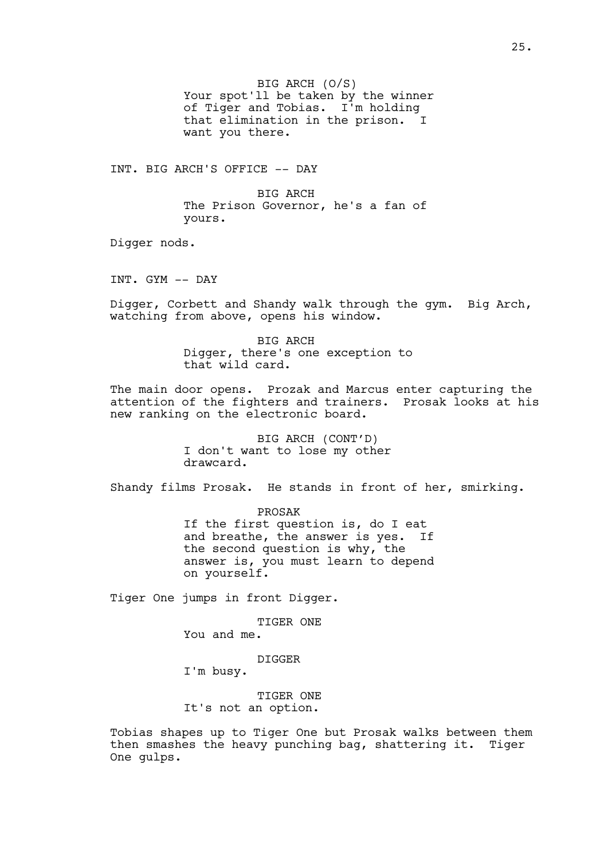BIG ARCH (O/S) Your spot'll be taken by the winner of Tiger and Tobias. I'm holding that elimination in the prison. I want you there.

INT. BIG ARCH'S OFFICE -- DAY

BIG ARCH The Prison Governor, he's a fan of yours.

Digger nods.

INT. GYM -- DAY

Digger, Corbett and Shandy walk through the gym. Big Arch, watching from above, opens his window.

> BIG ARCH Digger, there's one exception to that wild card.

The main door opens. Prozak and Marcus enter capturing the attention of the fighters and trainers. Prosak looks at his new ranking on the electronic board.

> BIG ARCH (CONT'D) I don't want to lose my other drawcard.

Shandy films Prosak. He stands in front of her, smirking.

PROSAK If the first question is, do I eat and breathe, the answer is yes. If the second question is why, the answer is, you must learn to depend on yourself.

Tiger One jumps in front Digger.

TIGER ONE You and me.

DIGGER

I'm busy.

TIGER ONE It's not an option.

Tobias shapes up to Tiger One but Prosak walks between them then smashes the heavy punching bag, shattering it. Tiger One gulps.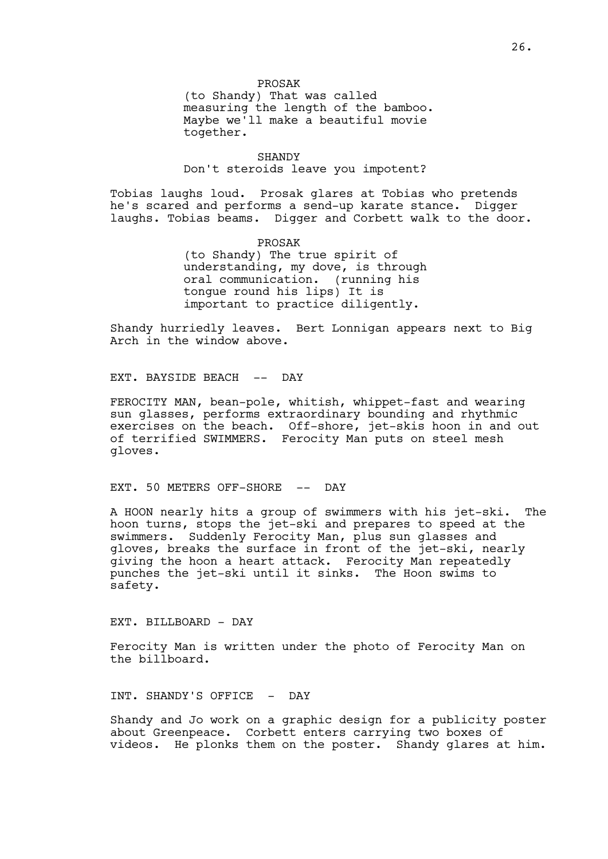PROSAK (to Shandy) That was called measuring the length of the bamboo. Maybe we'll make a beautiful movie together.

SHANDY Don't steroids leave you impotent?

Tobias laughs loud. Prosak glares at Tobias who pretends he's scared and performs a send-up karate stance. Digger laughs. Tobias beams. Digger and Corbett walk to the door.

> PROSAK (to Shandy) The true spirit of understanding, my dove, is through oral communication. (running his tongue round his lips) It is important to practice diligently.

Shandy hurriedly leaves. Bert Lonnigan appears next to Big Arch in the window above.

EXT. BAYSIDE BEACH -- DAY

FEROCITY MAN, bean-pole, whitish, whippet-fast and wearing sun glasses, performs extraordinary bounding and rhythmic exercises on the beach. Off-shore, jet-skis hoon in and out of terrified SWIMMERS. Ferocity Man puts on steel mesh gloves.

EXT. 50 METERS OFF-SHORE -- DAY

A HOON nearly hits a group of swimmers with his jet-ski. The hoon turns, stops the jet-ski and prepares to speed at the swimmers. Suddenly Ferocity Man, plus sun glasses and gloves, breaks the surface in front of the jet-ski, nearly giving the hoon a heart attack. Ferocity Man repeatedly punches the jet-ski until it sinks. The Hoon swims to safety.

EXT. BILLBOARD - DAY

Ferocity Man is written under the photo of Ferocity Man on the billboard.

INT. SHANDY'S OFFICE - DAY

Shandy and Jo work on a graphic design for a publicity poster about Greenpeace. Corbett enters carrying two boxes of videos. He plonks them on the poster. Shandy glares at him.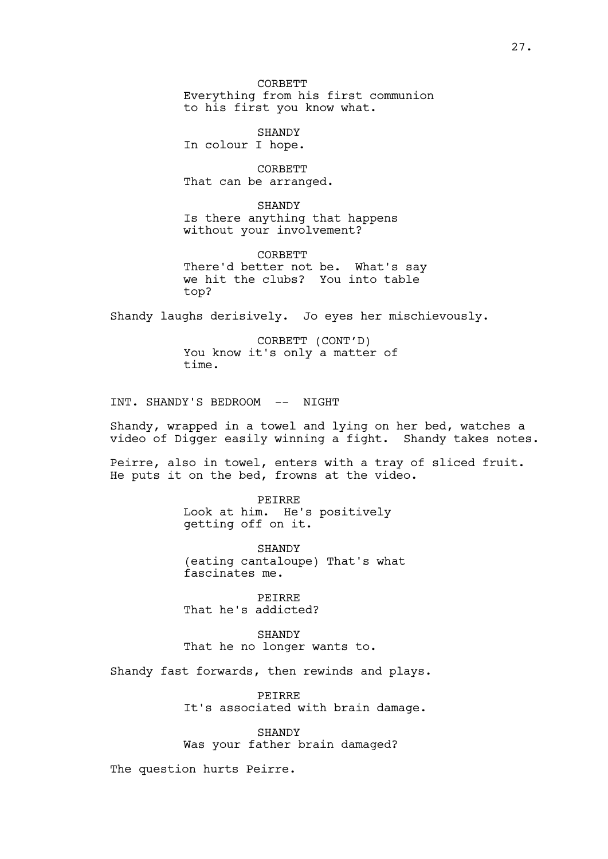CORBETT Everything from his first communion to his first you know what.

SHANDY In colour I hope.

CORBETT That can be arranged.

SHANDY Is there anything that happens without your involvement?

**CORBETT** There'd better not be. What's say we hit the clubs? You into table top?

Shandy laughs derisively. Jo eyes her mischievously.

CORBETT (CONT'D) You know it's only a matter of time.

INT. SHANDY'S BEDROOM -- NIGHT

Shandy, wrapped in a towel and lying on her bed, watches a video of Digger easily winning a fight. Shandy takes notes.

Peirre, also in towel, enters with a tray of sliced fruit. He puts it on the bed, frowns at the video.

> PEIRRE Look at him. He's positively getting off on it.

SHANDY (eating cantaloupe) That's what fascinates me.

PEIRRE That he's addicted?

SHANDY That he no longer wants to.

Shandy fast forwards, then rewinds and plays.

PEIRRE It's associated with brain damage.

**SHANDY** Was your father brain damaged?

The question hurts Peirre.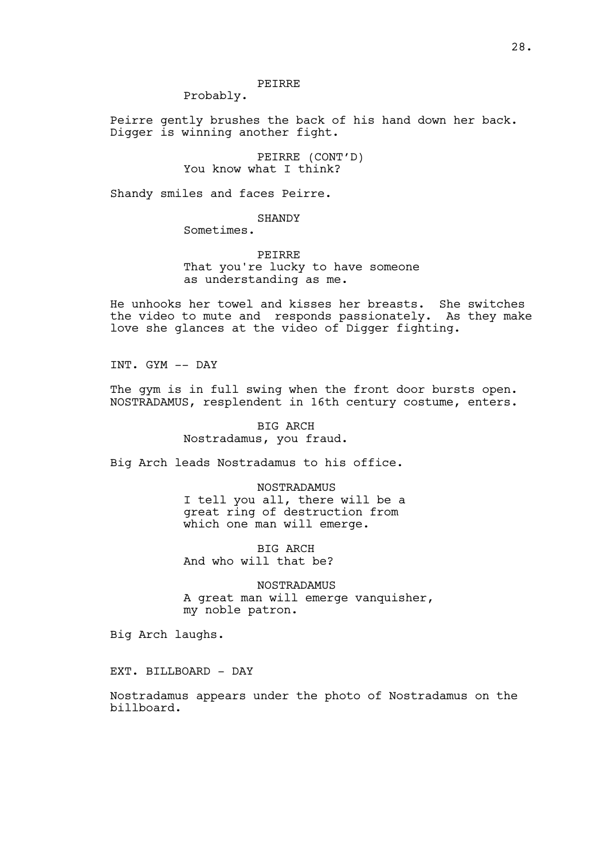## PEIRRE

Probably.

Peirre gently brushes the back of his hand down her back. Digger is winning another fight.

> PEIRRE (CONT'D) You know what I think?

Shandy smiles and faces Peirre.

## SHANDY

Sometimes.

PEIRRE That you're lucky to have someone as understanding as me.

He unhooks her towel and kisses her breasts. She switches the video to mute and responds passionately. As they make love she glances at the video of Digger fighting.

INT. GYM -- DAY

The gym is in full swing when the front door bursts open. NOSTRADAMUS, resplendent in 16th century costume, enters.

> BIG ARCH Nostradamus, you fraud.

Big Arch leads Nostradamus to his office.

NOSTRADAMUS I tell you all, there will be a great ring of destruction from which one man will emerge.

BIG ARCH And who will that be?

NOSTRADAMUS A great man will emerge vanquisher, my noble patron.

Big Arch laughs.

EXT. BILLBOARD - DAY

Nostradamus appears under the photo of Nostradamus on the billboard.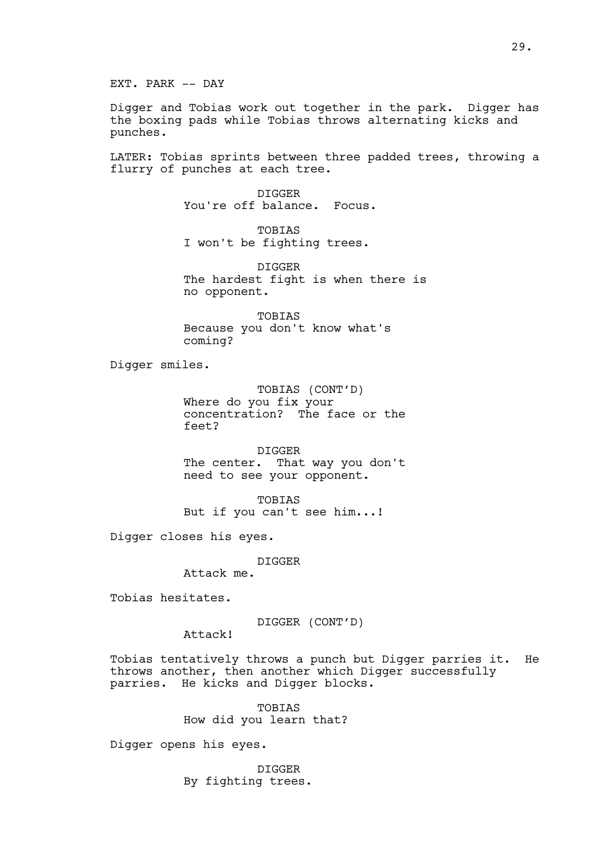Digger and Tobias work out together in the park. Digger has the boxing pads while Tobias throws alternating kicks and punches.

LATER: Tobias sprints between three padded trees, throwing a flurry of punches at each tree.

> DIGGER You're off balance. Focus.

TOBIAS I won't be fighting trees.

DIGGER The hardest fight is when there is no opponent.

TOBIAS Because you don't know what's coming?

Digger smiles.

TOBIAS (CONT'D) Where do you fix your concentration? The face or the feet?

DIGGER The center. That way you don't need to see your opponent.

TOBIAS But if you can't see him...!

Digger closes his eyes.

DIGGER

Attack me.

Tobias hesitates.

DIGGER (CONT'D)

Attack!

Tobias tentatively throws a punch but Digger parries it. He throws another, then another which Digger successfully parries. He kicks and Digger blocks.

> TOBIAS How did you learn that?

Digger opens his eyes.

DIGGER By fighting trees.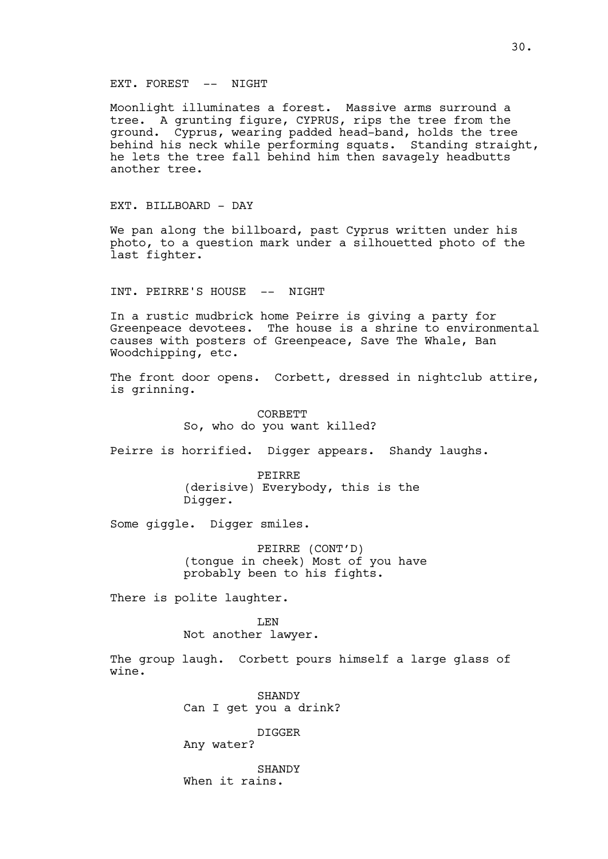## EXT. FOREST -- NIGHT

Moonlight illuminates a forest. Massive arms surround a tree. A grunting figure, CYPRUS, rips the tree from the ground. Cyprus, wearing padded head-band, holds the tree behind his neck while performing squats. Standing straight, he lets the tree fall behind him then savagely headbutts another tree.

## EXT. BILLBOARD - DAY

We pan along the billboard, past Cyprus written under his photo, to a question mark under a silhouetted photo of the last fighter.

INT. PEIRRE'S HOUSE -- NIGHT

In a rustic mudbrick home Peirre is giving a party for Greenpeace devotees. The house is a shrine to environmental causes with posters of Greenpeace, Save The Whale, Ban Woodchipping, etc.

The front door opens. Corbett, dressed in nightclub attire, is grinning.

> CORBETT So, who do you want killed?

Peirre is horrified. Digger appears. Shandy laughs.

PEIRRE (derisive) Everybody, this is the Digger.

Some giggle. Digger smiles.

PEIRRE (CONT'D) (tongue in cheek) Most of you have probably been to his fights.

There is polite laughter.

LEN

Not another lawyer.

The group laugh. Corbett pours himself a large glass of wine.

> **SHANDY** Can I get you a drink?

> > DIGGER

Any water?

**SHANDY** When it rains.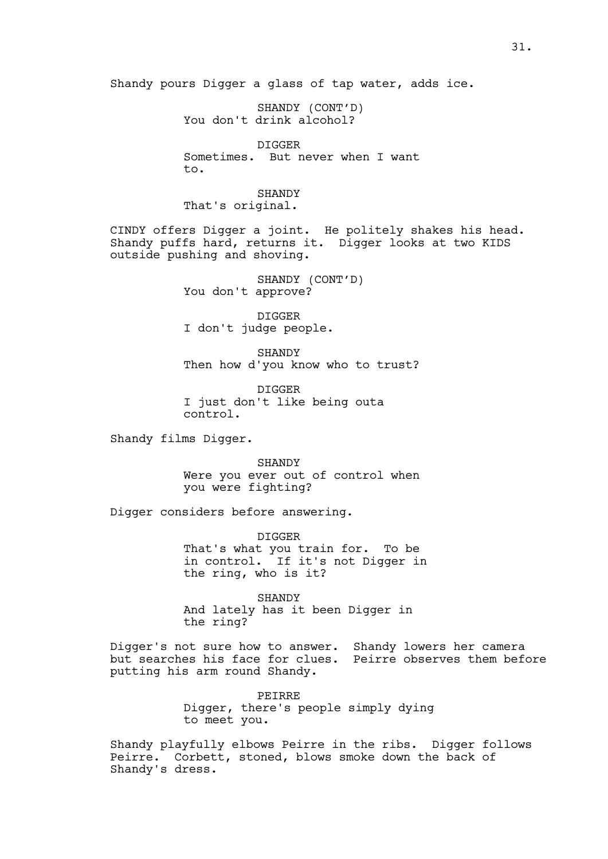Shandy pours Digger a glass of tap water, adds ice.

SHANDY (CONT'D) You don't drink alcohol?

DIGGER Sometimes. But never when I want to.

SHANDY That's original.

CINDY offers Digger a joint. He politely shakes his head. Shandy puffs hard, returns it. Digger looks at two KIDS outside pushing and shoving.

> SHANDY (CONT'D) You don't approve?

DIGGER I don't judge people.

SHANDY Then how d'you know who to trust?

DIGGER I just don't like being outa control.

Shandy films Digger.

SHANDY Were you ever out of control when you were fighting?

Digger considers before answering.

DIGGER That's what you train for. To be in control. If it's not Digger in the ring, who is it?

SHANDY And lately has it been Digger in the ring?

Digger's not sure how to answer. Shandy lowers her camera but searches his face for clues. Peirre observes them before putting his arm round Shandy.

> PEIRRE Digger, there's people simply dying to meet you.

Shandy playfully elbows Peirre in the ribs. Digger follows Peirre. Corbett, stoned, blows smoke down the back of Shandy's dress.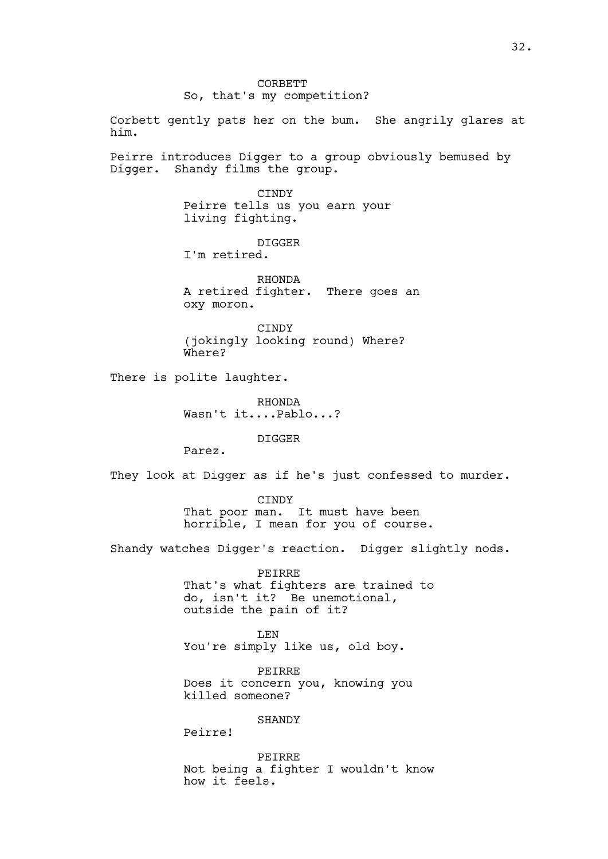Corbett gently pats her on the bum. She angrily glares at him.

Peirre introduces Digger to a group obviously bemused by Digger. Shandy films the group.

> CINDY Peirre tells us you earn your living fighting.

DIGGER I'm retired.

RHONDA A retired fighter. There goes an oxy moron.

CINDY (jokingly looking round) Where? Where?

There is polite laughter.

RHONDA Wasn't it....Pablo...?

DIGGER

Parez.

They look at Digger as if he's just confessed to murder.

CINDY That poor man. It must have been horrible, I mean for you of course.

Shandy watches Digger's reaction. Digger slightly nods.

PEIRRE That's what fighters are trained to do, isn't it? Be unemotional, outside the pain of it?

LEN You're simply like us, old boy.

PEIRRE Does it concern you, knowing you killed someone?

**SHANDY** 

Peirre!

PEIRRE Not being a fighter I wouldn't know how it feels.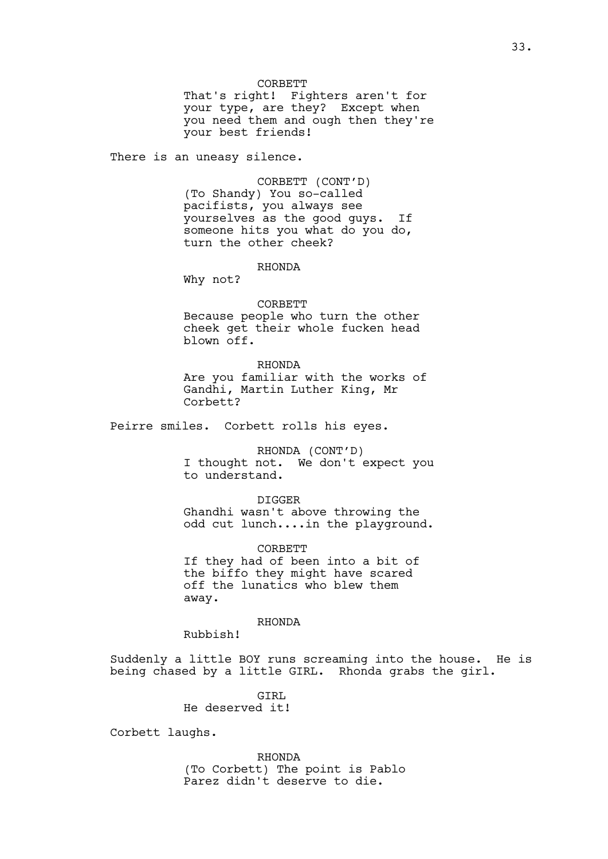CORBETT

That's right! Fighters aren't for your type, are they? Except when you need them and ough then they're your best friends!

There is an uneasy silence.

CORBETT (CONT'D) (To Shandy) You so-called pacifists, you always see yourselves as the good guys. If someone hits you what do you do, turn the other cheek?

RHONDA

Why not?

**CORBETT** Because people who turn the other cheek get their whole fucken head blown off.

RHONDA Are you familiar with the works of Gandhi, Martin Luther King, Mr Corbett?

Peirre smiles. Corbett rolls his eyes.

RHONDA (CONT'D) I thought not. We don't expect you to understand.

DIGGER Ghandhi wasn't above throwing the odd cut lunch....in the playground.

CORBETT If they had of been into a bit of the biffo they might have scared off the lunatics who blew them away.

RHONDA

Rubbish!

Suddenly a little BOY runs screaming into the house. He is being chased by a little GIRL. Rhonda grabs the girl.

> GTRL He deserved it!

Corbett laughs.

RHONDA (To Corbett) The point is Pablo Parez didn't deserve to die.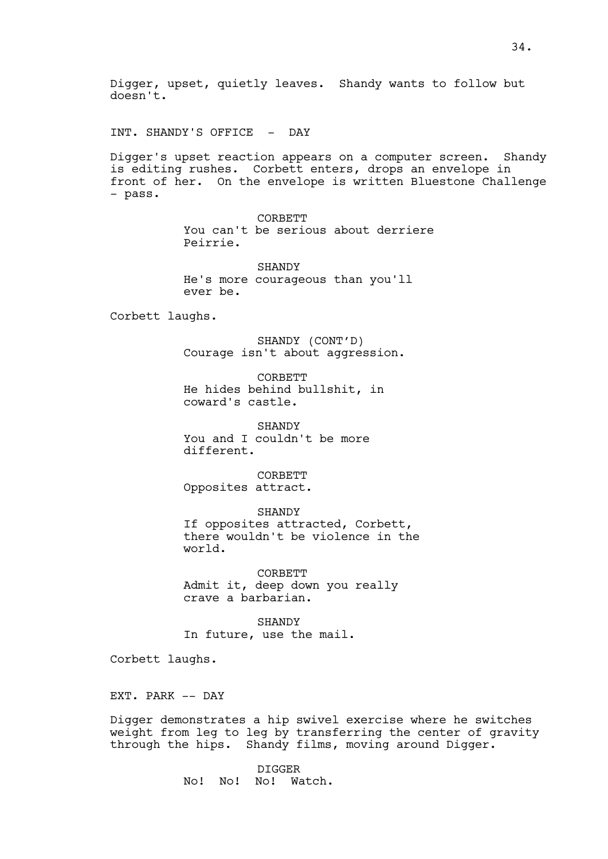INT. SHANDY'S OFFICE - DAY

Digger's upset reaction appears on a computer screen. Shandy is editing rushes. Corbett enters, drops an envelope in front of her. On the envelope is written Bluestone Challenge - pass.

> CORBETT You can't be serious about derriere Peirrie.

**SHANDY** He's more courageous than you'll ever be.

Corbett laughs.

SHANDY (CONT'D) Courage isn't about aggression.

CORBETT He hides behind bullshit, in coward's castle.

SHANDY You and I couldn't be more different.

CORBETT Opposites attract.

SHANDY If opposites attracted, Corbett, there wouldn't be violence in the world.

CORBETT Admit it, deep down you really crave a barbarian.

**SHANDY** In future, use the mail.

Corbett laughs.

EXT. PARK -- DAY

Digger demonstrates a hip swivel exercise where he switches weight from leg to leg by transferring the center of gravity through the hips. Shandy films, moving around Digger.

> DIGGER No! No! No! Watch.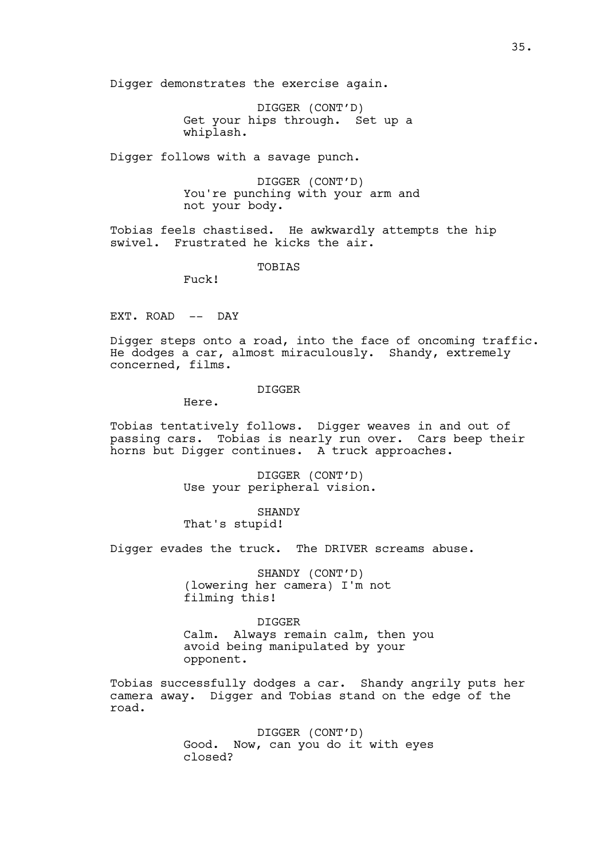Digger demonstrates the exercise again.

DIGGER (CONT'D) Get your hips through. Set up a whiplash.

Digger follows with a savage punch.

DIGGER (CONT'D) You're punching with your arm and not your body.

Tobias feels chastised. He awkwardly attempts the hip swivel. Frustrated he kicks the air.

TOBIAS

Fuck!

EXT. ROAD -- DAY

Digger steps onto a road, into the face of oncoming traffic. He dodges a car, almost miraculously. Shandy, extremely concerned, films.

DIGGER

Here.

Tobias tentatively follows. Digger weaves in and out of passing cars. Tobias is nearly run over. Cars beep their horns but Digger continues. A truck approaches.

> DIGGER (CONT'D) Use your peripheral vision.

SHANDY That's stupid!

Digger evades the truck. The DRIVER screams abuse.

SHANDY (CONT'D) (lowering her camera) I'm not filming this!

DIGGER Calm. Always remain calm, then you avoid being manipulated by your opponent.

Tobias successfully dodges a car. Shandy angrily puts her camera away. Digger and Tobias stand on the edge of the road.

> DIGGER (CONT'D) Good. Now, can you do it with eyes closed?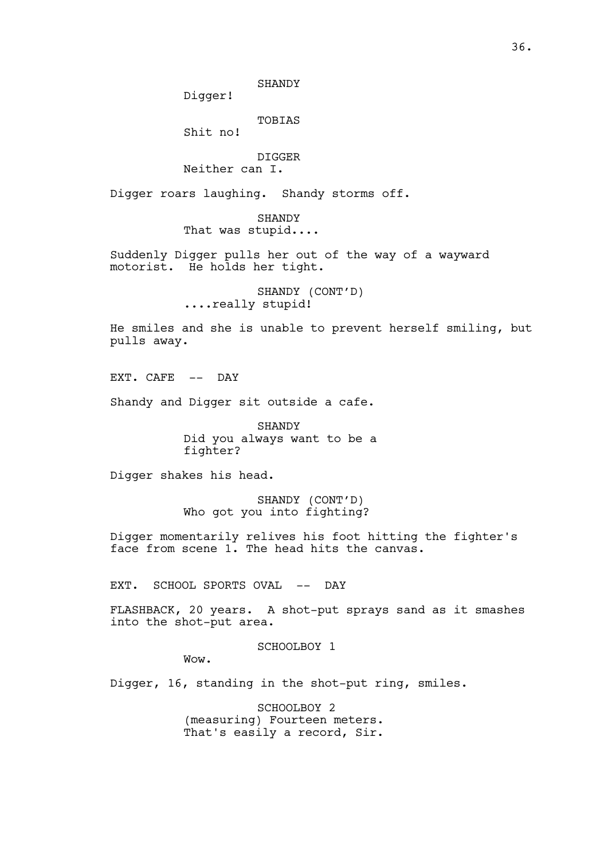SHANDY

Digger!

TOBIAS

Shit no!

DIGGER Neither can I.

Digger roars laughing. Shandy storms off.

SHANDY That was stupid....

Suddenly Digger pulls her out of the way of a wayward motorist. He holds her tight.

> SHANDY (CONT'D) ....really stupid!

He smiles and she is unable to prevent herself smiling, but pulls away.

EXT. CAFE -- DAY

Shandy and Digger sit outside a cafe.

SHANDY Did you always want to be a fighter?

Digger shakes his head.

SHANDY (CONT'D) Who got you into fighting?

Digger momentarily relives his foot hitting the fighter's face from scene 1. The head hits the canvas.

EXT. SCHOOL SPORTS OVAL -- DAY

FLASHBACK, 20 years. A shot-put sprays sand as it smashes into the shot-put area.

SCHOOLBOY 1

Wow.

Digger, 16, standing in the shot-put ring, smiles.

SCHOOLBOY 2 (measuring) Fourteen meters. That's easily a record, Sir.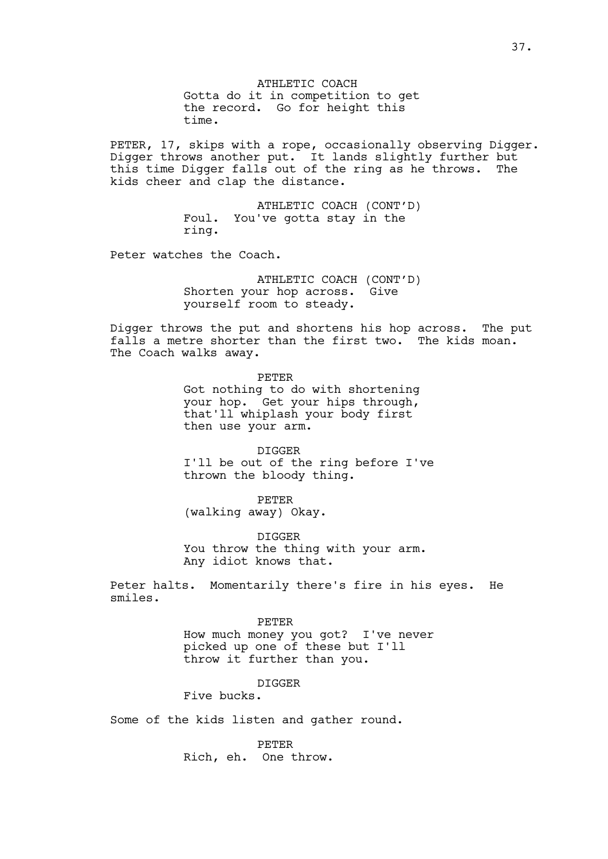ATHLETIC COACH Gotta do it in competition to get the record. Go for height this time.

PETER, 17, skips with a rope, occasionally observing Digger. Digger throws another put. It lands slightly further but this time Digger falls out of the ring as he throws. The kids cheer and clap the distance.

> ATHLETIC COACH (CONT'D) Foul. You've gotta stay in the ring.

Peter watches the Coach.

ATHLETIC COACH (CONT'D) Shorten your hop across. Give yourself room to steady.

Digger throws the put and shortens his hop across. The put falls a metre shorter than the first two. The kids moan. The Coach walks away.

> PETER Got nothing to do with shortening your hop. Get your hips through, that'll whiplash your body first then use your arm.

DIGGER I'll be out of the ring before I've thrown the bloody thing.

PETER (walking away) Okay.

DIGGER You throw the thing with your arm. Any idiot knows that.

Peter halts. Momentarily there's fire in his eyes. He smiles.

#### PETER

How much money you got? I've never picked up one of these but I'll throw it further than you.

## DIGGER

Five bucks.

Some of the kids listen and gather round.

PETER Rich, eh. One throw.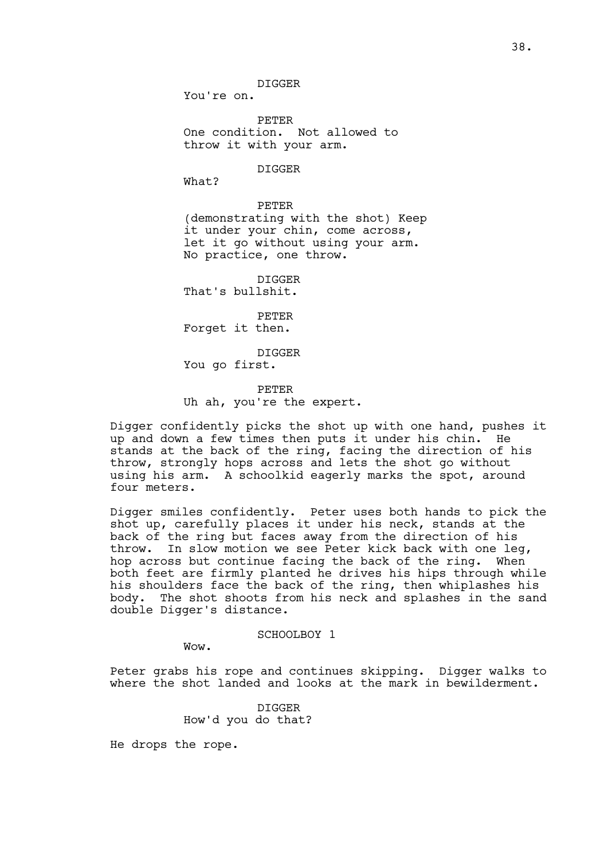DIGGER

You're on.

PETER One condition. Not allowed to throw it with your arm.

DIGGER

What?

PETER (demonstrating with the shot) Keep it under your chin, come across, let it go without using your arm. No practice, one throw.

DIGGER That's bullshit.

PETER Forget it then.

DIGGER You go first.

PETER Uh ah, you're the expert.

Digger confidently picks the shot up with one hand, pushes it up and down a few times then puts it under his chin. He stands at the back of the ring, facing the direction of his throw, strongly hops across and lets the shot go without using his arm. A schoolkid eagerly marks the spot, around four meters.

Digger smiles confidently. Peter uses both hands to pick the shot up, carefully places it under his neck, stands at the back of the ring but faces away from the direction of his throw. In slow motion we see Peter kick back with one leg, hop across but continue facing the back of the ring. When both feet are firmly planted he drives his hips through while his shoulders face the back of the ring, then whiplashes his body. The shot shoots from his neck and splashes in the sand double Digger's distance.

## SCHOOLBOY 1

Wow.

Peter grabs his rope and continues skipping. Digger walks to where the shot landed and looks at the mark in bewilderment.

> DIGGER How'd you do that?

He drops the rope.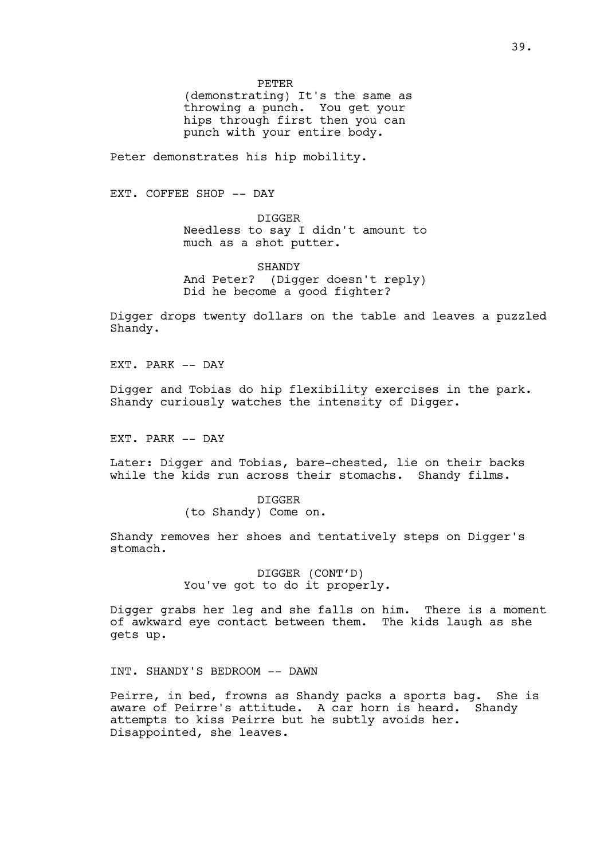PETER

(demonstrating) It's the same as throwing a punch. You get your hips through first then you can punch with your entire body.

Peter demonstrates his hip mobility.

EXT. COFFEE SHOP -- DAY

DIGGER Needless to say I didn't amount to much as a shot putter.

SHANDY And Peter? (Digger doesn't reply) Did he become a good fighter?

Digger drops twenty dollars on the table and leaves a puzzled Shandy.

EXT. PARK -- DAY

Digger and Tobias do hip flexibility exercises in the park. Shandy curiously watches the intensity of Digger.

EXT. PARK -- DAY

Later: Digger and Tobias, bare-chested, lie on their backs while the kids run across their stomachs. Shandy films.

> DIGGER (to Shandy) Come on.

Shandy removes her shoes and tentatively steps on Digger's stomach.

> DIGGER (CONT'D) You've got to do it properly.

Digger grabs her leg and she falls on him. There is a moment of awkward eye contact between them. The kids laugh as she gets up.

INT. SHANDY'S BEDROOM -- DAWN

Peirre, in bed, frowns as Shandy packs a sports bag. She is aware of Peirre's attitude. A car horn is heard. Shandy attempts to kiss Peirre but he subtly avoids her. Disappointed, she leaves.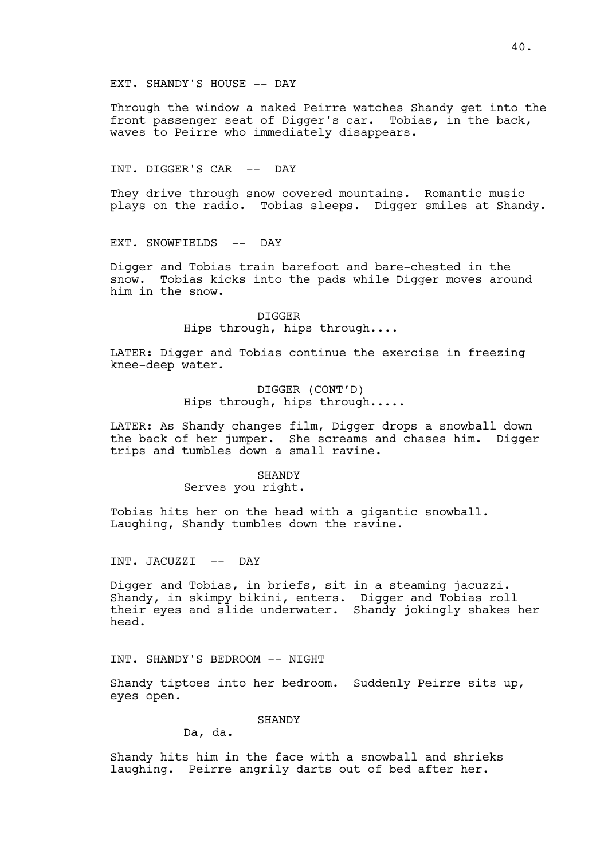EXT. SHANDY'S HOUSE -- DAY

Through the window a naked Peirre watches Shandy get into the front passenger seat of Digger's car. Tobias, in the back, waves to Peirre who immediately disappears.

INT. DIGGER'S CAR -- DAY

They drive through snow covered mountains. Romantic music plays on the radio. Tobias sleeps. Digger smiles at Shandy.

EXT. SNOWFIELDS -- DAY

Digger and Tobias train barefoot and bare-chested in the snow. Tobias kicks into the pads while Digger moves around him in the snow.

> DIGGER Hips through, hips through....

LATER: Digger and Tobias continue the exercise in freezing knee-deep water.

> DIGGER (CONT'D) Hips through, hips through.....

LATER: As Shandy changes film, Digger drops a snowball down the back of her jumper. She screams and chases him. Digger trips and tumbles down a small ravine.

### SHANDY

### Serves you right.

Tobias hits her on the head with a gigantic snowball. Laughing, Shandy tumbles down the ravine.

INT. JACUZZI -- DAY

Digger and Tobias, in briefs, sit in a steaming jacuzzi. Shandy, in skimpy bikini, enters. Digger and Tobias roll their eyes and slide underwater. Shandy jokingly shakes her head.

INT. SHANDY'S BEDROOM -- NIGHT

Shandy tiptoes into her bedroom. Suddenly Peirre sits up, eyes open.

# SHANDY

Da, da.

Shandy hits him in the face with a snowball and shrieks laughing. Peirre angrily darts out of bed after her.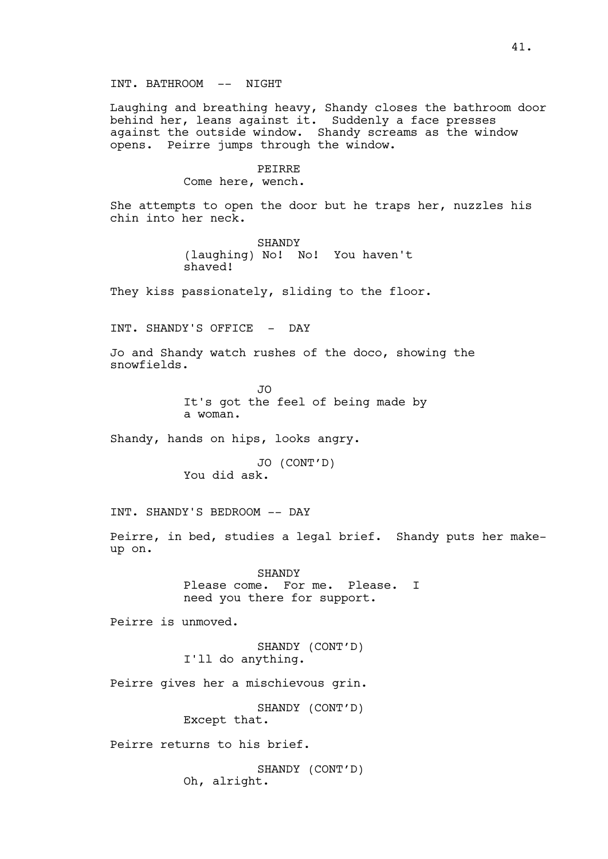Laughing and breathing heavy, Shandy closes the bathroom door behind her, leans against it. Suddenly a face presses against the outside window. Shandy screams as the window opens. Peirre jumps through the window.

#### PEIRRE

Come here, wench.

She attempts to open the door but he traps her, nuzzles his chin into her neck.

> SHANDY (laughing) No! No! You haven't shaved!

They kiss passionately, sliding to the floor.

INT. SHANDY'S OFFICE - DAY

Jo and Shandy watch rushes of the doco, showing the snowfields.

> JO It's got the feel of being made by a woman.

Shandy, hands on hips, looks angry.

JO (CONT'D) You did ask.

INT. SHANDY'S BEDROOM -- DAY

Peirre, in bed, studies a legal brief. Shandy puts her makeup on.

> SHANDY Please come. For me. Please. I need you there for support.

Peirre is unmoved.

SHANDY (CONT'D) I'll do anything.

Peirre gives her a mischievous grin.

SHANDY (CONT'D) Except that.

Peirre returns to his brief.

SHANDY (CONT'D) Oh, alright.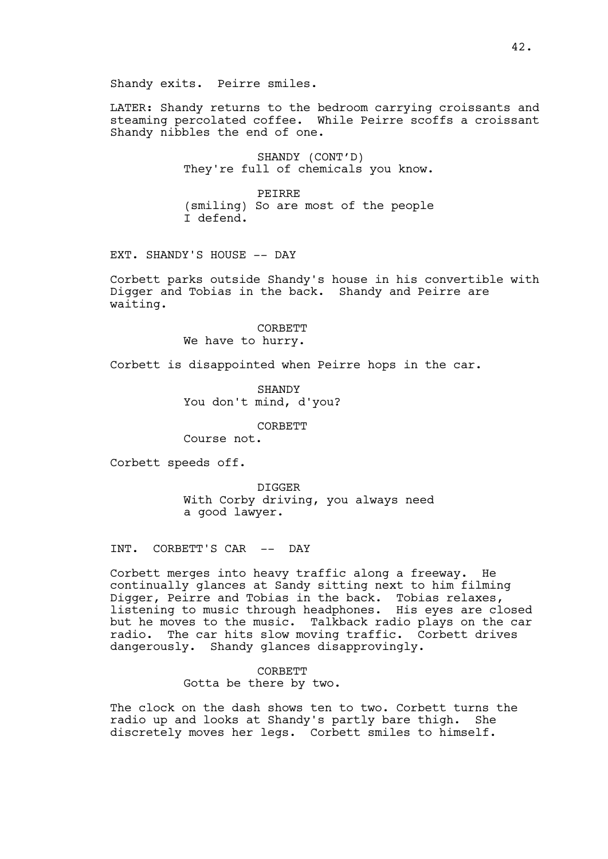Shandy exits. Peirre smiles.

LATER: Shandy returns to the bedroom carrying croissants and steaming percolated coffee. While Peirre scoffs a croissant Shandy nibbles the end of one.

> SHANDY (CONT'D) They're full of chemicals you know.

> PEIRRE (smiling) So are most of the people I defend.

EXT. SHANDY'S HOUSE -- DAY

Corbett parks outside Shandy's house in his convertible with Digger and Tobias in the back. Shandy and Peirre are waiting.

> CORBETT We have to hurry.

Corbett is disappointed when Peirre hops in the car.

SHANDY You don't mind, d'you?

CORBETT

Course not.

Corbett speeds off.

DIGGER With Corby driving, you always need a good lawyer.

INT. CORBETT'S CAR -- DAY

Corbett merges into heavy traffic along a freeway. He continually glances at Sandy sitting next to him filming Digger, Peirre and Tobias in the back. Tobias relaxes, listening to music through headphones. His eyes are closed but he moves to the music. Talkback radio plays on the car radio. The car hits slow moving traffic. Corbett drives dangerously. Shandy glances disapprovingly.

> **CORBETT** Gotta be there by two.

The clock on the dash shows ten to two. Corbett turns the radio up and looks at Shandy's partly bare thigh. She discretely moves her legs. Corbett smiles to himself.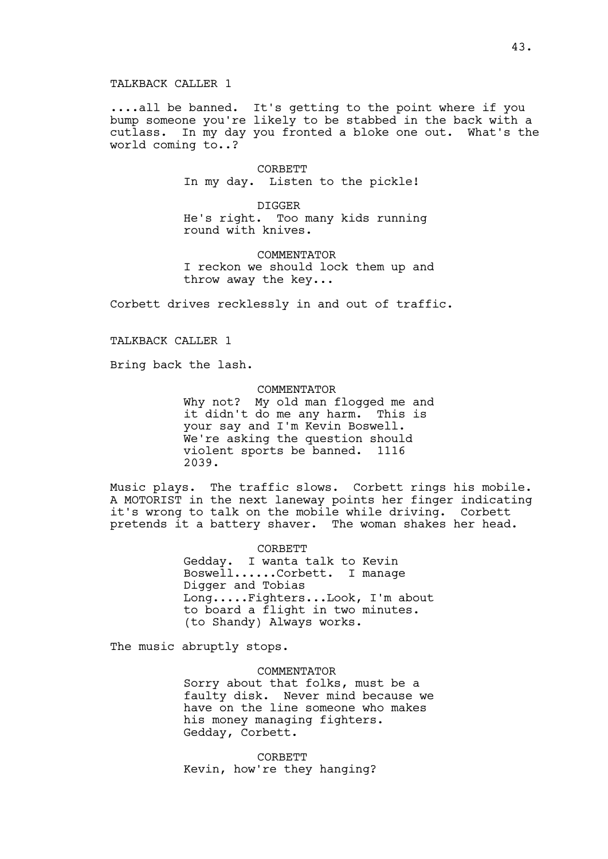....all be banned. It's getting to the point where if you bump someone you're likely to be stabbed in the back with a cutlass. In my day you fronted a bloke one out. What's the world coming to..?

> CORBETT In my day. Listen to the pickle!

DIGGER He's right. Too many kids running round with knives.

COMMENTATOR I reckon we should lock them up and throw away the key...

Corbett drives recklessly in and out of traffic.

## TALKBACK CALLER 1

Bring back the lash.

#### COMMENTATOR

Why not? My old man flogged me and<br>it didn't do me any harm. This is it didn't do me any harm. your say and I'm Kevin Boswell. We're asking the question should<br>violent sports be banned. 1116 violent sports be banned. 2039.

Music plays. The traffic slows. Corbett rings his mobile. A MOTORIST in the next laneway points her finger indicating it's wrong to talk on the mobile while driving. Corbett pretends it a battery shaver. The woman shakes her head.

> CORBETT Gedday. I wanta talk to Kevin Boswell......Corbett. I manage Digger and Tobias Long.....Fighters...Look, I'm about to board a flight in two minutes. (to Shandy) Always works.

The music abruptly stops.

COMMENTATOR Sorry about that folks, must be a faulty disk. Never mind because we have on the line someone who makes his money managing fighters. Gedday, Corbett.

**CORBETT** Kevin, how're they hanging?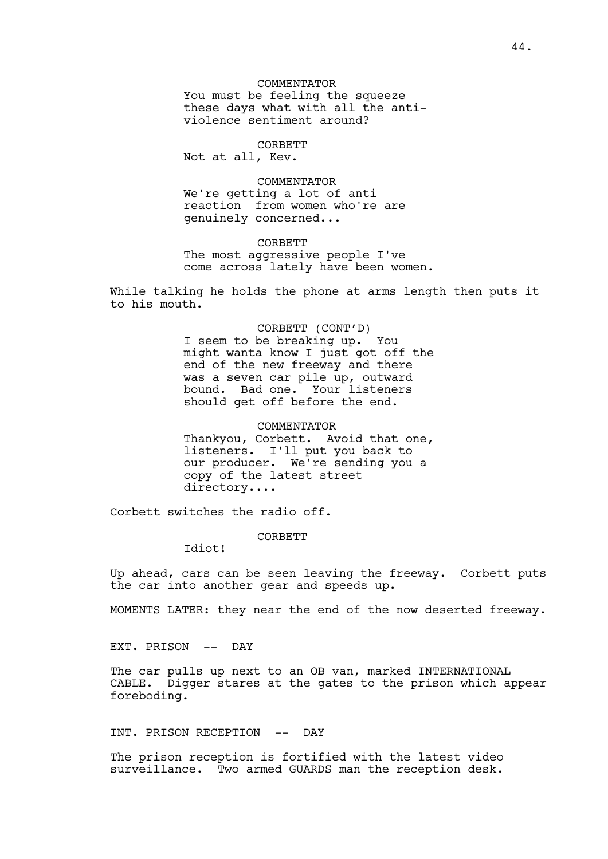You must be feeling the squeeze these days what with all the antiviolence sentiment around?

## CORBETT

Not at all, Kev.

#### COMMENTATOR

We're getting a lot of anti reaction from women who're are genuinely concerned...

#### CORBETT

The most aggressive people I've come across lately have been women.

While talking he holds the phone at arms length then puts it to his mouth.

> CORBETT (CONT'D) I seem to be breaking up. You might wanta know I just got off the end of the new freeway and there was a seven car pile up, outward bound. Bad one. Your listeners should get off before the end.

# COMMENTATOR Thankyou, Corbett. Avoid that one, listeners. I'll put you back to our producer. We're sending you a copy of the latest street directory....

Corbett switches the radio off.

CORBETT

Idiot!

Up ahead, cars can be seen leaving the freeway. Corbett puts the car into another gear and speeds up.

MOMENTS LATER: they near the end of the now deserted freeway.

EXT. PRISON -- DAY

The car pulls up next to an OB van, marked INTERNATIONAL CABLE. Digger stares at the gates to the prison which appear foreboding.

# INT. PRISON RECEPTION -- DAY

The prison reception is fortified with the latest video surveillance. Two armed GUARDS man the reception desk.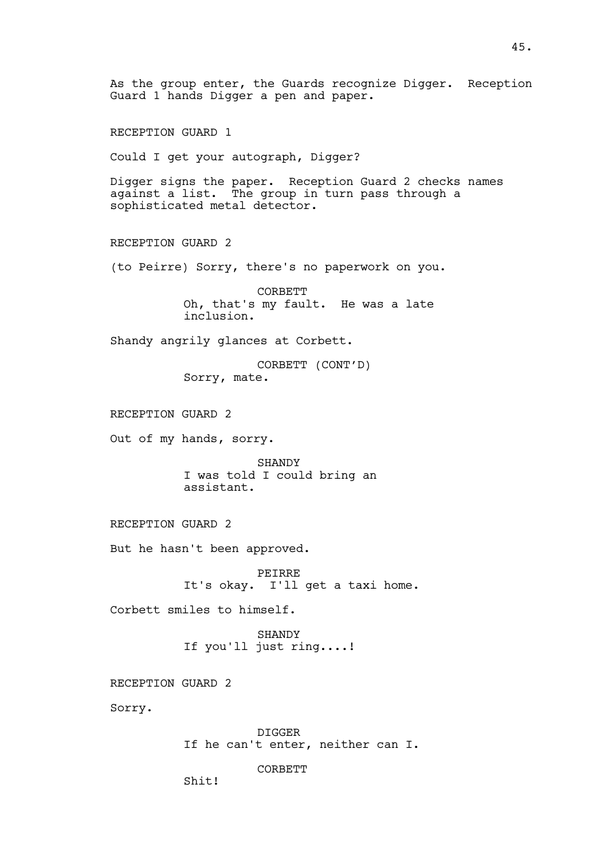As the group enter, the Guards recognize Digger. Reception Guard 1 hands Digger a pen and paper. RECEPTION GUARD 1 Could I get your autograph, Digger? Digger signs the paper. Reception Guard 2 checks names against a list. The group in turn pass through a sophisticated metal detector. RECEPTION GUARD 2 (to Peirre) Sorry, there's no paperwork on you. CORBETT Oh, that's my fault. He was a late inclusion. Shandy angrily glances at Corbett. CORBETT (CONT'D) Sorry, mate. RECEPTION GUARD 2 Out of my hands, sorry. SHANDY I was told I could bring an assistant. RECEPTION GUARD 2 But he hasn't been approved. PEIRRE It's okay. I'll get a taxi home. Corbett smiles to himself. SHANDY If you'll just ring....! RECEPTION GUARD 2 Sorry. DIGGER If he can't enter, neither can I. **CORBETT** Shit!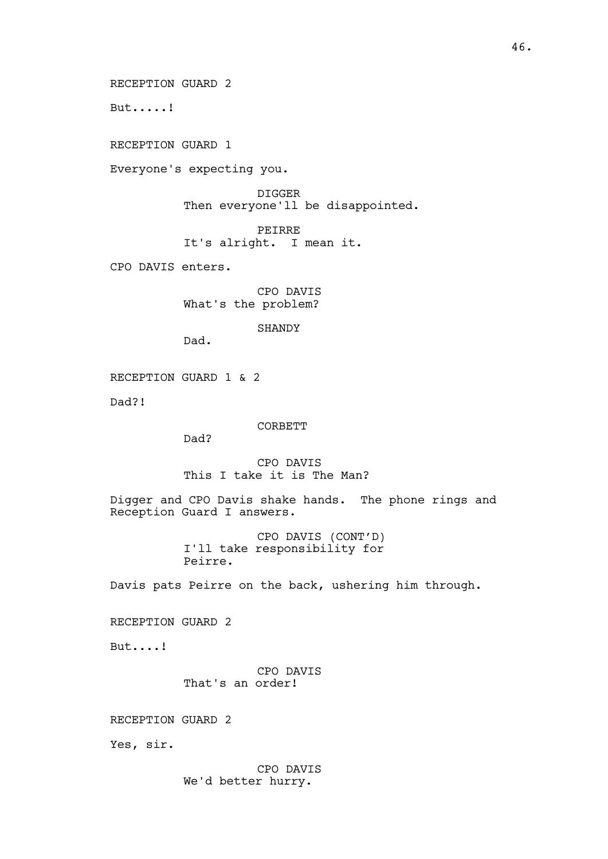RECEPTION GUARD 2

But.....!

RECEPTION GUARD 1

Everyone's expecting you.

DIGGER Then everyone'll be disappointed.

PEIRRE It's alright. I mean it.

CPO DAVIS enters.

CPO DAVIS What's the problem?

SHANDY

Dad.

RECEPTION GUARD 1 & 2

Dad?!

CORBETT

Dad?

CPO DAVIS This I take it is The Man?

Digger and CPO Davis shake hands. The phone rings and Reception Guard I answers.

> CPO DAVIS (CONT'D) I'll take responsibility for Peirre.

Davis pats Peirre on the back, ushering him through.

RECEPTION GUARD 2

But....!

CPO DAVIS That's an order!

RECEPTION GUARD 2

Yes, sir.

CPO DAVIS We'd better hurry.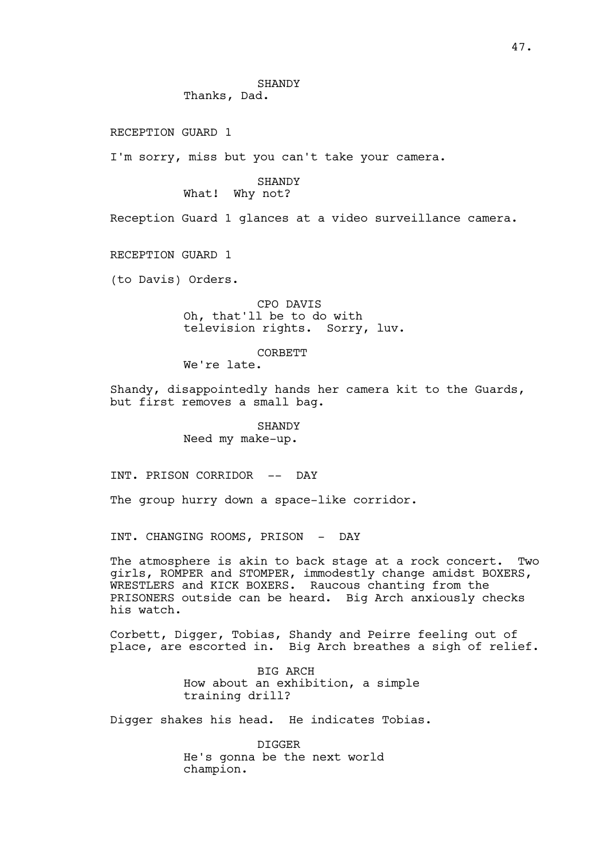RECEPTION GUARD 1

I'm sorry, miss but you can't take your camera.

## SHANDY What! Why not?

Reception Guard 1 glances at a video surveillance camera.

RECEPTION GUARD 1

(to Davis) Orders.

# CPO DAVIS Oh, that'll be to do with television rights. Sorry, luv.

## CORBETT

We're late.

Shandy, disappointedly hands her camera kit to the Guards, but first removes a small bag.

> SHANDY Need my make-up.

INT. PRISON CORRIDOR -- DAY

The group hurry down a space-like corridor.

INT. CHANGING ROOMS, PRISON - DAY

The atmosphere is akin to back stage at a rock concert. Two girls, ROMPER and STOMPER, immodestly change amidst BOXERS, WRESTLERS and KICK BOXERS. Raucous chanting from the PRISONERS outside can be heard. Big Arch anxiously checks his watch.

Corbett, Digger, Tobias, Shandy and Peirre feeling out of place, are escorted in. Big Arch breathes a sigh of relief.

> BIG ARCH How about an exhibition, a simple training drill?

Digger shakes his head. He indicates Tobias.

DIGGER He's gonna be the next world champion.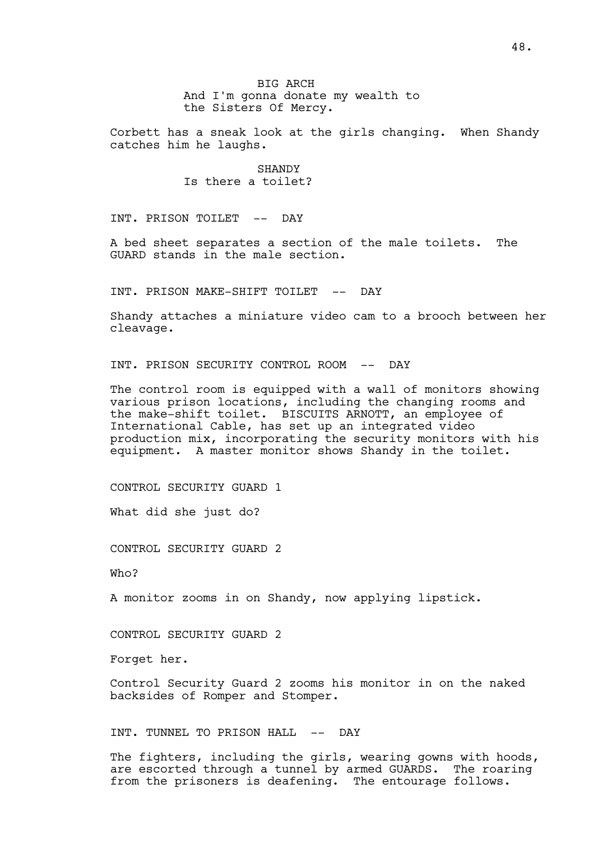Corbett has a sneak look at the girls changing. When Shandy catches him he laughs.

> SHANDY Is there a toilet?

INT. PRISON TOILET -- DAY

A bed sheet separates a section of the male toilets. The GUARD stands in the male section.

INT. PRISON MAKE-SHIFT TOILET -- DAY

Shandy attaches a miniature video cam to a brooch between her cleavage.

INT. PRISON SECURITY CONTROL ROOM -- DAY

The control room is equipped with a wall of monitors showing various prison locations, including the changing rooms and the make-shift toilet. BISCUITS ARNOTT, an employee of International Cable, has set up an integrated video production mix, incorporating the security monitors with his equipment. A master monitor shows Shandy in the toilet.

CONTROL SECURITY GUARD 1

What did she just do?

CONTROL SECURITY GUARD 2

Who?

A monitor zooms in on Shandy, now applying lipstick.

CONTROL SECURITY GUARD 2

Forget her.

Control Security Guard 2 zooms his monitor in on the naked backsides of Romper and Stomper.

INT. TUNNEL TO PRISON HALL -- DAY

The fighters, including the girls, wearing gowns with hoods, are escorted through a tunnel by armed GUARDS. The roaring from the prisoners is deafening. The entourage follows.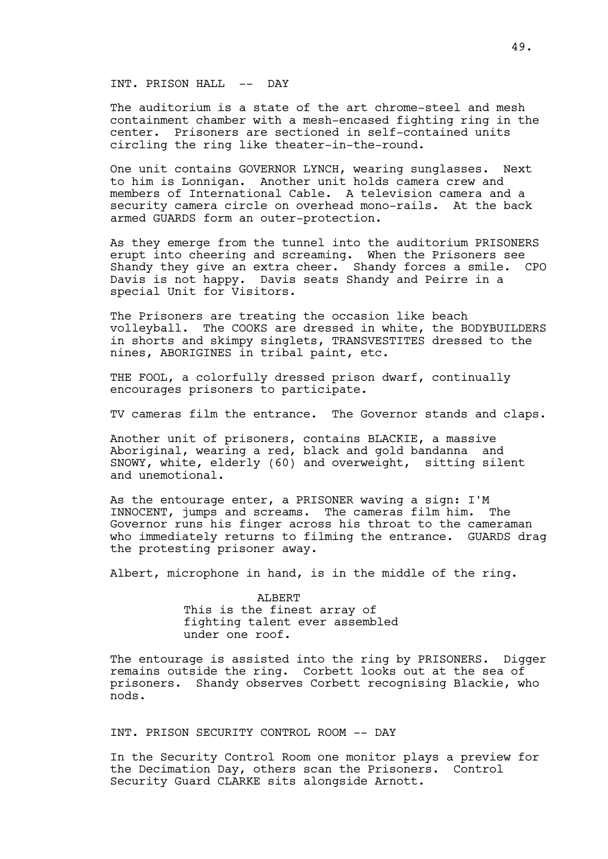#### INT. PRISON HALL -- DAY

The auditorium is a state of the art chrome-steel and mesh containment chamber with a mesh-encased fighting ring in the center. Prisoners are sectioned in self-contained units circling the ring like theater-in-the-round.

One unit contains GOVERNOR LYNCH, wearing sunglasses. Next to him is Lonnigan. Another unit holds camera crew and members of International Cable. A television camera and a security camera circle on overhead mono-rails. At the back armed GUARDS form an outer-protection.

As they emerge from the tunnel into the auditorium PRISONERS erupt into cheering and screaming. When the Prisoners see Shandy they give an extra cheer. Shandy forces a smile. CPO Davis is not happy. Davis seats Shandy and Peirre in a special Unit for Visitors.

The Prisoners are treating the occasion like beach volleyball. The COOKS are dressed in white, the BODYBUILDERS in shorts and skimpy singlets, TRANSVESTITES dressed to the nines, ABORIGINES in tribal paint, etc.

THE FOOL, a colorfully dressed prison dwarf, continually encourages prisoners to participate.

TV cameras film the entrance. The Governor stands and claps.

Another unit of prisoners, contains BLACKIE, a massive Aboriginal, wearing a red, black and gold bandanna and SNOWY, white, elderly (60) and overweight, sitting silent and unemotional.

As the entourage enter, a PRISONER waving a sign: I'M INNOCENT, jumps and screams. The cameras film him. The Governor runs his finger across his throat to the cameraman who immediately returns to filming the entrance. GUARDS drag the protesting prisoner away.

Albert, microphone in hand, is in the middle of the ring.

ALBERT This is the finest array of fighting talent ever assembled under one roof.

The entourage is assisted into the ring by PRISONERS. Digger remains outside the ring. Corbett looks out at the sea of prisoners. Shandy observes Corbett recognising Blackie, who nods.

INT. PRISON SECURITY CONTROL ROOM -- DAY

In the Security Control Room one monitor plays a preview for<br>the Decimation Day, others scan the Prisoners. Control the Decimation Day, others scan the Prisoners. Security Guard CLARKE sits alongside Arnott.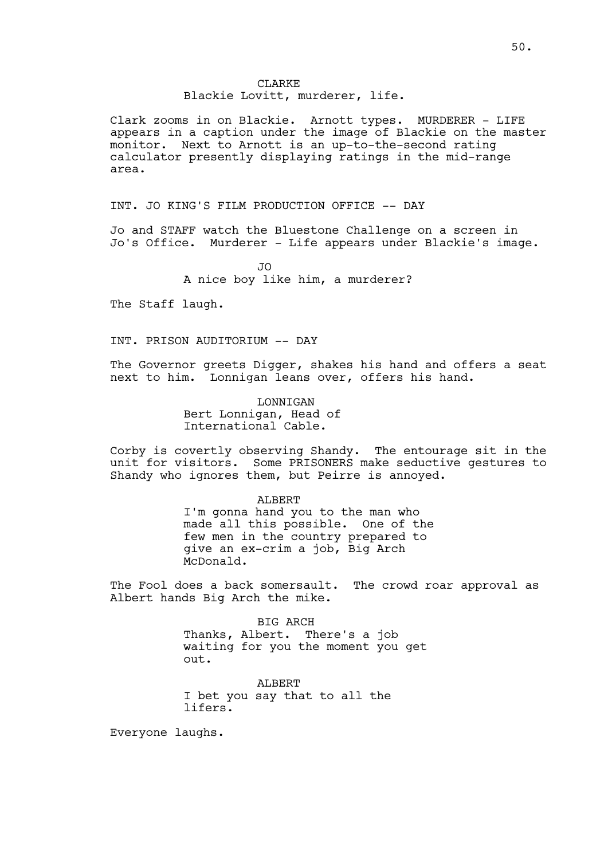## CLARKE Blackie Lovitt, murderer, life.

Clark zooms in on Blackie. Arnott types. MURDERER - LIFE appears in a caption under the image of Blackie on the master monitor. Next to Arnott is an up-to-the-second rating calculator presently displaying ratings in the mid-range area.

INT. JO KING'S FILM PRODUCTION OFFICE -- DAY

Jo and STAFF watch the Bluestone Challenge on a screen in Jo's Office. Murderer - Life appears under Blackie's image.

> $\overline{J}$ A nice boy like him, a murderer?

The Staff laugh.

INT. PRISON AUDITORIUM -- DAY

The Governor greets Digger, shakes his hand and offers a seat next to him. Lonnigan leans over, offers his hand.

> LONNIGAN Bert Lonnigan, Head of International Cable.

Corby is covertly observing Shandy. The entourage sit in the unit for visitors. Some PRISONERS make seductive gestures to Shandy who ignores them, but Peirre is annoyed.

ALBERT

I'm gonna hand you to the man who made all this possible. One of the few men in the country prepared to give an ex-crim a job, Big Arch McDonald.

The Fool does a back somersault. The crowd roar approval as Albert hands Big Arch the mike.

> BIG ARCH Thanks, Albert. There's a job waiting for you the moment you get out.

ALBERT I bet you say that to all the lifers.

Everyone laughs.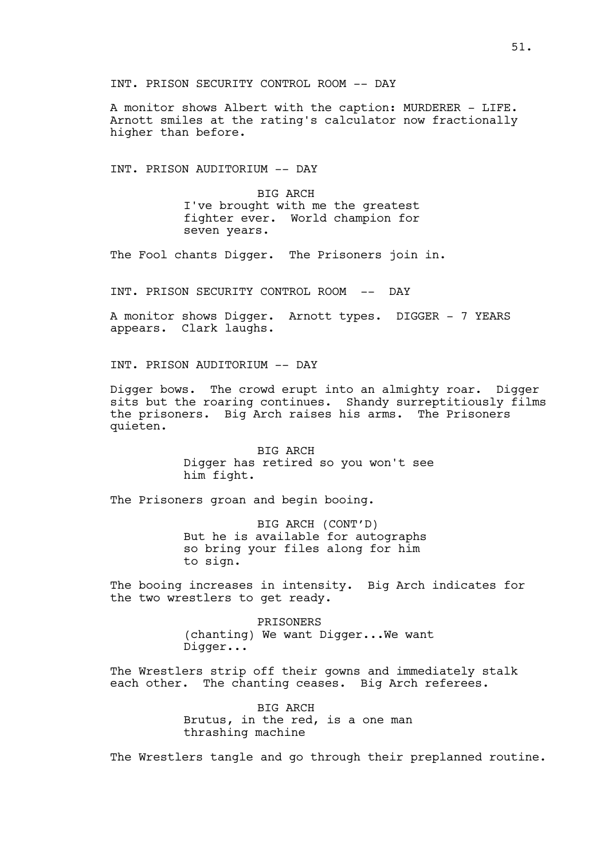INT. PRISON SECURITY CONTROL ROOM -- DAY

A monitor shows Albert with the caption: MURDERER - LIFE. Arnott smiles at the rating's calculator now fractionally higher than before.

INT. PRISON AUDITORIUM -- DAY

BIG ARCH I've brought with me the greatest fighter ever. World champion for seven years.

The Fool chants Digger. The Prisoners join in.

INT. PRISON SECURITY CONTROL ROOM -- DAY

A monitor shows Digger. Arnott types. DIGGER - 7 YEARS appears. Clark laughs.

INT. PRISON AUDITORIUM -- DAY

Digger bows. The crowd erupt into an almighty roar. Digger sits but the roaring continues. Shandy surreptitiously films the prisoners. Big Arch raises his arms. The Prisoners quieten.

> BIG ARCH Digger has retired so you won't see him fight.

The Prisoners groan and begin booing.

BIG ARCH (CONT'D) But he is available for autographs so bring your files along for him to sign.

The booing increases in intensity. Big Arch indicates for the two wrestlers to get ready.

> **PRISONERS** (chanting) We want Digger...We want Digger...

The Wrestlers strip off their gowns and immediately stalk each other. The chanting ceases. Big Arch referees.

> BIG ARCH Brutus, in the red, is a one man thrashing machine

The Wrestlers tangle and go through their preplanned routine.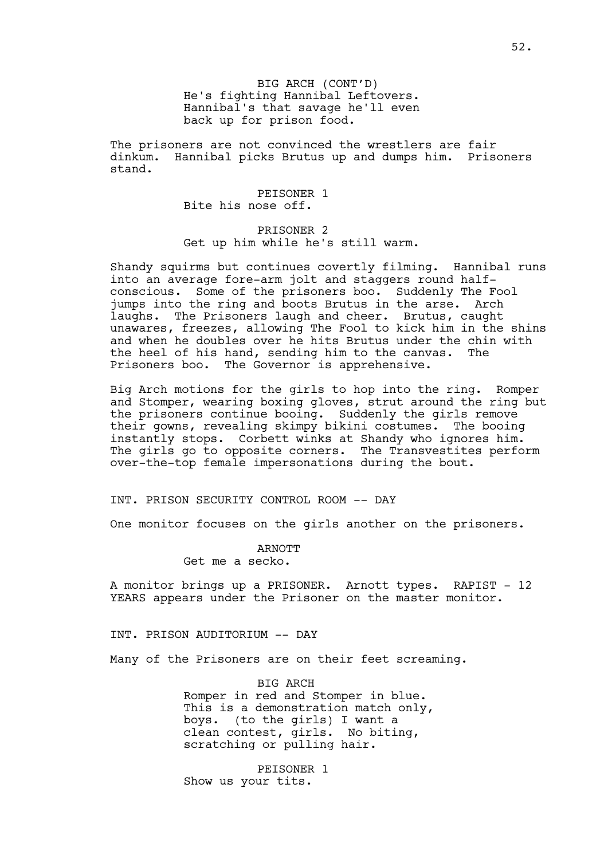BIG ARCH (CONT'D) He's fighting Hannibal Leftovers. Hannibal's that savage he'll even back up for prison food.

The prisoners are not convinced the wrestlers are fair dinkum. Hannibal picks Brutus up and dumps him. Prisoners stand.

> PEISONER 1 Bite his nose off.

PRISONER 2 Get up him while he's still warm.

Shandy squirms but continues covertly filming. Hannibal runs into an average fore-arm jolt and staggers round halfconscious. Some of the prisoners boo. Suddenly The Fool jumps into the ring and boots Brutus in the arse. Arch laughs. The Prisoners laugh and cheer. Brutus, caught unawares, freezes, allowing The Fool to kick him in the shins and when he doubles over he hits Brutus under the chin with the heel of his hand, sending him to the canvas. The Prisoners boo. The Governor is apprehensive.

Big Arch motions for the girls to hop into the ring. Romper and Stomper, wearing boxing gloves, strut around the ring but the prisoners continue booing. Suddenly the girls remove their gowns, revealing skimpy bikini costumes. The booing instantly stops. Corbett winks at Shandy who ignores him. The girls go to opposite corners. The Transvestites perform over-the-top female impersonations during the bout.

INT. PRISON SECURITY CONTROL ROOM -- DAY

One monitor focuses on the girls another on the prisoners.

ARNOTT

Get me a secko.

A monitor brings up a PRISONER. Arnott types. RAPIST - 12 YEARS appears under the Prisoner on the master monitor.

INT. PRISON AUDITORIUM -- DAY

Many of the Prisoners are on their feet screaming.

BIG ARCH Romper in red and Stomper in blue. This is a demonstration match only, boys. (to the girls) I want a clean contest, girls. No biting, scratching or pulling hair.

PEISONER 1 Show us your tits.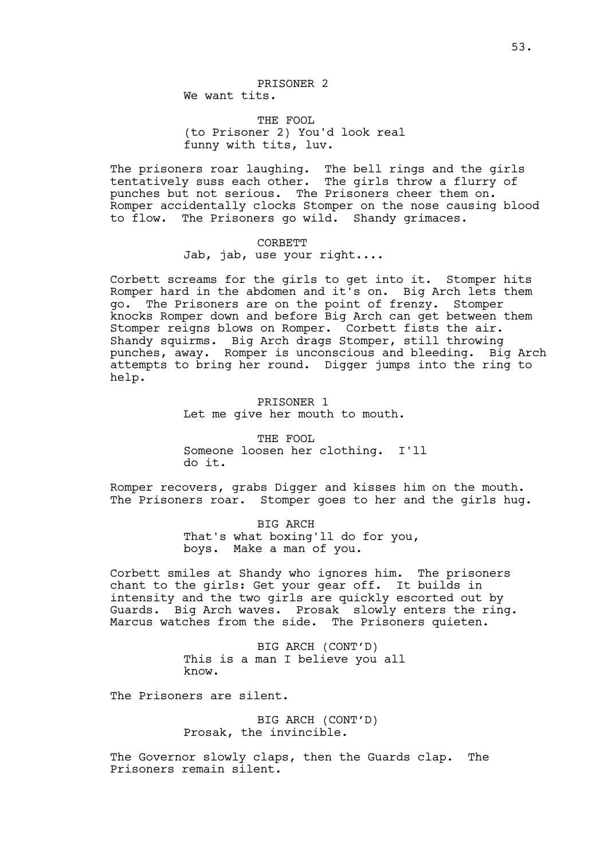THE FOOL (to Prisoner 2) You'd look real funny with tits, luv.

The prisoners roar laughing. The bell rings and the girls tentatively suss each other. The girls throw a flurry of punches but not serious. The Prisoners cheer them on. Romper accidentally clocks Stomper on the nose causing blood to flow. The Prisoners go wild. Shandy grimaces.

# CORBETT

Jab, jab, use your right....

Corbett screams for the girls to get into it. Stomper hits Romper hard in the abdomen and it's on. Big Arch lets them go. The Prisoners are on the point of frenzy. Stomper knocks Romper down and before Big Arch can get between them Stomper reigns blows on Romper. Corbett fists the air. Shandy squirms. Big Arch drags Stomper, still throwing punches, away. Romper is unconscious and bleeding. Big Arch attempts to bring her round. Digger jumps into the ring to help.

> PRISONER 1 Let me give her mouth to mouth.

THE FOOL Someone loosen her clothing. I'll do it.

Romper recovers, grabs Digger and kisses him on the mouth. The Prisoners roar. Stomper goes to her and the girls hug.

> BIG ARCH That's what boxing'll do for you, boys. Make a man of you.

Corbett smiles at Shandy who ignores him. The prisoners chant to the girls: Get your gear off. It builds in intensity and the two girls are quickly escorted out by Guards. Big Arch waves. Prosak slowly enters the ring. Marcus watches from the side. The Prisoners quieten.

> BIG ARCH (CONT'D) This is a man I believe you all know.

The Prisoners are silent.

BIG ARCH (CONT'D) Prosak, the invincible.

The Governor slowly claps, then the Guards clap. The Prisoners remain silent.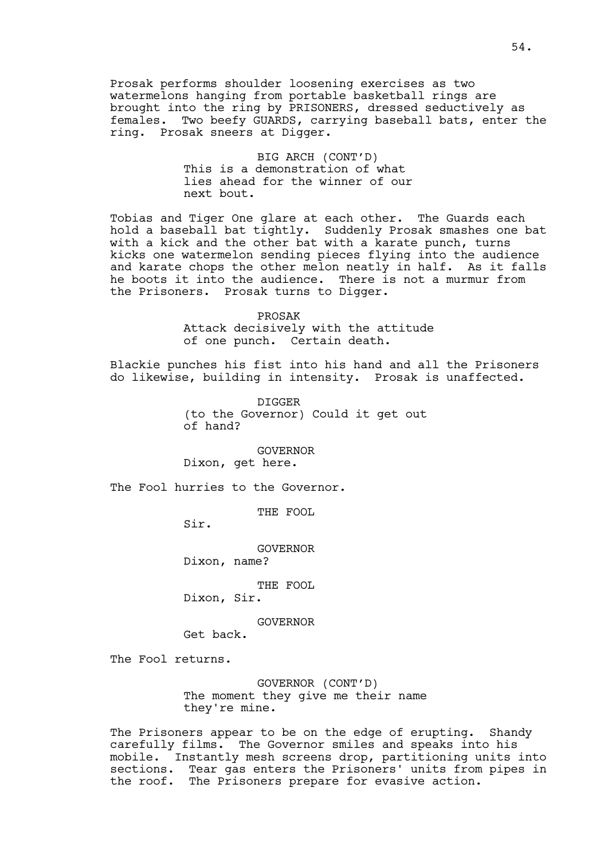Prosak performs shoulder loosening exercises as two watermelons hanging from portable basketball rings are brought into the ring by PRISONERS, dressed seductively as females. Two beefy GUARDS, carrying baseball bats, enter the ring. Prosak sneers at Digger.

> BIG ARCH (CONT'D) This is a demonstration of what lies ahead for the winner of our next bout.

Tobias and Tiger One glare at each other. The Guards each hold a baseball bat tightly. Suddenly Prosak smashes one bat with a kick and the other bat with a karate punch, turns kicks one watermelon sending pieces flying into the audience and karate chops the other melon neatly in half. As it falls he boots it into the audience. There is not a murmur from the Prisoners. Prosak turns to Digger.

> PROSAK Attack decisively with the attitude of one punch. Certain death.

Blackie punches his fist into his hand and all the Prisoners do likewise, building in intensity. Prosak is unaffected.

> DIGGER (to the Governor) Could it get out of hand?

> > GOVERNOR

Dixon, get here.

The Fool hurries to the Governor.

THE FOOL

Sir.

GOVERNOR

Dixon, name?

THE FOOL

Dixon, Sir.

GOVERNOR

Get back.

The Fool returns.

GOVERNOR (CONT'D) The moment they give me their name they're mine.

The Prisoners appear to be on the edge of erupting. Shandy carefully films. The Governor smiles and speaks into his mobile. Instantly mesh screens drop, partitioning units into sections. Tear gas enters the Prisoners' units from pipes in the roof. The Prisoners prepare for evasive action.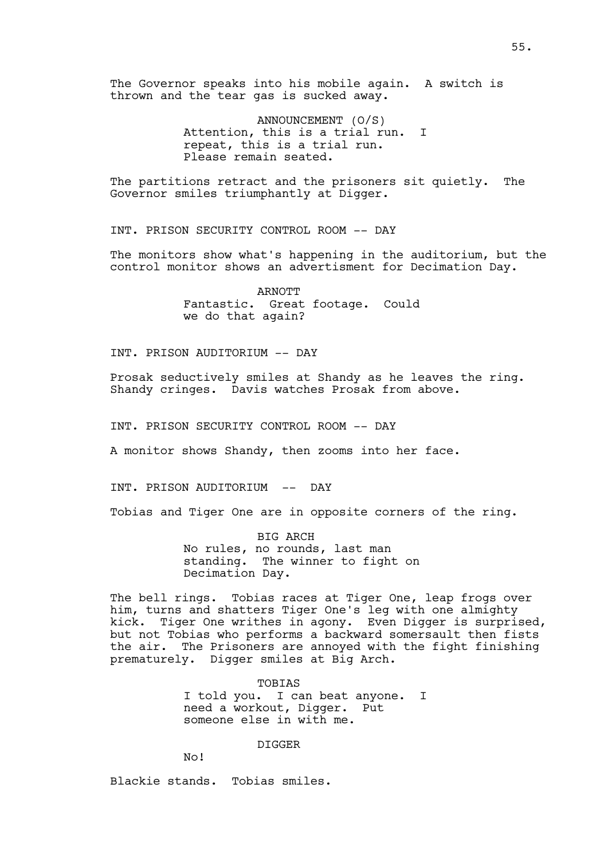The Governor speaks into his mobile again. A switch is thrown and the tear gas is sucked away.

> ANNOUNCEMENT (O/S) Attention, this is a trial run. I repeat, this is a trial run. Please remain seated.

The partitions retract and the prisoners sit quietly. The Governor smiles triumphantly at Digger.

INT. PRISON SECURITY CONTROL ROOM -- DAY

The monitors show what's happening in the auditorium, but the control monitor shows an advertisment for Decimation Day.

> ARNOTT Fantastic. Great footage. Could we do that again?

INT. PRISON AUDITORIUM -- DAY

Prosak seductively smiles at Shandy as he leaves the ring. Shandy cringes. Davis watches Prosak from above.

INT. PRISON SECURITY CONTROL ROOM -- DAY

A monitor shows Shandy, then zooms into her face.

INT. PRISON AUDITORIUM -- DAY

Tobias and Tiger One are in opposite corners of the ring.

BIG ARCH No rules, no rounds, last man standing. The winner to fight on Decimation Day.

The bell rings. Tobias races at Tiger One, leap frogs over him, turns and shatters Tiger One's leg with one almighty kick. Tiger One writhes in agony. Even Digger is surprised, but not Tobias who performs a backward somersault then fists the air. The Prisoners are annoyed with the fight finishing prematurely. Digger smiles at Big Arch.

> TOBIAS I told you. I can beat anyone. I need a workout, Digger. Put someone else in with me.

> > DIGGER

No!

Blackie stands. Tobias smiles.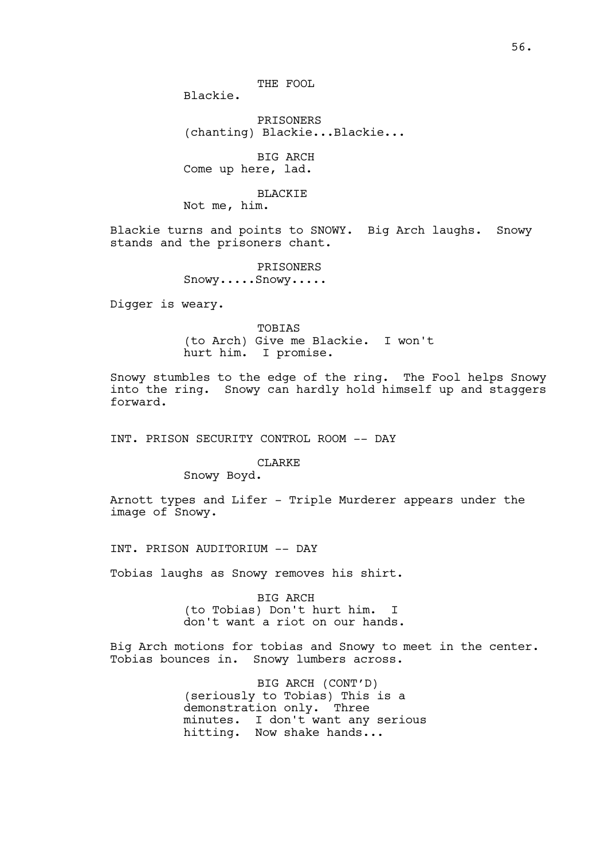THE FOOL

Blackie.

PRISONERS (chanting) Blackie...Blackie...

BIG ARCH Come up here, lad.

BLACKIE

Not me, him.

Blackie turns and points to SNOWY. Big Arch laughs. Snowy stands and the prisoners chant.

> PRISONERS Snowy.....Snowy.....

Digger is weary.

TOBIAS (to Arch) Give me Blackie. I won't hurt him. I promise.

Snowy stumbles to the edge of the ring. The Fool helps Snowy into the ring. Snowy can hardly hold himself up and staggers forward.

INT. PRISON SECURITY CONTROL ROOM -- DAY

CLARKE

Snowy Boyd.

Arnott types and Lifer - Triple Murderer appears under the image of Snowy.

INT. PRISON AUDITORIUM -- DAY

Tobias laughs as Snowy removes his shirt.

BIG ARCH (to Tobias) Don't hurt him. I don't want a riot on our hands.

Big Arch motions for tobias and Snowy to meet in the center. Tobias bounces in. Snowy lumbers across.

> BIG ARCH (CONT'D) (seriously to Tobias) This is a demonstration only. Three minutes. I don't want any serious hitting. Now shake hands...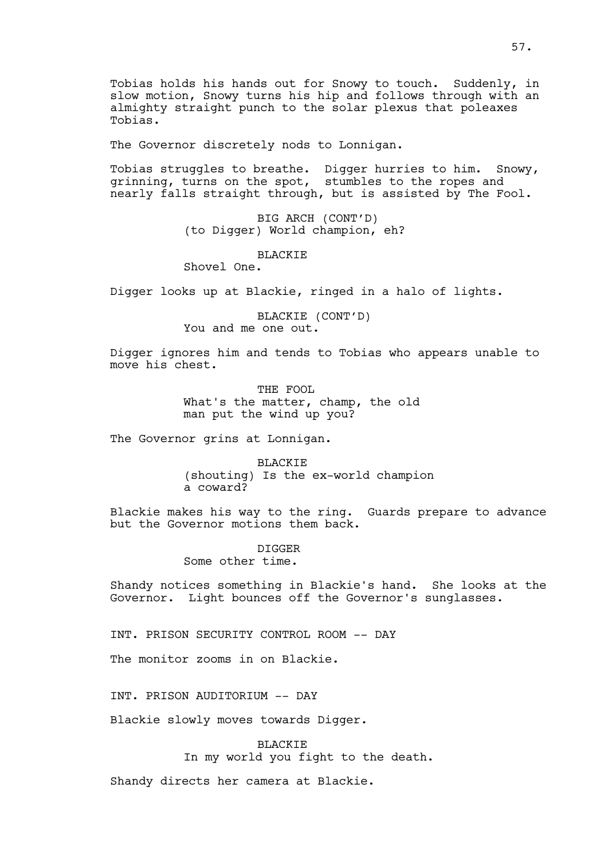The Governor discretely nods to Lonnigan.

Tobias struggles to breathe. Digger hurries to him. Snowy, grinning, turns on the spot, stumbles to the ropes and nearly falls straight through, but is assisted by The Fool.

> BIG ARCH (CONT'D) (to Digger) World champion, eh?

#### **BLACKIE**

Shovel One.

Digger looks up at Blackie, ringed in a halo of lights.

BLACKIE (CONT'D) You and me one out.

Digger ignores him and tends to Tobias who appears unable to move his chest.

> THE FOOL What's the matter, champ, the old man put the wind up you?

The Governor grins at Lonnigan.

BLACKIE (shouting) Is the ex-world champion a coward?

Blackie makes his way to the ring. Guards prepare to advance but the Governor motions them back.

> DIGGER Some other time.

Shandy notices something in Blackie's hand. She looks at the Governor. Light bounces off the Governor's sunglasses.

INT. PRISON SECURITY CONTROL ROOM -- DAY

The monitor zooms in on Blackie.

INT. PRISON AUDITORIUM -- DAY

Blackie slowly moves towards Digger.

**BLACKIE** In my world you fight to the death.

Shandy directs her camera at Blackie.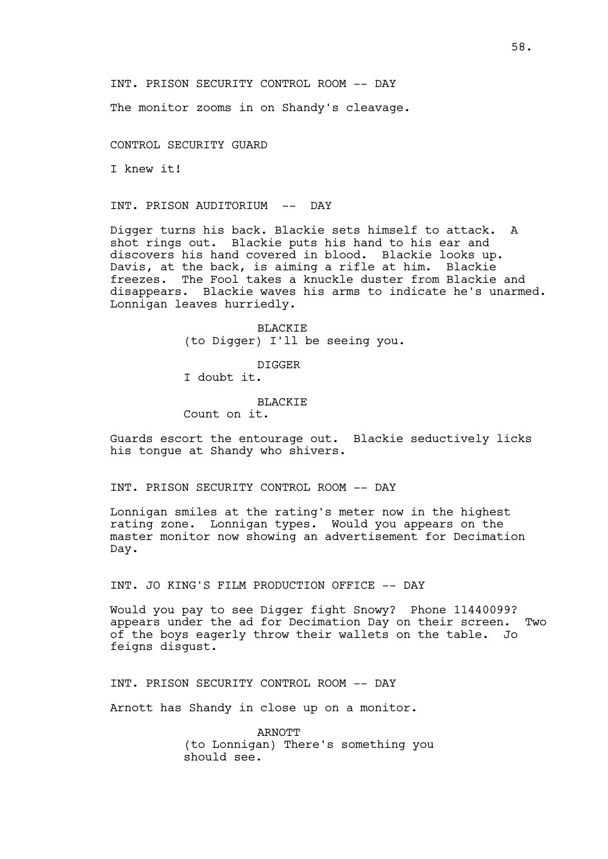The monitor zooms in on Shandy's cleavage.

CONTROL SECURITY GUARD

I knew it!

INT. PRISON AUDITORIUM -- DAY

Digger turns his back. Blackie sets himself to attack. A shot rings out. Blackie puts his hand to his ear and discovers his hand covered in blood. Blackie looks up. Davis, at the back, is aiming a rifle at him. Blackie freezes. The Fool takes a knuckle duster from Blackie and disappears. Blackie waves his arms to indicate he's unarmed. Lonnigan leaves hurriedly.

> BLACKIE (to Digger) I'll be seeing you.

DIGGER I doubt it.

BLACKIE Count on it.

Guards escort the entourage out. Blackie seductively licks his tongue at Shandy who shivers.

INT. PRISON SECURITY CONTROL ROOM -- DAY

Lonnigan smiles at the rating's meter now in the highest rating zone. Lonnigan types. Would you appears on the master monitor now showing an advertisement for Decimation Day.

INT. JO KING'S FILM PRODUCTION OFFICE -- DAY

Would you pay to see Digger fight Snowy? Phone 11440099? appears under the ad for Decimation Day on their screen. Two of the boys eagerly throw their wallets on the table. Jo feigns disgust.

INT. PRISON SECURITY CONTROL ROOM -- DAY

Arnott has Shandy in close up on a monitor.

ARNOTT (to Lonnigan) There's something you should see.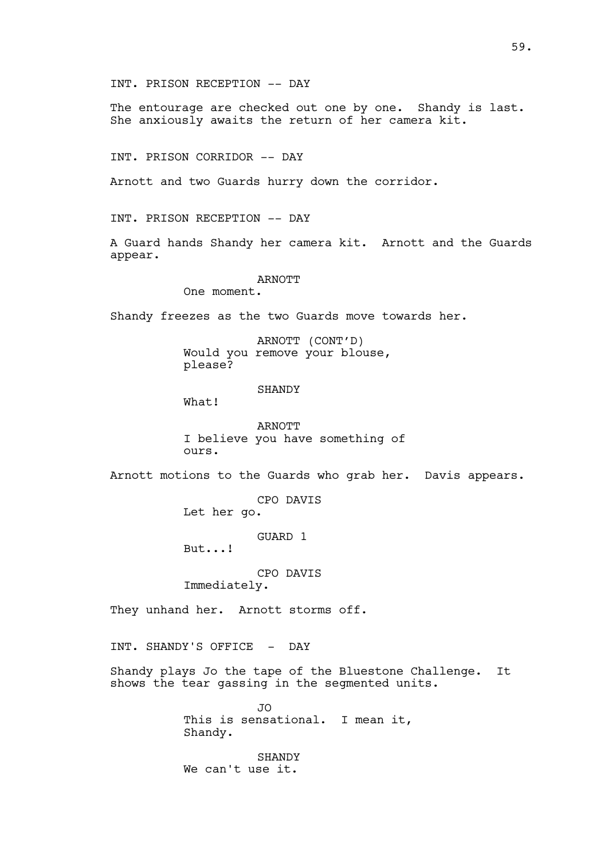INT. PRISON RECEPTION -- DAY

The entourage are checked out one by one. Shandy is last. She anxiously awaits the return of her camera kit.

INT. PRISON CORRIDOR -- DAY

Arnott and two Guards hurry down the corridor.

INT. PRISON RECEPTION -- DAY

A Guard hands Shandy her camera kit. Arnott and the Guards appear.

## ARNOTT

One moment.

Shandy freezes as the two Guards move towards her.

ARNOTT (CONT'D) Would you remove your blouse, please?

#### SHANDY

What!

ARNOTT I believe you have something of ours.

Arnott motions to the Guards who grab her. Davis appears.

CPO DAVIS

Let her go.

GUARD 1

But...!

CPO DAVIS

Immediately.

They unhand her. Arnott storms off.

INT. SHANDY'S OFFICE - DAY

Shandy plays Jo the tape of the Bluestone Challenge. It shows the tear gassing in the segmented units.

> JO This is sensational. I mean it, Shandy.

**SHANDY** We can't use it.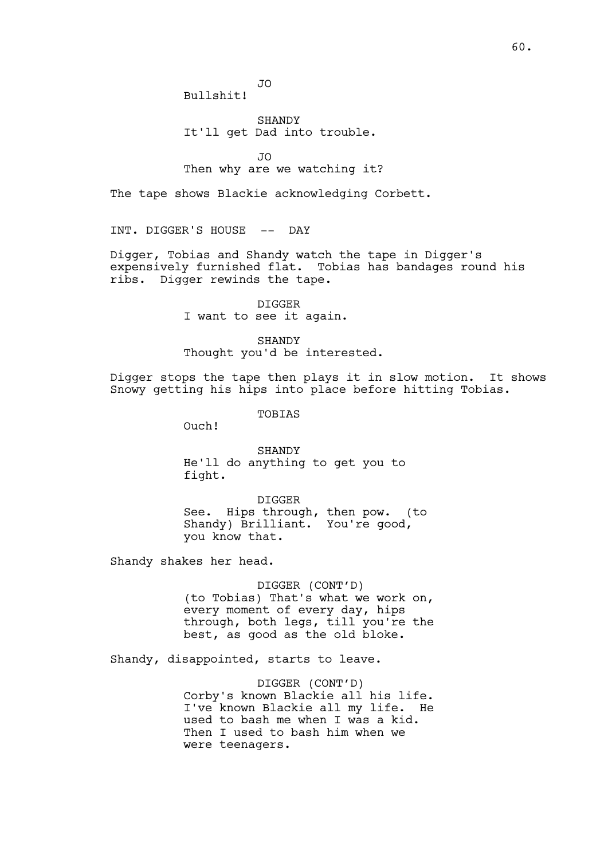JO Bullshit!

SHANDY It'll get Dad into trouble.

JO

# Then why are we watching it?

The tape shows Blackie acknowledging Corbett.

INT. DIGGER'S HOUSE -- DAY

Digger, Tobias and Shandy watch the tape in Digger's expensively furnished flat. Tobias has bandages round his ribs. Digger rewinds the tape.

> DIGGER I want to see it again.

SHANDY Thought you'd be interested.

Digger stops the tape then plays it in slow motion. It shows Snowy getting his hips into place before hitting Tobias.

TOBIAS

Ouch!

SHANDY He'll do anything to get you to fight.

DIGGER See. Hips through, then pow. (to Shandy) Brilliant. You're good, you know that.

Shandy shakes her head.

DIGGER (CONT'D) (to Tobias) That's what we work on, every moment of every day, hips through, both legs, till you're the best, as good as the old bloke.

Shandy, disappointed, starts to leave.

DIGGER (CONT'D) Corby's known Blackie all his life. I've known Blackie all my life. He used to bash me when I was a kid. Then I used to bash him when we were teenagers.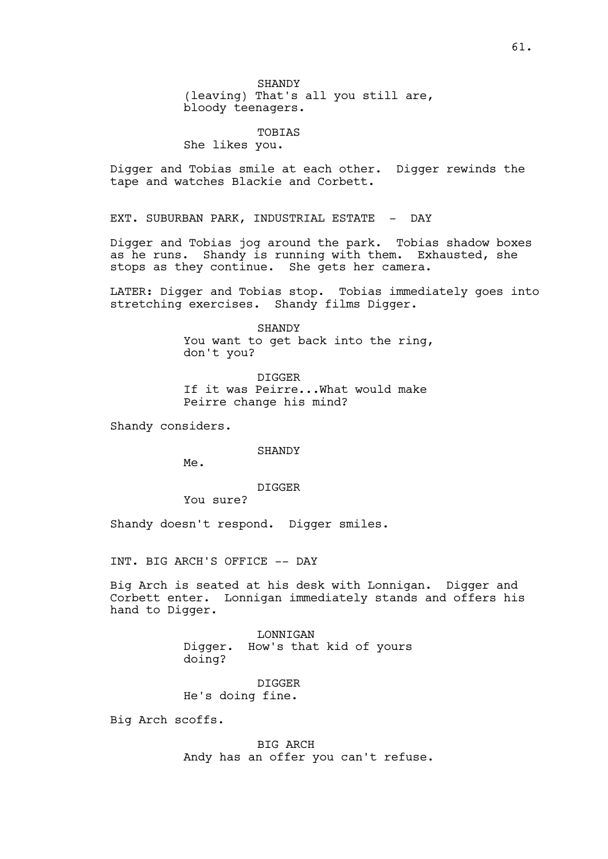SHANDY (leaving) That's all you still are, bloody teenagers.

TOBIAS

She likes you.

Digger and Tobias smile at each other. Digger rewinds the tape and watches Blackie and Corbett.

EXT. SUBURBAN PARK, INDUSTRIAL ESTATE - DAY

Digger and Tobias jog around the park. Tobias shadow boxes as he runs. Shandy is running with them. Exhausted, she stops as they continue. She gets her camera.

LATER: Digger and Tobias stop. Tobias immediately goes into stretching exercises. Shandy films Digger.

> SHANDY You want to get back into the ring, don't you?

DIGGER If it was Peirre...What would make Peirre change his mind?

Shandy considers.

SHANDY

Me.

DIGGER

You sure?

Shandy doesn't respond. Digger smiles.

INT. BIG ARCH'S OFFICE -- DAY

Big Arch is seated at his desk with Lonnigan. Digger and Corbett enter. Lonnigan immediately stands and offers his hand to Digger.

> LONNIGAN Digger. How's that kid of yours doing?

DIGGER He's doing fine.

Big Arch scoffs.

BIG ARCH Andy has an offer you can't refuse.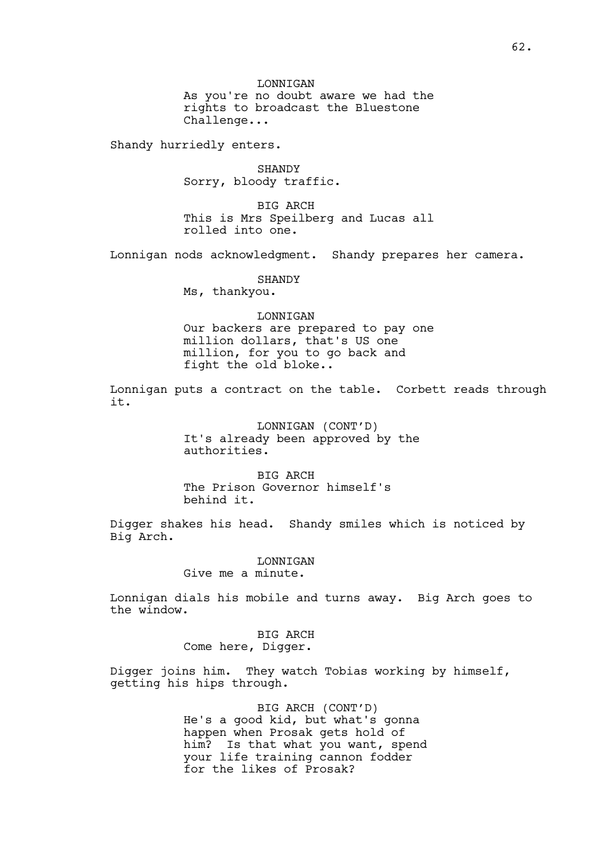LONNIGAN As you're no doubt aware we had the rights to broadcast the Bluestone Challenge...

Shandy hurriedly enters.

SHANDY Sorry, bloody traffic.

BIG ARCH This is Mrs Speilberg and Lucas all rolled into one.

Lonnigan nods acknowledgment. Shandy prepares her camera.

SHANDY

Ms, thankyou.

#### LONNIGAN

Our backers are prepared to pay one million dollars, that's US one million, for you to go back and fight the old bloke..

Lonnigan puts a contract on the table. Corbett reads through it.

> LONNIGAN (CONT'D) It's already been approved by the authorities.

BIG ARCH The Prison Governor himself's behind it.

Digger shakes his head. Shandy smiles which is noticed by Big Arch.

> LONNIGAN Give me a minute.

Lonnigan dials his mobile and turns away. Big Arch goes to the window.

> BIG ARCH Come here, Digger.

Digger joins him. They watch Tobias working by himself, getting his hips through.

> BIG ARCH (CONT'D) He's a good kid, but what's gonna happen when Prosak gets hold of him? Is that what you want, spend your life training cannon fodder for the likes of Prosak?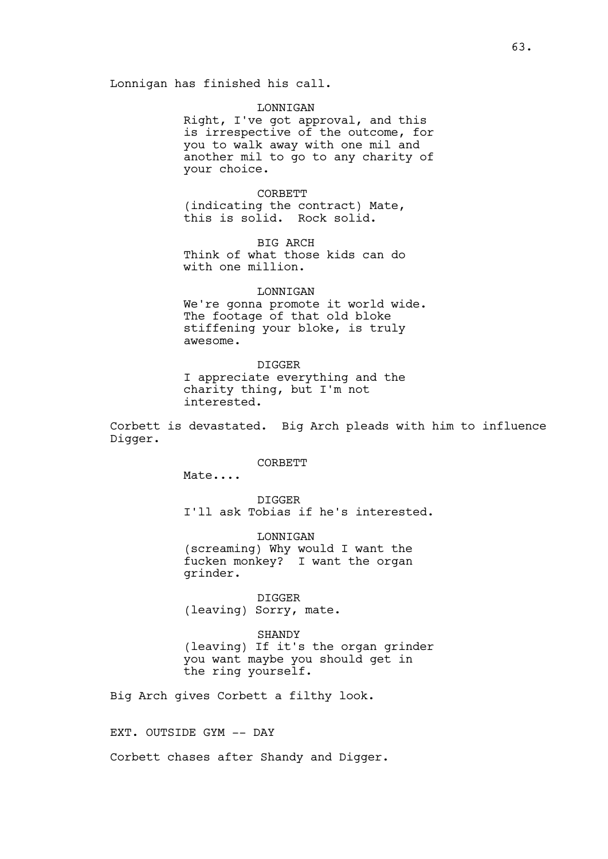## LONNIGAN

Right, I've got approval, and this is irrespective of the outcome, for you to walk away with one mil and another mil to go to any charity of your choice.

CORBETT (indicating the contract) Mate, this is solid. Rock solid.

BIG ARCH Think of what those kids can do with one million.

#### LONNIGAN

We're gonna promote it world wide. The footage of that old bloke stiffening your bloke, is truly awesome.

DIGGER I appreciate everything and the charity thing, but I'm not interested.

Corbett is devastated. Big Arch pleads with him to influence Digger.

CORBETT

Mate....

DIGGER I'll ask Tobias if he's interested.

LONNIGAN (screaming) Why would I want the fucken monkey? I want the organ grinder.

DIGGER (leaving) Sorry, mate.

SHANDY (leaving) If it's the organ grinder you want maybe you should get in the ring yourself.

Big Arch gives Corbett a filthy look.

EXT. OUTSIDE GYM -- DAY

Corbett chases after Shandy and Digger.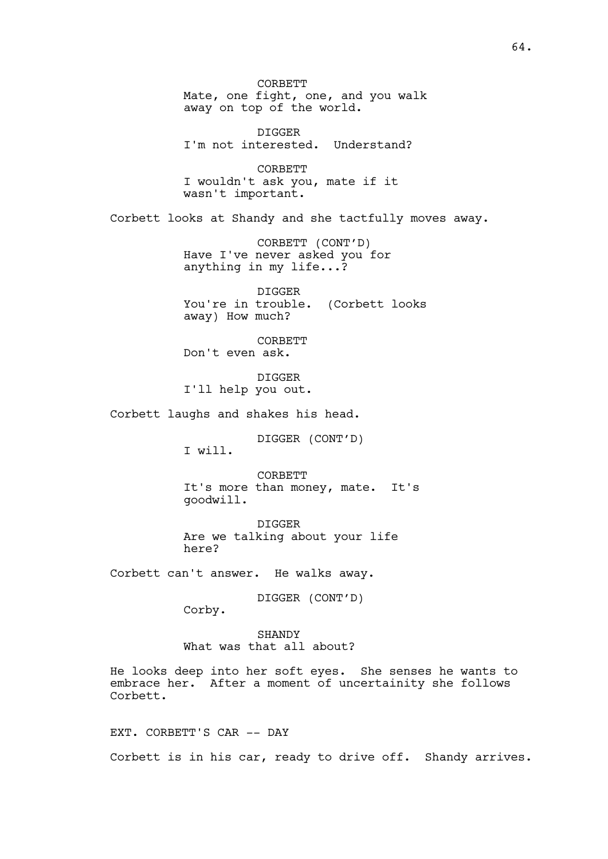CORBETT Mate, one fight, one, and you walk away on top of the world. DIGGER I'm not interested. Understand? CORBETT I wouldn't ask you, mate if it wasn't important. Corbett looks at Shandy and she tactfully moves away. CORBETT (CONT'D) Have I've never asked you for anything in my life...? DIGGER You're in trouble. (Corbett looks away) How much? CORBETT Don't even ask. DIGGER I'll help you out. Corbett laughs and shakes his head. DIGGER (CONT'D) I will. CORBETT It's more than money, mate. It's goodwill. DIGGER Are we talking about your life here? Corbett can't answer. He walks away. DIGGER (CONT'D) Corby. **SHANDY** What was that all about? He looks deep into her soft eyes. She senses he wants to embrace her. After a moment of uncertainity she follows Corbett. EXT. CORBETT'S CAR -- DAY

Corbett is in his car, ready to drive off. Shandy arrives.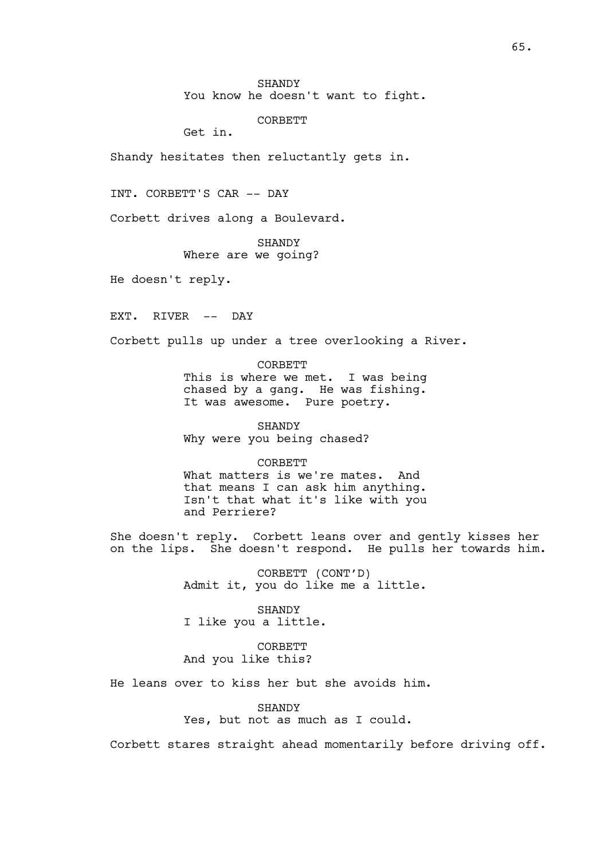You know he doesn't want to fight.

**CORBETT** 

Get in.

Shandy hesitates then reluctantly gets in.

INT. CORBETT'S CAR -- DAY

Corbett drives along a Boulevard.

SHANDY Where are we going?

He doesn't reply.

EXT. RIVER -- DAY

Corbett pulls up under a tree overlooking a River.

CORBETT This is where we met. I was being chased by a gang. He was fishing. It was awesome. Pure poetry.

SHANDY Why were you being chased?

CORBETT What matters is we're mates. And that means I can ask him anything. Isn't that what it's like with you and Perriere?

She doesn't reply. Corbett leans over and gently kisses her on the lips. She doesn't respond. He pulls her towards him.

> CORBETT (CONT'D) Admit it, you do like me a little.

SHANDY I like you a little.

**CORBETT** And you like this?

He leans over to kiss her but she avoids him.

SHANDY Yes, but not as much as I could.

Corbett stares straight ahead momentarily before driving off.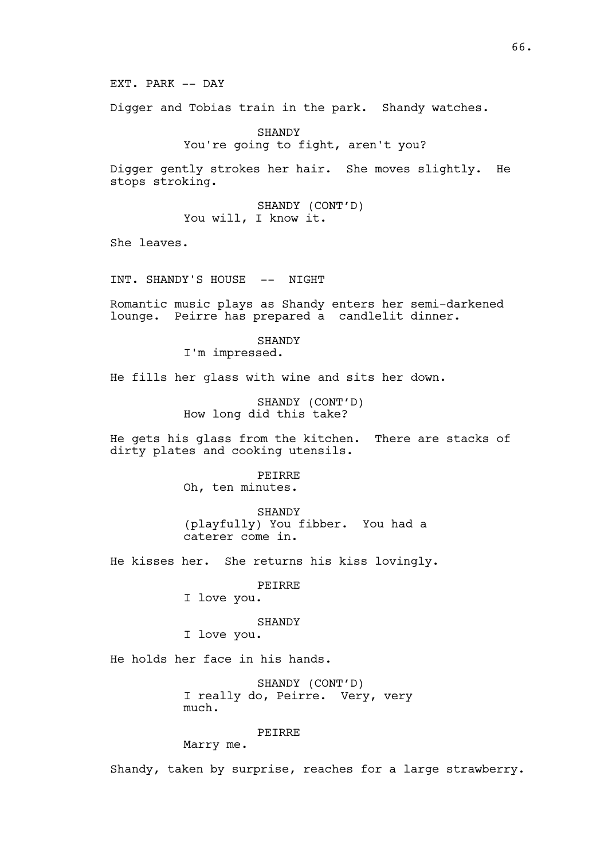EXT. PARK -- DAY

Digger and Tobias train in the park. Shandy watches.

SHANDY You're going to fight, aren't you?

Digger gently strokes her hair. She moves slightly. He stops stroking.

> SHANDY (CONT'D) You will, I know it.

She leaves.

INT. SHANDY'S HOUSE -- NIGHT

Romantic music plays as Shandy enters her semi-darkened lounge. Peirre has prepared a candlelit dinner.

> SHANDY I'm impressed.

He fills her glass with wine and sits her down.

SHANDY (CONT'D) How long did this take?

He gets his glass from the kitchen. There are stacks of dirty plates and cooking utensils.

> PEIRRE Oh, ten minutes.

SHANDY (playfully) You fibber. You had a caterer come in.

He kisses her. She returns his kiss lovingly.

PEIRRE

I love you.

SHANDY

I love you.

He holds her face in his hands.

SHANDY (CONT'D) I really do, Peirre. Very, very much.

PEIRRE

Marry me.

Shandy, taken by surprise, reaches for a large strawberry.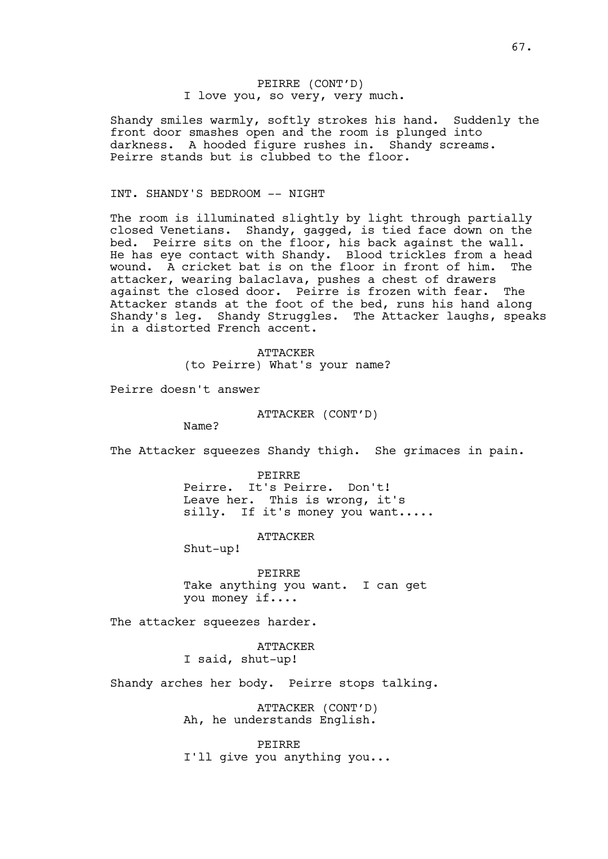# PEIRRE (CONT'D) I love you, so very, very much.

Shandy smiles warmly, softly strokes his hand. Suddenly the front door smashes open and the room is plunged into darkness. A hooded figure rushes in. Shandy screams. Peirre stands but is clubbed to the floor.

# INT. SHANDY'S BEDROOM -- NIGHT

The room is illuminated slightly by light through partially closed Venetians. Shandy, gagged, is tied face down on the bed. Peirre sits on the floor, his back against the wall. He has eye contact with Shandy. Blood trickles from a head wound. A cricket bat is on the floor in front of him. The attacker, wearing balaclava, pushes a chest of drawers against the closed door. Peirre is frozen with fear. The Attacker stands at the foot of the bed, runs his hand along Shandy's leg. Shandy Struggles. The Attacker laughs, speaks in a distorted French accent.

> ATTACKER (to Peirre) What's your name?

Peirre doesn't answer

ATTACKER (CONT'D)

Name?

The Attacker squeezes Shandy thigh. She grimaces in pain.

PEIRRE Peirre. It's Peirre. Don't! Leave her. This is wrong, it's silly. If it's money you want.....

ATTACKER

Shut-up!

PEIRRE Take anything you want. I can get you money if....

The attacker squeezes harder.

ATTACKER I said, shut-up!

Shandy arches her body. Peirre stops talking.

ATTACKER (CONT'D) Ah, he understands English.

PEIRRE I'll give you anything you...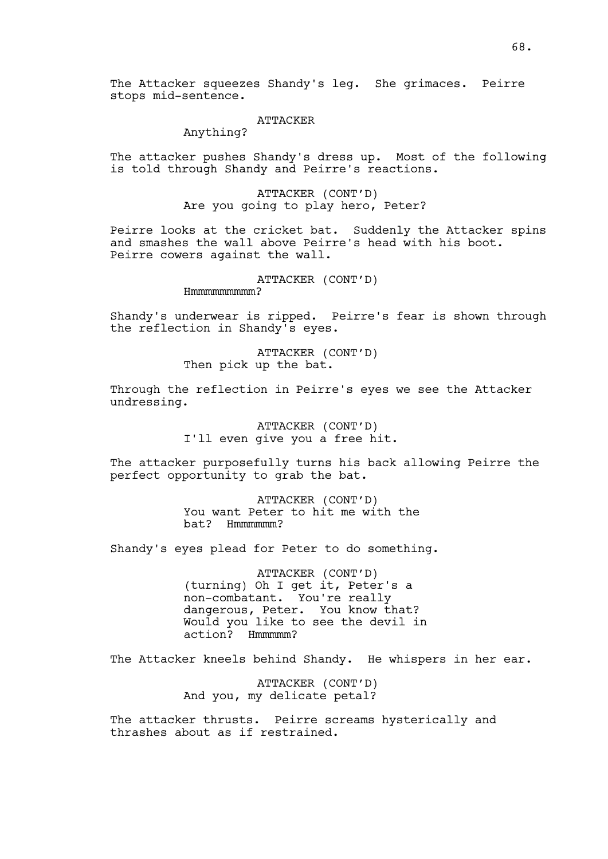The Attacker squeezes Shandy's leg. She grimaces. Peirre stops mid-sentence.

### ATTACKER

# Anything?

The attacker pushes Shandy's dress up. Most of the following is told through Shandy and Peirre's reactions.

> ATTACKER (CONT'D) Are you going to play hero, Peter?

Peirre looks at the cricket bat. Suddenly the Attacker spins and smashes the wall above Peirre's head with his boot. Peirre cowers against the wall.

### ATTACKER (CONT'D)

Hmmmmmmmmm?

Shandy's underwear is ripped. Peirre's fear is shown through the reflection in Shandy's eyes.

> ATTACKER (CONT'D) Then pick up the bat.

Through the reflection in Peirre's eyes we see the Attacker undressing.

> ATTACKER (CONT'D) I'll even give you a free hit.

The attacker purposefully turns his back allowing Peirre the perfect opportunity to grab the bat.

> ATTACKER (CONT'D) You want Peter to hit me with the bat? Hmmmmmm?

Shandy's eyes plead for Peter to do something.

ATTACKER (CONT'D) (turning) Oh I get it, Peter's a non-combatant. You're really dangerous, Peter. You know that? Would you like to see the devil in action? Hmmmmm?

The Attacker kneels behind Shandy. He whispers in her ear.

ATTACKER (CONT'D) And you, my delicate petal?

The attacker thrusts. Peirre screams hysterically and thrashes about as if restrained.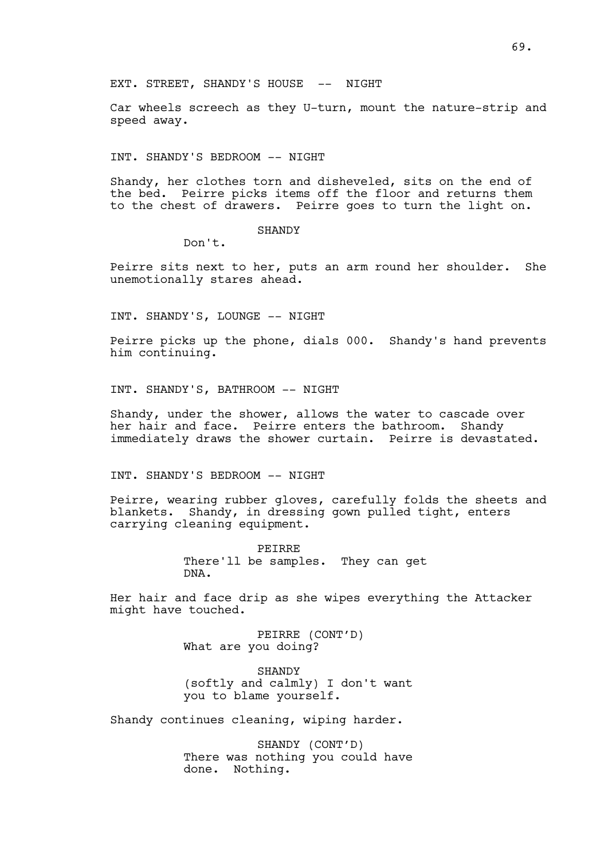EXT. STREET, SHANDY'S HOUSE -- NIGHT

Car wheels screech as they U-turn, mount the nature-strip and speed away.

INT. SHANDY'S BEDROOM -- NIGHT

Shandy, her clothes torn and disheveled, sits on the end of the bed. Peirre picks items off the floor and returns them to the chest of drawers. Peirre goes to turn the light on.

## **SHANDY**

Don't.

Peirre sits next to her, puts an arm round her shoulder. She unemotionally stares ahead.

INT. SHANDY'S, LOUNGE -- NIGHT

Peirre picks up the phone, dials 000. Shandy's hand prevents him continuing.

INT. SHANDY'S, BATHROOM -- NIGHT

Shandy, under the shower, allows the water to cascade over her hair and face. Peirre enters the bathroom. Shandy immediately draws the shower curtain. Peirre is devastated.

INT. SHANDY'S BEDROOM -- NIGHT

Peirre, wearing rubber gloves, carefully folds the sheets and blankets. Shandy, in dressing gown pulled tight, enters carrying cleaning equipment.

> PEIRRE There'll be samples. They can get DNA.

Her hair and face drip as she wipes everything the Attacker might have touched.

> PEIRRE (CONT'D) What are you doing?

**SHANDY** (softly and calmly) I don't want you to blame yourself.

Shandy continues cleaning, wiping harder.

SHANDY (CONT'D) There was nothing you could have done. Nothing.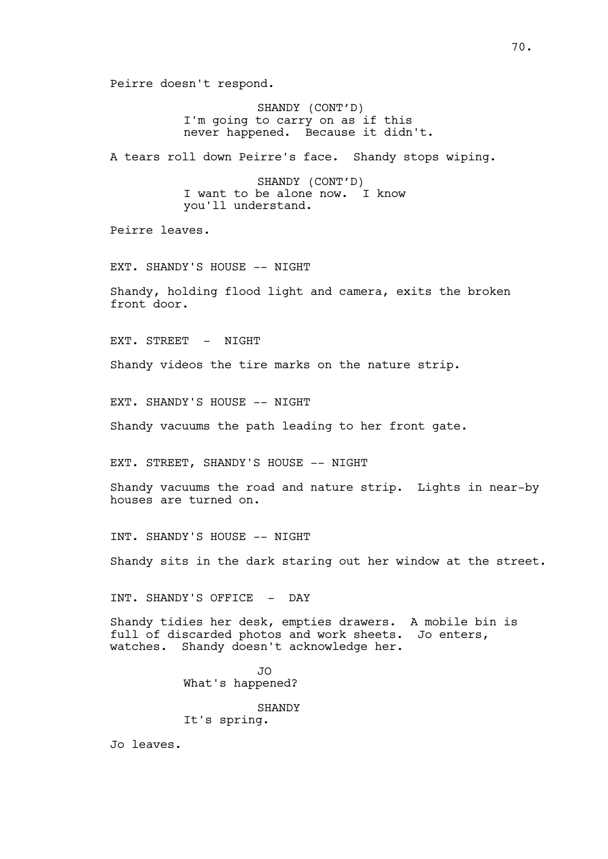Peirre doesn't respond.

SHANDY (CONT'D) I'm going to carry on as if this never happened. Because it didn't.

A tears roll down Peirre's face. Shandy stops wiping.

SHANDY (CONT'D) I want to be alone now. I know you'll understand.

Peirre leaves.

EXT. SHANDY'S HOUSE -- NIGHT

Shandy, holding flood light and camera, exits the broken front door.

EXT. STREET - NIGHT

Shandy videos the tire marks on the nature strip.

EXT. SHANDY'S HOUSE -- NIGHT

Shandy vacuums the path leading to her front gate.

EXT. STREET, SHANDY'S HOUSE -- NIGHT

Shandy vacuums the road and nature strip. Lights in near-by houses are turned on.

INT. SHANDY'S HOUSE -- NIGHT

Shandy sits in the dark staring out her window at the street.

INT. SHANDY'S OFFICE - DAY

Shandy tidies her desk, empties drawers. A mobile bin is full of discarded photos and work sheets. Jo enters, watches. Shandy doesn't acknowledge her.

> JO What's happened? SHANDY It's spring.

Jo leaves.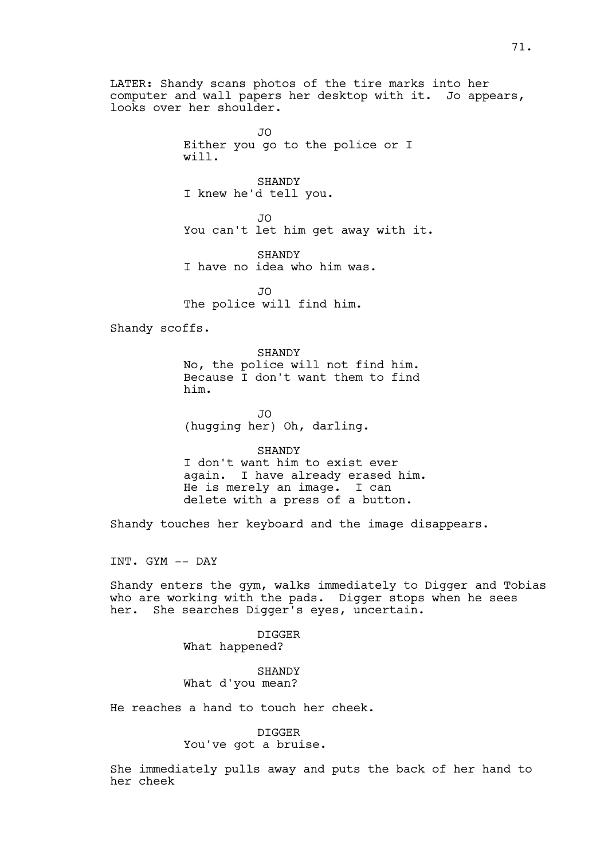LATER: Shandy scans photos of the tire marks into her computer and wall papers her desktop with it. Jo appears, looks over her shoulder.

> JO Either you go to the police or I will.

SHANDY I knew he'd tell you.

JO You can't let him get away with it.

SHANDY I have no idea who him was.

 $\overline{J}$ The police will find him.

Shandy scoffs.

SHANDY No, the police will not find him. Because I don't want them to find him.

JO (hugging her) Oh, darling.

SHANDY I don't want him to exist ever again. I have already erased him. He is merely an image. I can delete with a press of a button.

Shandy touches her keyboard and the image disappears.

INT. GYM -- DAY

Shandy enters the gym, walks immediately to Digger and Tobias who are working with the pads. Digger stops when he sees her. She searches Digger's eyes, uncertain.

> DIGGER What happened?

> **SHANDY** What d'you mean?

He reaches a hand to touch her cheek.

DIGGER You've got a bruise.

She immediately pulls away and puts the back of her hand to her cheek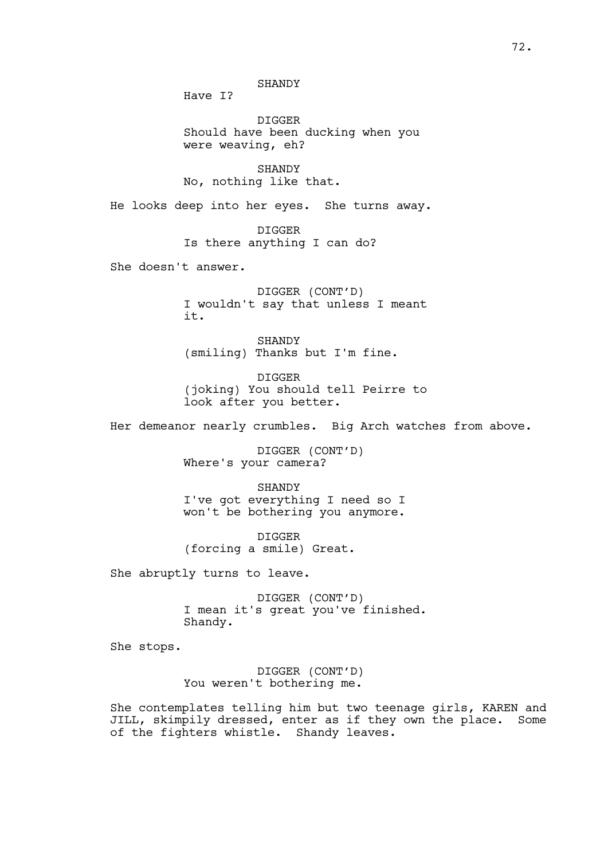SHANDY Have I? DIGGER Should have been ducking when you were weaving, eh? SHANDY No, nothing like that. He looks deep into her eyes. She turns away. DIGGER Is there anything I can do? She doesn't answer. DIGGER (CONT'D) I wouldn't say that unless I meant it. SHANDY (smiling) Thanks but I'm fine. DIGGER (joking) You should tell Peirre to look after you better. Her demeanor nearly crumbles. Big Arch watches from above. DIGGER (CONT'D) Where's your camera? SHANDY I've got everything I need so I won't be bothering you anymore. DIGGER (forcing a smile) Great.

She abruptly turns to leave.

DIGGER (CONT'D) I mean it's great you've finished. Shandy.

She stops.

DIGGER (CONT'D) You weren't bothering me.

She contemplates telling him but two teenage girls, KAREN and JILL, skimpily dressed, enter as if they own the place. Some of the fighters whistle. Shandy leaves.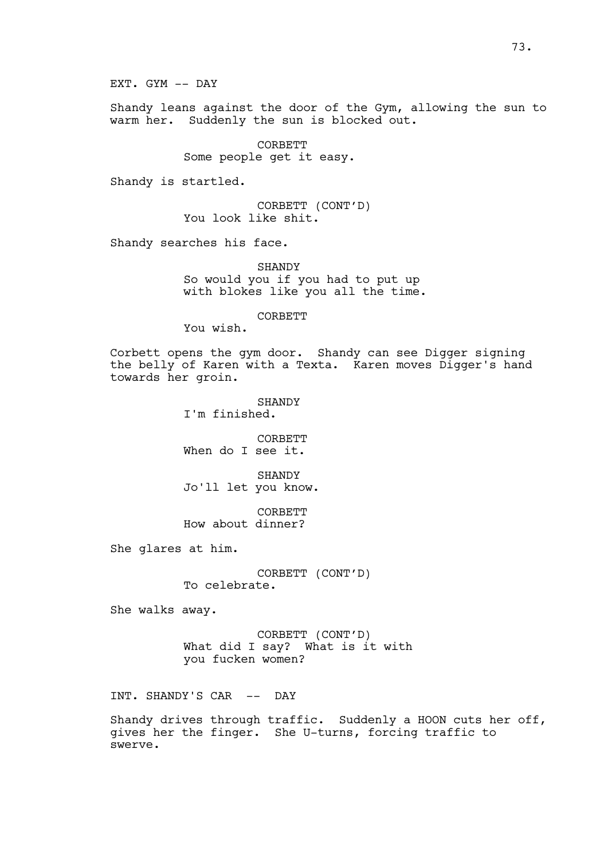EXT. GYM -- DAY

Shandy leans against the door of the Gym, allowing the sun to warm her. Suddenly the sun is blocked out.

> CORBETT Some people get it easy.

Shandy is startled.

CORBETT (CONT'D) You look like shit.

Shandy searches his face.

SHANDY So would you if you had to put up with blokes like you all the time.

CORBETT

You wish.

Corbett opens the gym door. Shandy can see Digger signing the belly of Karen with a Texta. Karen moves Digger's hand towards her groin.

> SHANDY I'm finished.

CORBETT When do I see it.

SHANDY Jo'll let you know.

CORBETT How about dinner?

She glares at him.

CORBETT (CONT'D) To celebrate.

She walks away.

CORBETT (CONT'D) What did I say? What is it with you fucken women?

INT. SHANDY'S CAR -- DAY

Shandy drives through traffic. Suddenly a HOON cuts her off, gives her the finger. She U-turns, forcing traffic to swerve.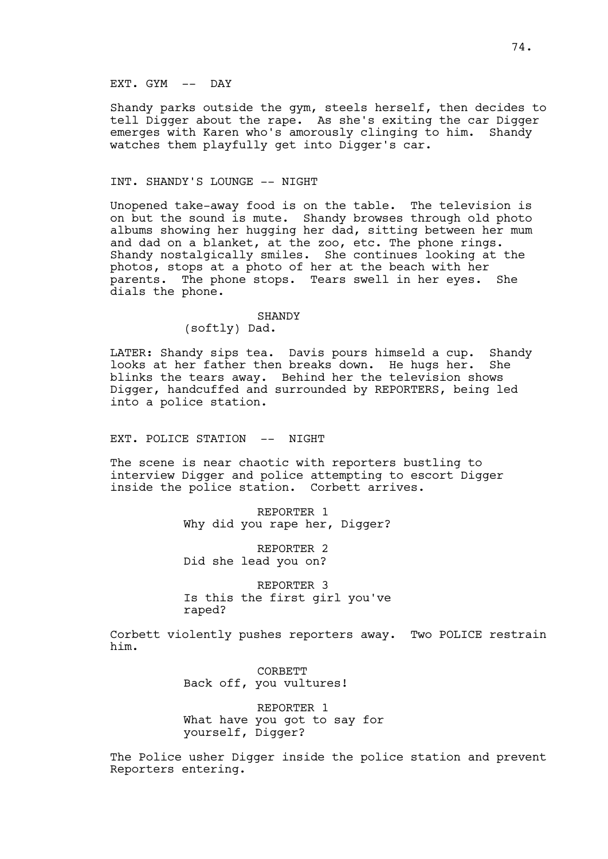# EXT. GYM -- DAY

Shandy parks outside the gym, steels herself, then decides to tell Digger about the rape. As she's exiting the car Digger emerges with Karen who's amorously clinging to him. Shandy watches them playfully get into Digger's car.

## INT. SHANDY'S LOUNGE -- NIGHT

Unopened take-away food is on the table. The television is on but the sound is mute. Shandy browses through old photo albums showing her hugging her dad, sitting between her mum and dad on a blanket, at the zoo, etc. The phone rings. Shandy nostalgically smiles. She continues looking at the photos, stops at a photo of her at the beach with her parents. The phone stops. Tears swell in her eyes. She dials the phone.

## SHANDY

(softly) Dad.

LATER: Shandy sips tea. Davis pours himseld a cup. Shandy looks at her father then breaks down. He hugs her. She blinks the tears away. Behind her the television shows Digger, handcuffed and surrounded by REPORTERS, being led into a police station.

EXT. POLICE STATION -- NIGHT

The scene is near chaotic with reporters bustling to interview Digger and police attempting to escort Digger inside the police station. Corbett arrives.

> REPORTER 1 Why did you rape her, Digger?

REPORTER 2 Did she lead you on?

REPORTER 3 Is this the first girl you've raped?

Corbett violently pushes reporters away. Two POLICE restrain him.

> **CORBETT** Back off, you vultures!

REPORTER 1 What have you got to say for yourself, Digger?

The Police usher Digger inside the police station and prevent Reporters entering.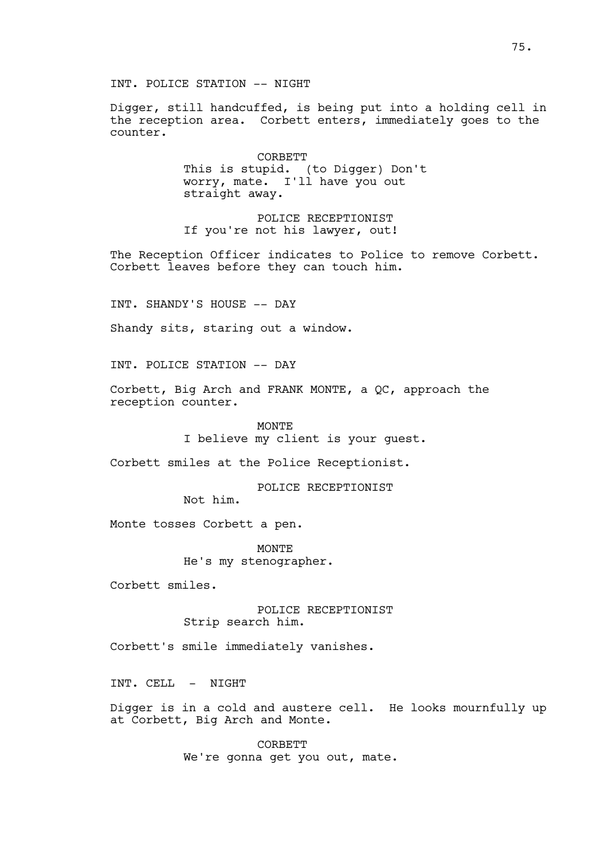Digger, still handcuffed, is being put into a holding cell in the reception area. Corbett enters, immediately goes to the counter.

> **CORBETT** This is stupid. (to Digger) Don't worry, mate. I'll have you out straight away.

POLICE RECEPTIONIST If you're not his lawyer, out!

The Reception Officer indicates to Police to remove Corbett. Corbett leaves before they can touch him.

INT. SHANDY'S HOUSE -- DAY

Shandy sits, staring out a window.

INT. POLICE STATION -- DAY

Corbett, Big Arch and FRANK MONTE, a QC, approach the reception counter.

> MONTE I believe my client is your guest.

Corbett smiles at the Police Receptionist.

POLICE RECEPTIONIST

Not him.

Monte tosses Corbett a pen.

MONTE He's my stenographer.

Corbett smiles.

POLICE RECEPTIONIST Strip search him.

Corbett's smile immediately vanishes.

INT. CELL - NIGHT

Digger is in a cold and austere cell. He looks mournfully up at Corbett, Big Arch and Monte.

> **CORBETT** We're gonna get you out, mate.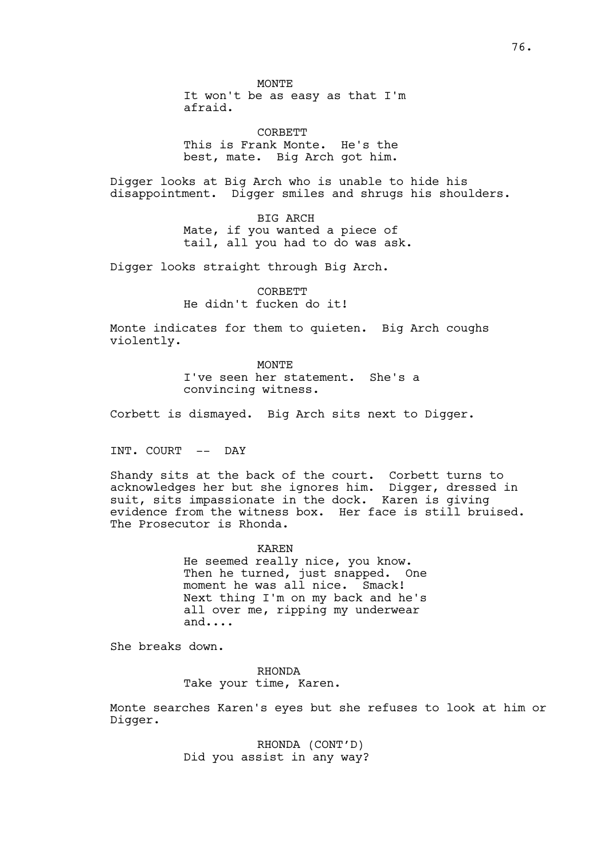It won't be as easy as that I'm afraid.

**CORBETT** This is Frank Monte. He's the best, mate. Big Arch got him.

Digger looks at Big Arch who is unable to hide his disappointment. Digger smiles and shrugs his shoulders.

> BIG ARCH Mate, if you wanted a piece of tail, all you had to do was ask.

Digger looks straight through Big Arch.

CORBETT He didn't fucken do it!

Monte indicates for them to quieten. Big Arch coughs violently.

> MONTE. I've seen her statement. She's a convincing witness.

Corbett is dismayed. Big Arch sits next to Digger.

INT. COURT -- DAY

Shandy sits at the back of the court. Corbett turns to acknowledges her but she ignores him. Digger, dressed in suit, sits impassionate in the dock. Karen is giving evidence from the witness box. Her face is still bruised. The Prosecutor is Rhonda.

> KAREN He seemed really nice, you know. Then he turned, just snapped. One moment he was all nice. Smack! Next thing I'm on my back and he's all over me, ripping my underwear and....

She breaks down.

RHONDA Take your time, Karen.

Monte searches Karen's eyes but she refuses to look at him or Digger.

> RHONDA (CONT'D) Did you assist in any way?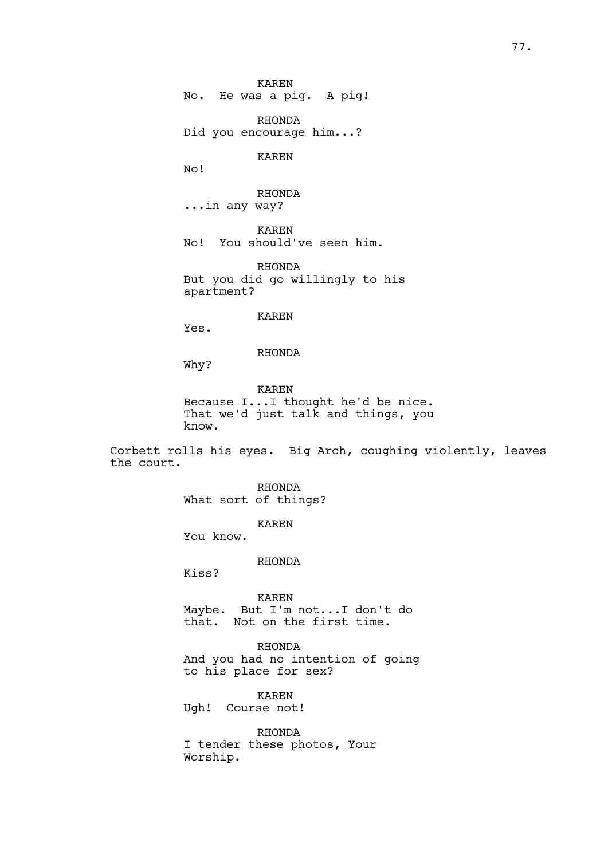No. He was a pig. A pig!

RHONDA Did you encourage him...?

KAREN

No!

RHONDA ...in any way?

KAREN No! You should've seen him.

RHONDA But you did go willingly to his apartment?

KAREN

Yes.

RHONDA

Why?

KAREN Because I...I thought he'd be nice. That we'd just talk and things, you know.

Corbett rolls his eyes. Big Arch, coughing violently, leaves the court.

> RHONDA What sort of things?

> > KAREN

You know.

RHONDA

Kiss?

KAREN Maybe. But I'm not...I don't do that. Not on the first time.

RHONDA And you had no intention of going to his place for sex?

KAREN Ugh! Course not!

RHONDA I tender these photos, Your Worship.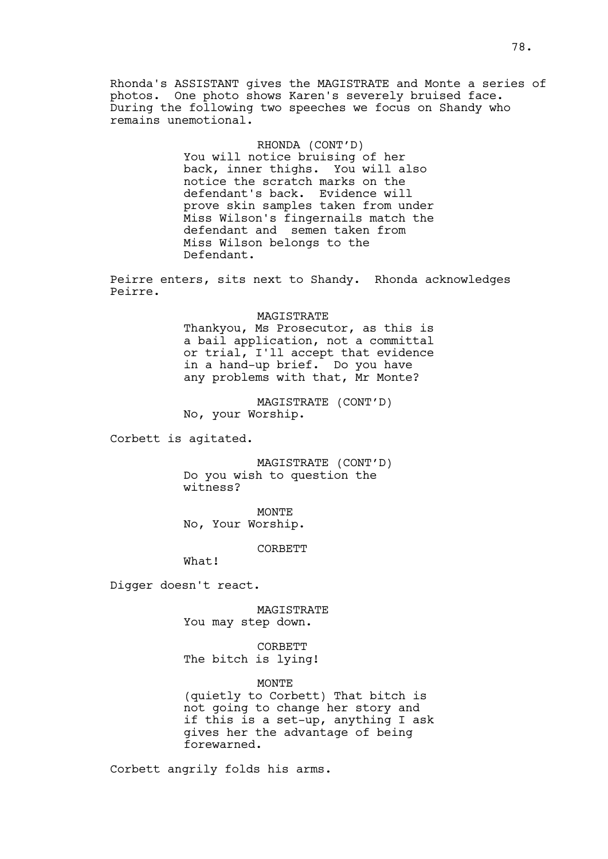Rhonda's ASSISTANT gives the MAGISTRATE and Monte a series of photos. One photo shows Karen's severely bruised face. During the following two speeches we focus on Shandy who remains unemotional.

## RHONDA (CONT'D)

You will notice bruising of her back, inner thighs. You will also notice the scratch marks on the defendant's back. Evidence will prove skin samples taken from under Miss Wilson's fingernails match the defendant and semen taken from Miss Wilson belongs to the Defendant.

Peirre enters, sits next to Shandy. Rhonda acknowledges Peirre.

#### MAGISTRATE

Thankyou, Ms Prosecutor, as this is a bail application, not a committal or trial, I'll accept that evidence in a hand-up brief. Do you have any problems with that, Mr Monte?

MAGISTRATE (CONT'D) No, your Worship.

Corbett is agitated.

MAGISTRATE (CONT'D) Do you wish to question the witness?

MONTE No, Your Worship.

CORBETT

What!

Digger doesn't react.

MAGISTRATE You may step down.

**CORBETT** The bitch is lying!

MONTE

(quietly to Corbett) That bitch is not going to change her story and if this is a set-up, anything I ask gives her the advantage of being forewarned.

Corbett angrily folds his arms.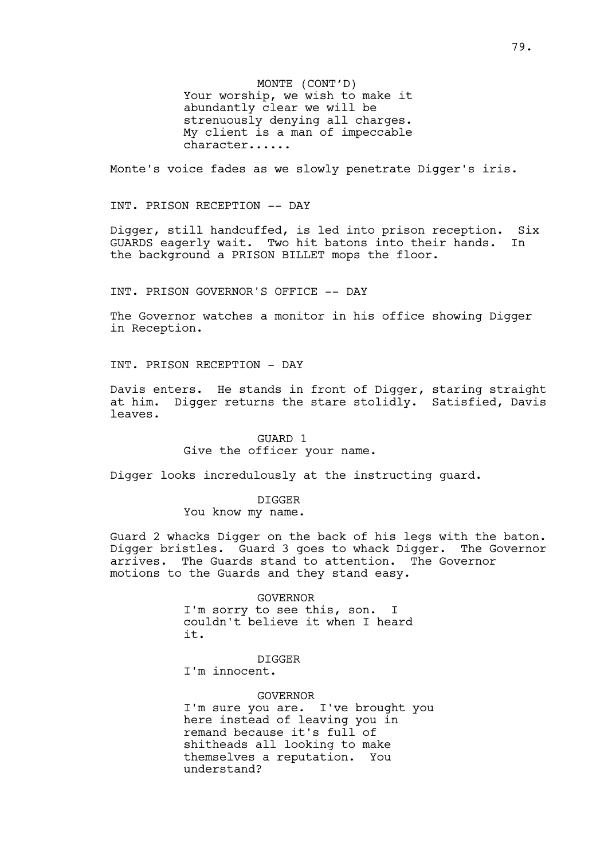MONTE (CONT'D) Your worship, we wish to make it abundantly clear we will be strenuously denying all charges. My client is a man of impeccable character......

Monte's voice fades as we slowly penetrate Digger's iris.

INT. PRISON RECEPTION -- DAY

Digger, still handcuffed, is led into prison reception. Six GUARDS eagerly wait. Two hit batons into their hands. In the background a PRISON BILLET mops the floor.

INT. PRISON GOVERNOR'S OFFICE -- DAY

The Governor watches a monitor in his office showing Digger in Reception.

INT. PRISON RECEPTION - DAY

Davis enters. He stands in front of Digger, staring straight at him. Digger returns the stare stolidly. Satisfied, Davis leaves.

> GUARD 1 Give the officer your name.

Digger looks incredulously at the instructing guard.

DIGGER You know my name.

Guard 2 whacks Digger on the back of his legs with the baton. Digger bristles. Guard 3 goes to whack Digger. The Governor arrives. The Guards stand to attention. The Governor motions to the Guards and they stand easy.

#### GOVERNOR

I'm sorry to see this, son. I couldn't believe it when I heard it.

DIGGER

I'm innocent.

#### GOVERNOR

I'm sure you are. I've brought you here instead of leaving you in remand because it's full of shitheads all looking to make themselves a reputation. You understand?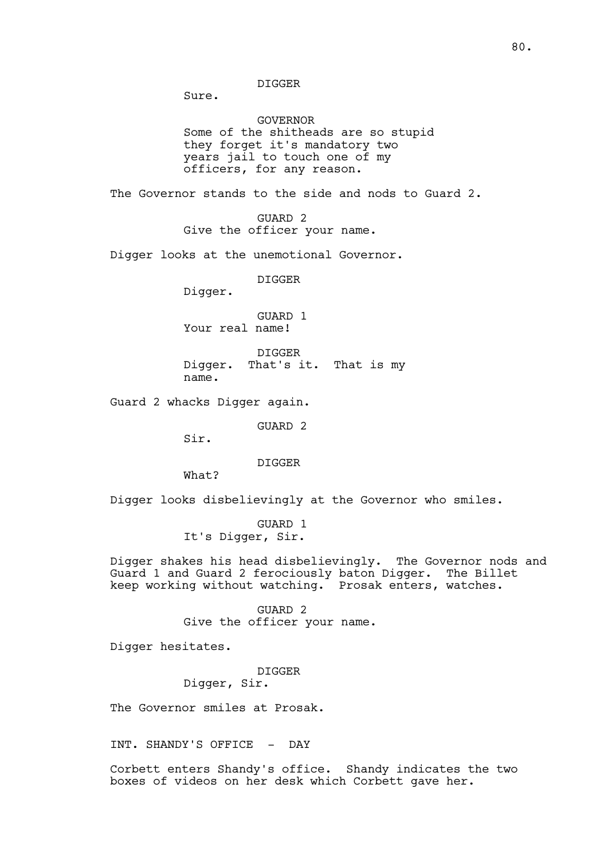DIGGER

Sure.

GOVERNOR Some of the shitheads are so stupid they forget it's mandatory two years jail to touch one of my officers, for any reason.

The Governor stands to the side and nods to Guard 2.

GUARD 2 Give the officer your name.

Digger looks at the unemotional Governor.

DIGGER

Digger.

GUARD 1 Your real name!

DIGGER Digger. That's it. That is my name.

Guard 2 whacks Digger again.

GUARD 2

Sir.

DIGGER

What?

Digger looks disbelievingly at the Governor who smiles.

GUARD 1 It's Digger, Sir.

Digger shakes his head disbelievingly. The Governor nods and Guard 1 and Guard 2 ferociously baton Digger. The Billet keep working without watching. Prosak enters, watches.

> GUARD 2 Give the officer your name.

Digger hesitates.

DIGGER

Digger, Sir.

The Governor smiles at Prosak.

INT. SHANDY'S OFFICE - DAY

Corbett enters Shandy's office. Shandy indicates the two boxes of videos on her desk which Corbett gave her.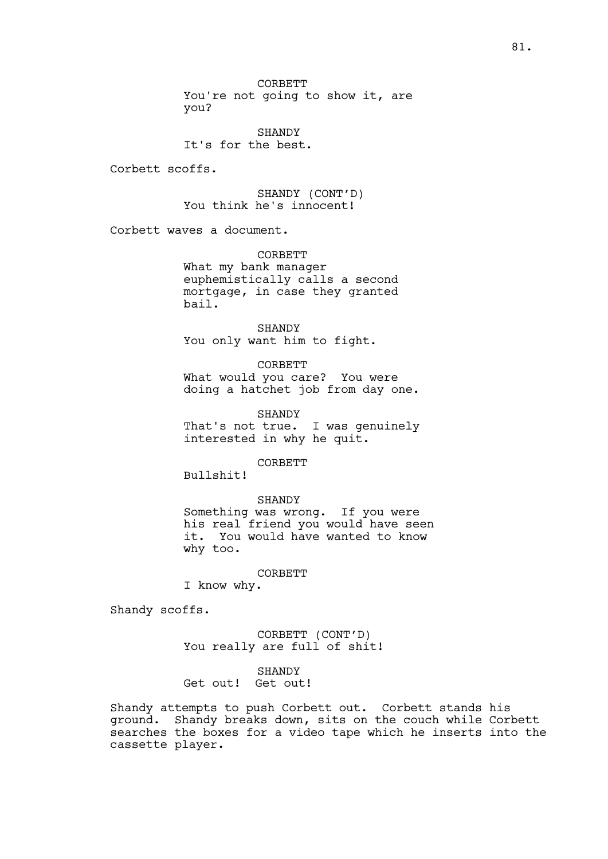CORBETT You're not going to show it, are you?

**SHANDY** It's for the best.

Corbett scoffs.

SHANDY (CONT'D) You think he's innocent!

Corbett waves a document.

CORBETT What my bank manager euphemistically calls a second mortgage, in case they granted bail.

SHANDY You only want him to fight.

CORBETT What would you care? You were doing a hatchet job from day one.

SHANDY That's not true. I was genuinely interested in why he quit.

CORBETT

Bullshit!

#### SHANDY

Something was wrong. If you were his real friend you would have seen<br>it. You would have wanted to know You would have wanted to know why too.

CORBETT

I know why.

Shandy scoffs.

CORBETT (CONT'D) You really are full of shit!

**SHANDY** 

Get out! Get out!

Shandy attempts to push Corbett out. Corbett stands his ground. Shandy breaks down, sits on the couch while Corbett searches the boxes for a video tape which he inserts into the cassette player.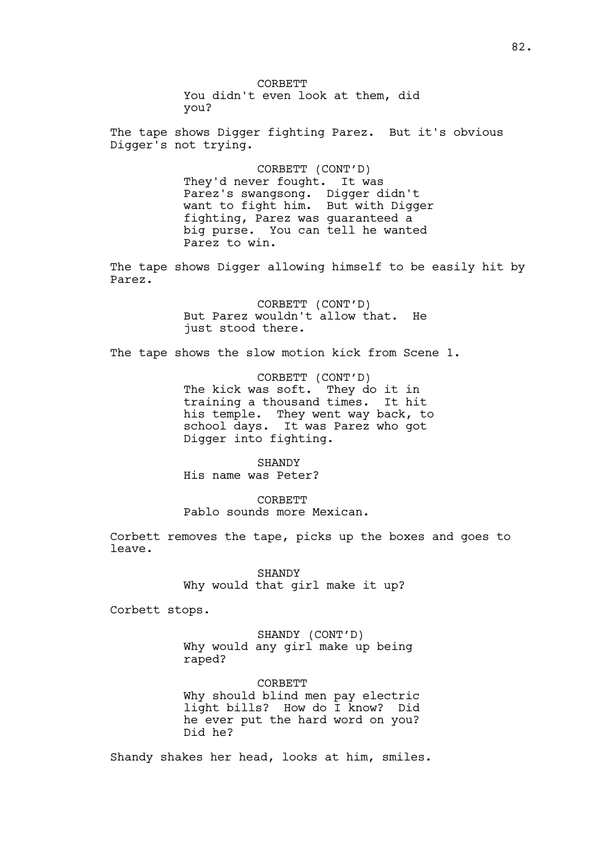CORBETT You didn't even look at them, did you? The tape shows Digger fighting Parez. But it's obvious

Digger's not trying.

CORBETT (CONT'D) They'd never fought. It was Parez's swangsong. Digger didn't want to fight him. But with Digger fighting, Parez was guaranteed a big purse. You can tell he wanted Parez to win.

The tape shows Digger allowing himself to be easily hit by Parez.

> CORBETT (CONT'D) But Parez wouldn't allow that. He just stood there.

The tape shows the slow motion kick from Scene 1.

CORBETT (CONT'D) The kick was soft. They do it in training a thousand times. It hit his temple. They went way back, to school days. It was Parez who got Digger into fighting.

SHANDY His name was Peter?

**CORBETT** Pablo sounds more Mexican.

Corbett removes the tape, picks up the boxes and goes to leave.

> SHANDY Why would that girl make it up?

Corbett stops.

SHANDY (CONT'D) Why would any girl make up being raped?

CORBETT Why should blind men pay electric light bills? How do I know? Did he ever put the hard word on you? Did he?

Shandy shakes her head, looks at him, smiles.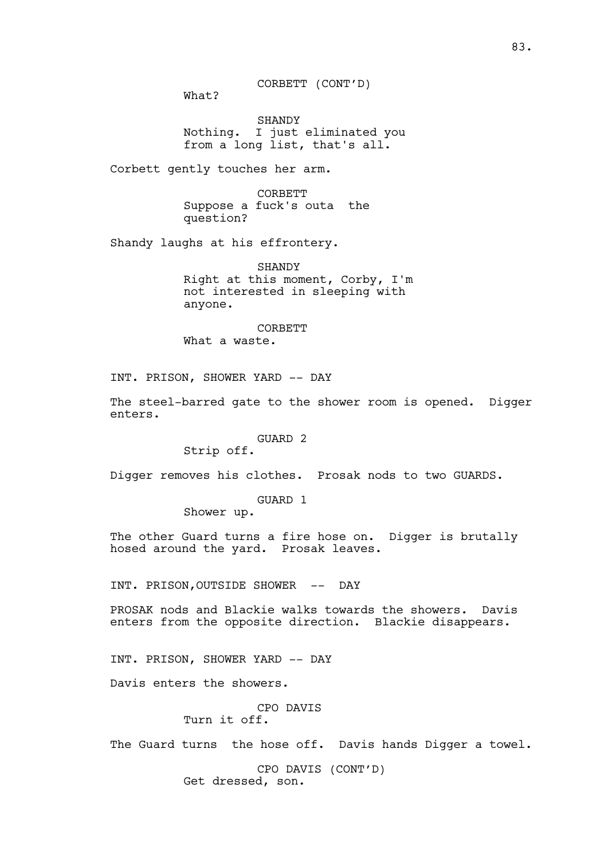What?

SHANDY Nothing. I just eliminated you from a long list, that's all.

Corbett gently touches her arm.

CORBETT Suppose a fuck's outa the question?

Shandy laughs at his effrontery.

SHANDY Right at this moment, Corby, I'm not interested in sleeping with anyone.

CORBETT What a waste.

INT. PRISON, SHOWER YARD -- DAY

The steel-barred gate to the shower room is opened. Digger enters.

#### GUARD 2

Strip off.

Digger removes his clothes. Prosak nods to two GUARDS.

GUARD 1

Shower up.

The other Guard turns a fire hose on. Digger is brutally hosed around the yard. Prosak leaves.

INT. PRISON,OUTSIDE SHOWER -- DAY

PROSAK nods and Blackie walks towards the showers. Davis enters from the opposite direction. Blackie disappears.

INT. PRISON, SHOWER YARD -- DAY

Davis enters the showers.

CPO DAVIS Turn it off.

The Guard turns the hose off. Davis hands Digger a towel.

CPO DAVIS (CONT'D) Get dressed, son.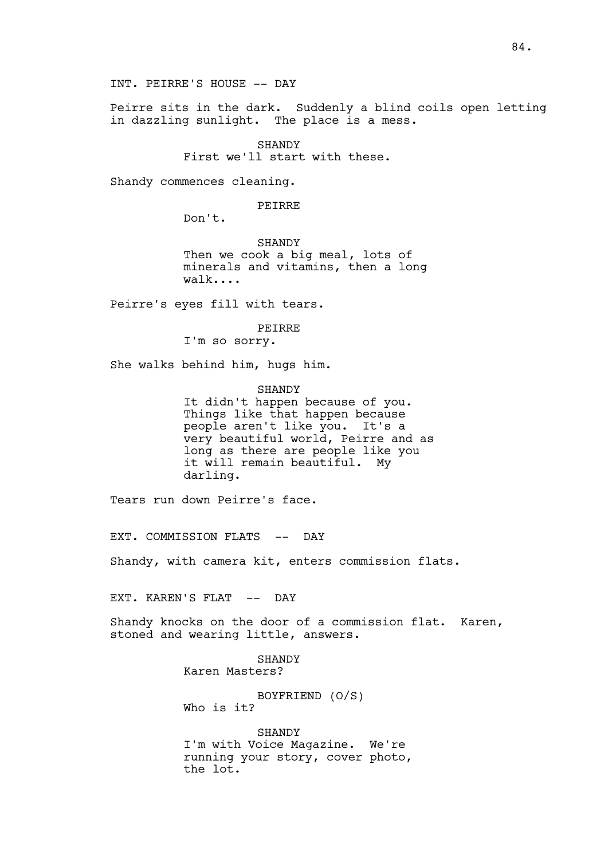INT. PEIRRE'S HOUSE -- DAY

Peirre sits in the dark. Suddenly a blind coils open letting in dazzling sunlight. The place is a mess.

> SHANDY First we'll start with these.

Shandy commences cleaning.

PEIRRE

Don't.

SHANDY Then we cook a big meal, lots of minerals and vitamins, then a long walk....

Peirre's eyes fill with tears.

## PEIRRE

I'm so sorry.

She walks behind him, hugs him.

SHANDY

It didn't happen because of you. Things like that happen because people aren't like you. It's a very beautiful world, Peirre and as long as there are people like you it will remain beautiful. My darling.

Tears run down Peirre's face.

EXT. COMMISSION FLATS -- DAY

Shandy, with camera kit, enters commission flats.

EXT. KAREN'S FLAT -- DAY

Shandy knocks on the door of a commission flat. Karen, stoned and wearing little, answers.

> SHANDY Karen Masters?

BOYFRIEND (O/S) Who is it?

**SHANDY** I'm with Voice Magazine. We're running your story, cover photo, the lot.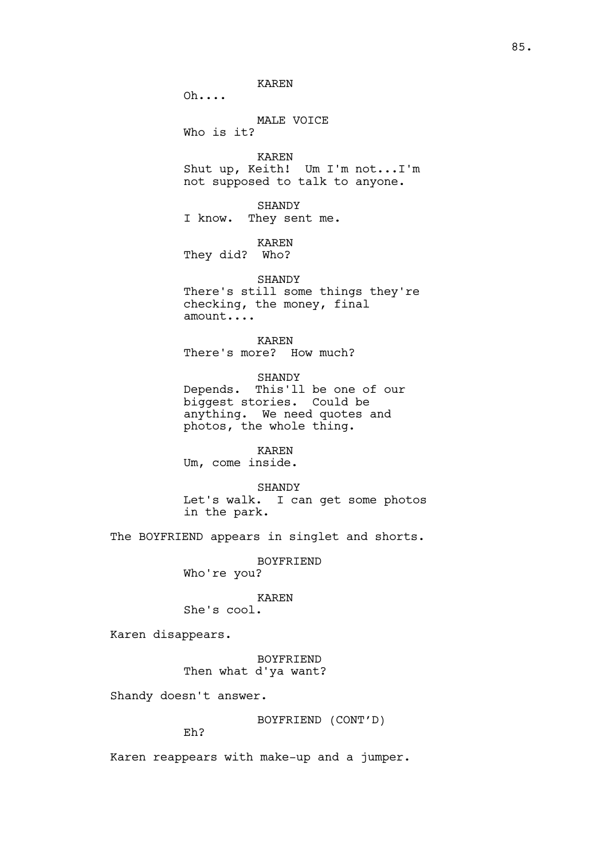KAREN

Oh....

## MALE VOICE

Who is it?

KAREN Shut up, Keith! Um I'm not...I'm not supposed to talk to anyone.

SHANDY I know. They sent me.

KAREN

They did? Who?

SHANDY There's still some things they're checking, the money, final amount....

KAREN There's more? How much?

SHANDY Depends. This'll be one of our biggest stories. Could be anything. We need quotes and photos, the whole thing.

KAREN

Um, come inside.

SHANDY Let's walk. I can get some photos in the park.

The BOYFRIEND appears in singlet and shorts.

BOYFRIEND Who're you?

## KAREN

She's cool.

Karen disappears.

BOYFRIEND Then what d'ya want?

Shandy doesn't answer.

BOYFRIEND (CONT'D)

Eh?

Karen reappears with make-up and a jumper.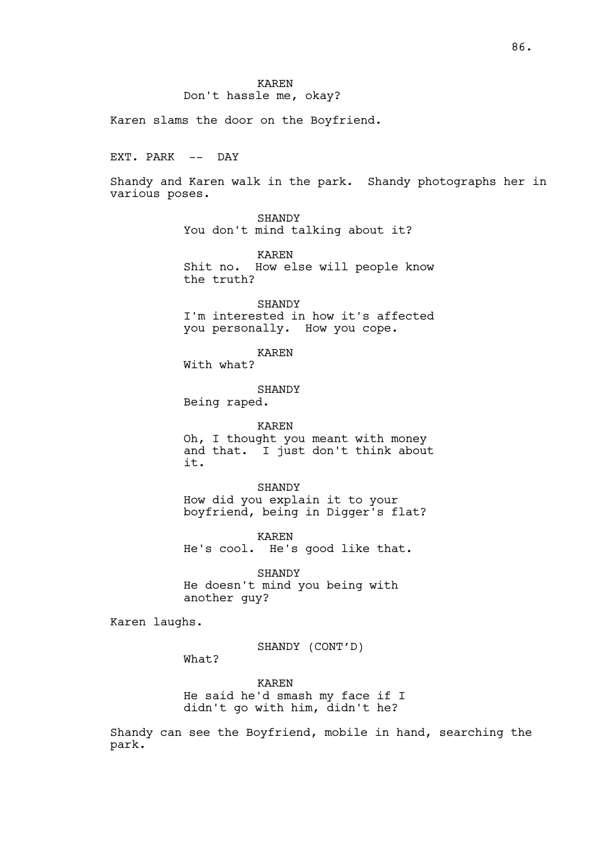KAREN Don't hassle me, okay?

Karen slams the door on the Boyfriend.

EXT. PARK -- DAY

Shandy and Karen walk in the park. Shandy photographs her in various poses.

> SHANDY You don't mind talking about it?

KAREN Shit no. How else will people know the truth?

SHANDY I'm interested in how it's affected you personally. How you cope.

KAREN

With what?

SHANDY

Being raped.

KAREN Oh, I thought you meant with money and that. I just don't think about it.

SHANDY How did you explain it to your boyfriend, being in Digger's flat?

KAREN He's cool. He's good like that.

SHANDY He doesn't mind you being with another guy?

Karen laughs.

SHANDY (CONT'D)

What?

KAREN He said he'd smash my face if I didn't go with him, didn't he?

Shandy can see the Boyfriend, mobile in hand, searching the park.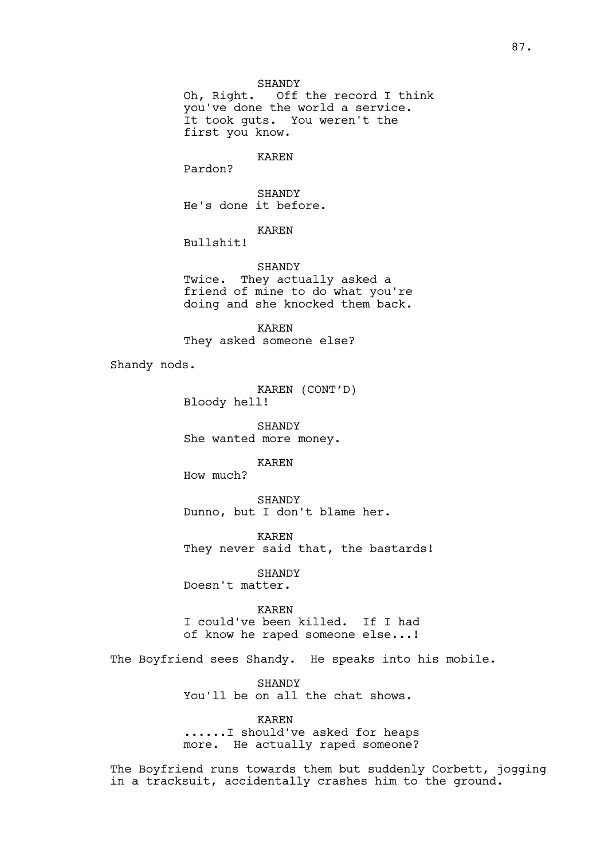Oh, Right. Off the record I think you've done the world a service. It took guts. You weren't the first you know.

## KAREN

Pardon?

SHANDY He's done it before.

KAREN

Bullshit!

SHANDY Twice. They actually asked a friend of mine to do what you're doing and she knocked them back.

KAREN They asked someone else?

Shandy nods.

KAREN (CONT'D) Bloody hell!

SHANDY She wanted more money.

KAREN

How much?

SHANDY Dunno, but I don't blame her.

KAREN They never said that, the bastards!

SHANDY Doesn't matter.

KAREN I could've been killed. If I had of know he raped someone else...!

The Boyfriend sees Shandy. He speaks into his mobile.

SHANDY You'll be on all the chat shows.

KAREN ......I should've asked for heaps more. He actually raped someone?

The Boyfriend runs towards them but suddenly Corbett, jogging in a tracksuit, accidentally crashes him to the ground.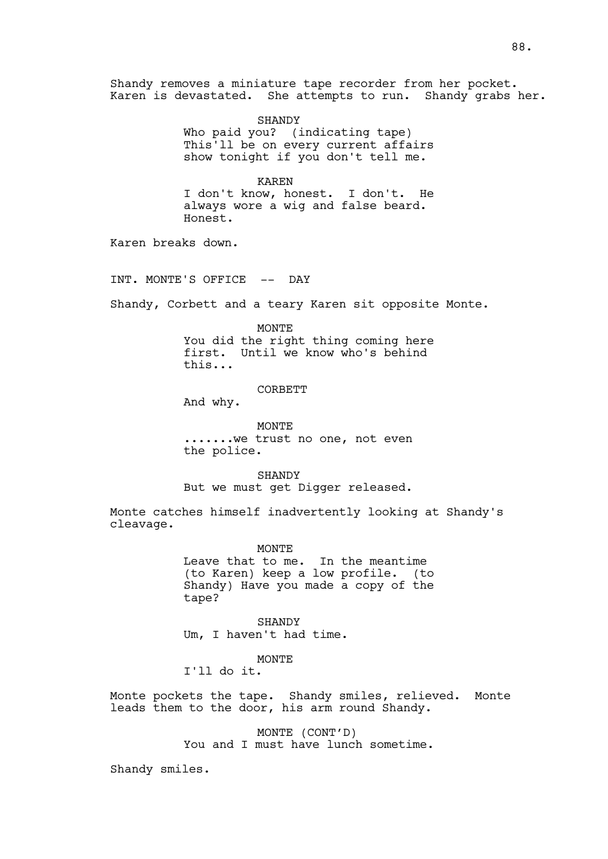Shandy removes a miniature tape recorder from her pocket. Karen is devastated. She attempts to run. Shandy grabs her.

> SHANDY Who paid you? (indicating tape) This'll be on every current affairs show tonight if you don't tell me.

> KAREN I don't know, honest. I don't. He always wore a wig and false beard. Honest.

Karen breaks down.

INT. MONTE'S OFFICE -- DAY

Shandy, Corbett and a teary Karen sit opposite Monte.

MONTE You did the right thing coming here first. Until we know who's behind this...

CORBETT

And why.

MONTE .......we trust no one, not even the police.

SHANDY But we must get Digger released.

Monte catches himself inadvertently looking at Shandy's cleavage.

> MONTE Leave that to me. In the meantime (to Karen) keep a low profile. (to Shandy) Have you made a copy of the tape?

**SHANDY** Um, I haven't had time.

MONTE

I'll do it.

Monte pockets the tape. Shandy smiles, relieved. Monte leads them to the door, his arm round Shandy.

> MONTE (CONT'D) You and I must have lunch sometime.

Shandy smiles.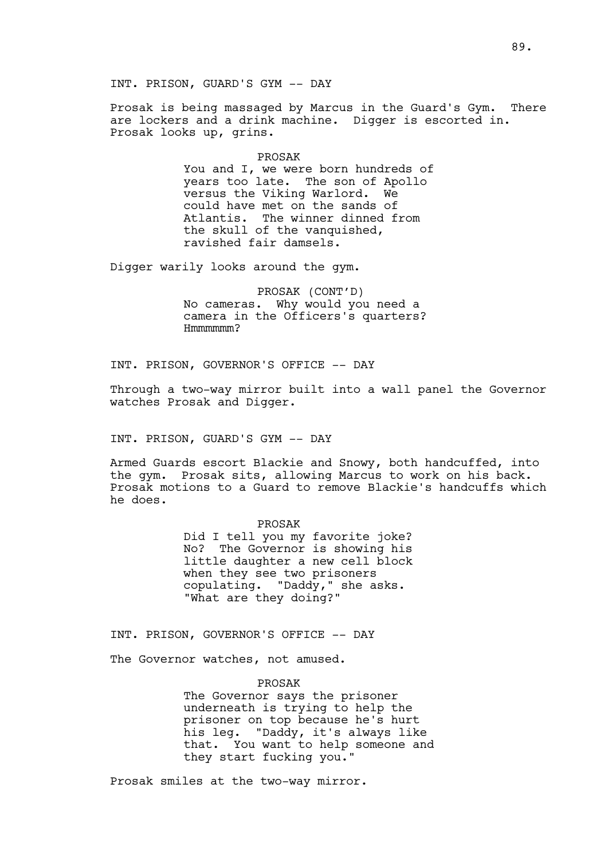INT. PRISON, GUARD'S GYM -- DAY

Prosak is being massaged by Marcus in the Guard's Gym. There are lockers and a drink machine. Digger is escorted in. Prosak looks up, grins.

# PROSAK

You and I, we were born hundreds of years too late. The son of Apollo versus the Viking Warlord. We could have met on the sands of Atlantis. The winner dinned from the skull of the vanquished, ravished fair damsels.

Digger warily looks around the gym.

PROSAK (CONT'D) No cameras. Why would you need a camera in the Officers's quarters? Hmmmmmm?

INT. PRISON, GOVERNOR'S OFFICE -- DAY

Through a two-way mirror built into a wall panel the Governor watches Prosak and Digger.

INT. PRISON, GUARD'S GYM -- DAY

Armed Guards escort Blackie and Snowy, both handcuffed, into the gym. Prosak sits, allowing Marcus to work on his back. Prosak motions to a Guard to remove Blackie's handcuffs which he does.

> PROSAK Did I tell you my favorite joke? No? The Governor is showing his little daughter a new cell block when they see two prisoners copulating. "Daddy," she asks. "What are they doing?"

INT. PRISON, GOVERNOR'S OFFICE -- DAY

The Governor watches, not amused.

PROSAK

The Governor says the prisoner underneath is trying to help the prisoner on top because he's hurt his leg. "Daddy, it's always like that. You want to help someone and they start fucking you."

Prosak smiles at the two-way mirror.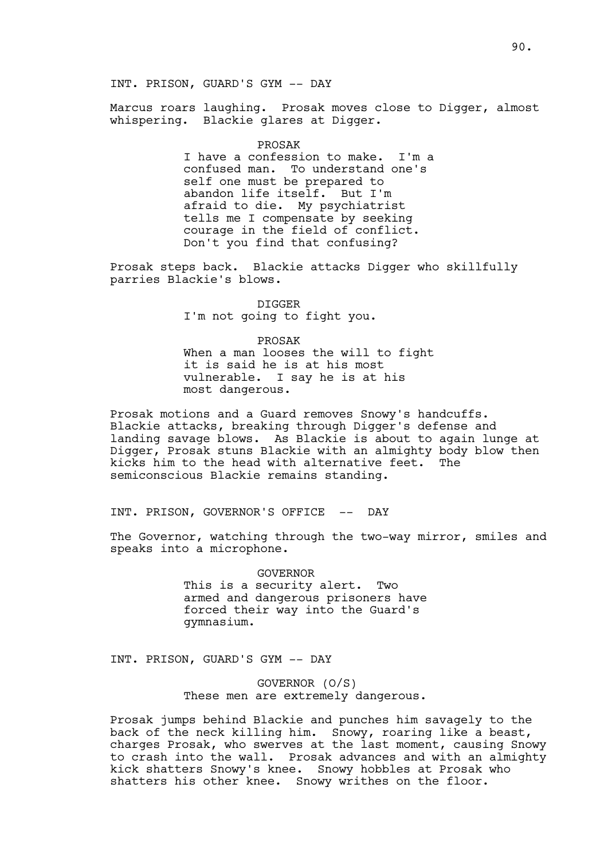Marcus roars laughing. Prosak moves close to Digger, almost whispering. Blackie glares at Digger.

PROSAK

I have a confession to make. I'm a confused man. To understand one's self one must be prepared to abandon life itself. But I'm afraid to die. My psychiatrist tells me I compensate by seeking courage in the field of conflict. Don't you find that confusing?

Prosak steps back. Blackie attacks Digger who skillfully parries Blackie's blows.

> DIGGER I'm not going to fight you.

PROSAK When a man looses the will to fight it is said he is at his most vulnerable. I say he is at his most dangerous.

Prosak motions and a Guard removes Snowy's handcuffs. Blackie attacks, breaking through Digger's defense and landing savage blows. As Blackie is about to again lunge at Digger, Prosak stuns Blackie with an almighty body blow then kicks him to the head with alternative feet. The semiconscious Blackie remains standing.

INT. PRISON, GOVERNOR'S OFFICE -- DAY

The Governor, watching through the two-way mirror, smiles and speaks into a microphone.

> GOVERNOR This is a security alert. Two armed and dangerous prisoners have forced their way into the Guard's gymnasium.

INT. PRISON, GUARD'S GYM -- DAY

GOVERNOR (O/S) These men are extremely dangerous.

Prosak jumps behind Blackie and punches him savagely to the back of the neck killing him. Snowy, roaring like a beast, charges Prosak, who swerves at the last moment, causing Snowy to crash into the wall. Prosak advances and with an almighty kick shatters Snowy's knee. Snowy hobbles at Prosak who shatters his other knee. Snowy writhes on the floor.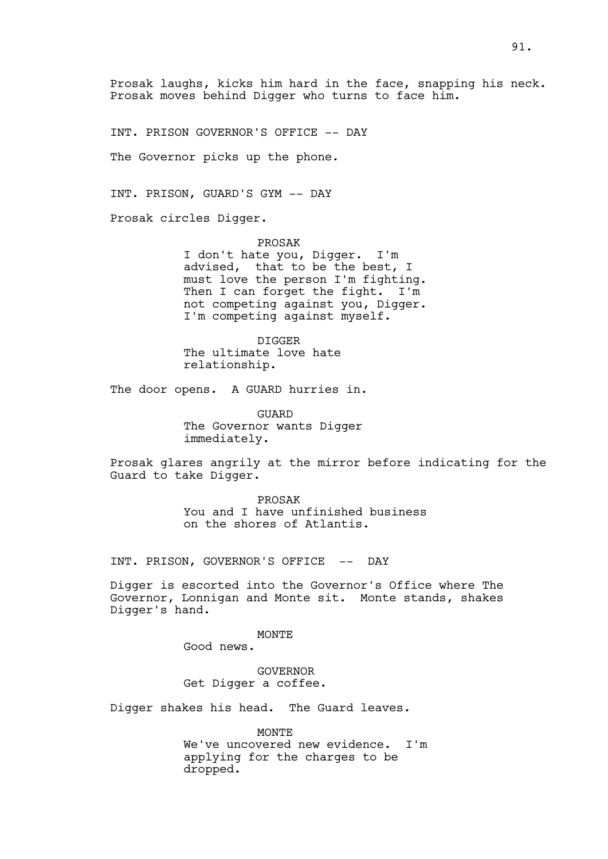Prosak laughs, kicks him hard in the face, snapping his neck. Prosak moves behind Digger who turns to face him.

INT. PRISON GOVERNOR'S OFFICE -- DAY

The Governor picks up the phone.

INT. PRISON, GUARD'S GYM -- DAY

Prosak circles Digger.

PROSAK I don't hate you, Digger. I'm advised, that to be the best, I must love the person I'm fighting. Then I can forget the fight. I'm not competing against you, Digger. I'm competing against myself.

DIGGER The ultimate love hate relationship.

The door opens. A GUARD hurries in.

GUARD The Governor wants Digger immediately.

Prosak glares angrily at the mirror before indicating for the Guard to take Digger.

> PROSAK You and I have unfinished business on the shores of Atlantis.

INT. PRISON, GOVERNOR'S OFFICE -- DAY

Digger is escorted into the Governor's Office where The Governor, Lonnigan and Monte sit. Monte stands, shakes Digger's hand.

MONTE

Good news.

GOVERNOR Get Digger a coffee.

Digger shakes his head. The Guard leaves.

MONTE We've uncovered new evidence. I'm applying for the charges to be dropped.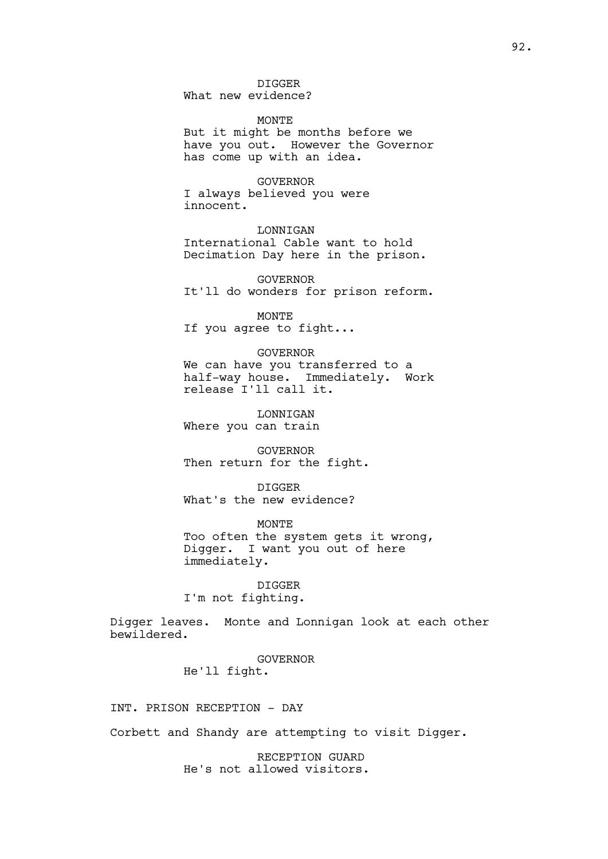DIGGER

What new evidence?

**MONTE** But it might be months before we have you out. However the Governor has come up with an idea.

GOVERNOR I always believed you were innocent.

LONNIGAN International Cable want to hold Decimation Day here in the prison.

GOVERNOR It'll do wonders for prison reform.

MONTE If you agree to fight...

GOVERNOR We can have you transferred to a half-way house. Immediately. Work release I'll call it.

LONNIGAN Where you can train

GOVERNOR Then return for the fight.

DIGGER What's the new evidence?

MONTE Too often the system gets it wrong, Digger. I want you out of here immediately.

DIGGER I'm not fighting.

Digger leaves. Monte and Lonnigan look at each other bewildered.

> GOVERNOR He'll fight.

INT. PRISON RECEPTION - DAY

Corbett and Shandy are attempting to visit Digger.

RECEPTION GUARD He's not allowed visitors.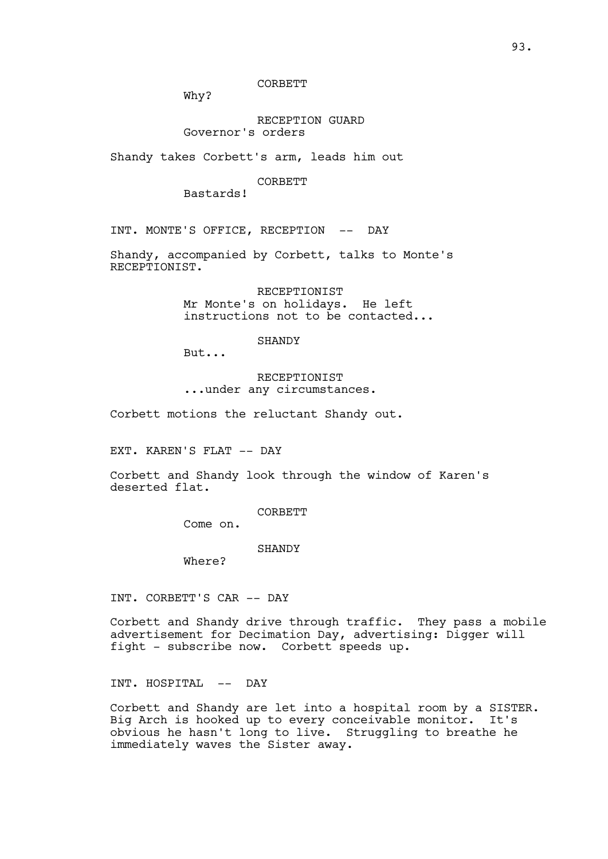CORBETT

Why?

# RECEPTION GUARD Governor's orders

Shandy takes Corbett's arm, leads him out

## CORBETT

Bastards!

INT. MONTE'S OFFICE, RECEPTION -- DAY

Shandy, accompanied by Corbett, talks to Monte's RECEPTIONIST.

> RECEPTIONIST Mr Monte's on holidays. He left instructions not to be contacted...

> > SHANDY

But...

## RECEPTIONIST ...under any circumstances.

Corbett motions the reluctant Shandy out.

EXT. KAREN'S FLAT -- DAY

Corbett and Shandy look through the window of Karen's deserted flat.

CORBETT

Come on.

SHANDY

Where?

INT. CORBETT'S CAR -- DAY

Corbett and Shandy drive through traffic. They pass a mobile advertisement for Decimation Day, advertising: Digger will fight - subscribe now. Corbett speeds up.

INT. HOSPITAL -- DAY

Corbett and Shandy are let into a hospital room by a SISTER. Big Arch is hooked up to every conceivable monitor. It's obvious he hasn't long to live. Struggling to breathe he immediately waves the Sister away.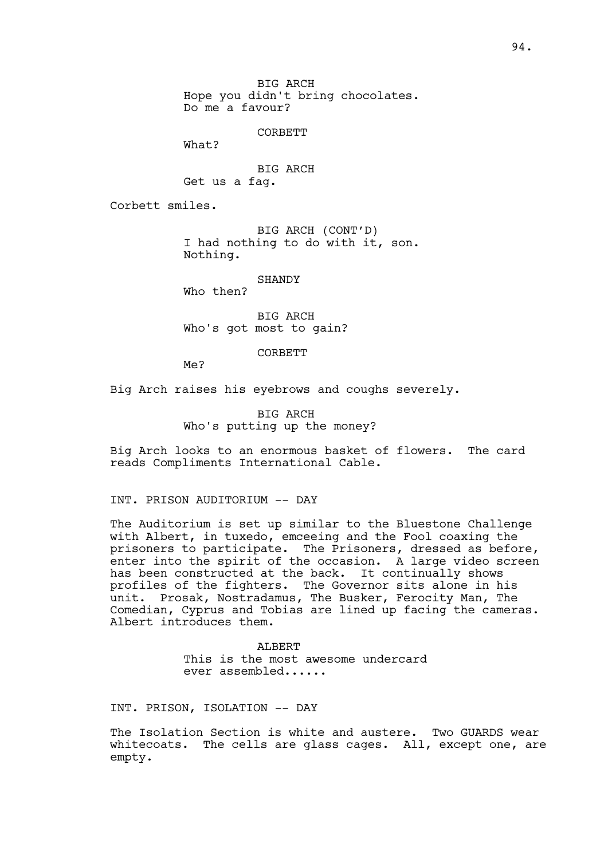BIG ARCH Hope you didn't bring chocolates. Do me a favour?

**CORBETT** 

What?

BIG ARCH Get us a fag.

Corbett smiles.

BIG ARCH (CONT'D) I had nothing to do with it, son. Nothing.

SHANDY

Who then?

BIG ARCH Who's got most to gain?

CORBETT

Me?

Big Arch raises his eyebrows and coughs severely.

BIG ARCH Who's putting up the money?

Big Arch looks to an enormous basket of flowers. The card reads Compliments International Cable.

INT. PRISON AUDITORIUM -- DAY

The Auditorium is set up similar to the Bluestone Challenge with Albert, in tuxedo, emceeing and the Fool coaxing the prisoners to participate. The Prisoners, dressed as before, enter into the spirit of the occasion. A large video screen has been constructed at the back. It continually shows profiles of the fighters. The Governor sits alone in his unit. Prosak, Nostradamus, The Busker, Ferocity Man, The Comedian, Cyprus and Tobias are lined up facing the cameras. Albert introduces them.

> ALBERT This is the most awesome undercard ever assembled......

INT. PRISON, ISOLATION -- DAY

The Isolation Section is white and austere. Two GUARDS wear whitecoats. The cells are glass cages. All, except one, are empty.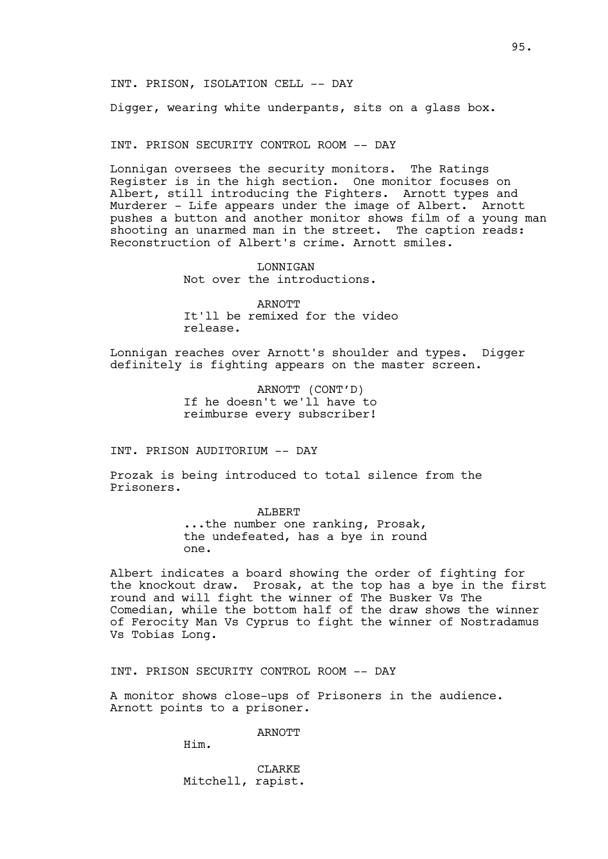Digger, wearing white underpants, sits on a glass box.

INT. PRISON SECURITY CONTROL ROOM -- DAY

Lonnigan oversees the security monitors. The Ratings Register is in the high section. One monitor focuses on Albert, still introducing the Fighters. Arnott types and Murderer - Life appears under the image of Albert. Arnott pushes a button and another monitor shows film of a young man shooting an unarmed man in the street. The caption reads: Reconstruction of Albert's crime. Arnott smiles.

> LONNIGAN Not over the introductions.

ARNOTT It'll be remixed for the video release.

Lonnigan reaches over Arnott's shoulder and types. Digger definitely is fighting appears on the master screen.

> ARNOTT (CONT'D) If he doesn't we'll have to reimburse every subscriber!

INT. PRISON AUDITORIUM -- DAY

Prozak is being introduced to total silence from the Prisoners.

> ALBERT ...the number one ranking, Prosak, the undefeated, has a bye in round one.

Albert indicates a board showing the order of fighting for the knockout draw. Prosak, at the top has a bye in the first round and will fight the winner of The Busker Vs The Comedian, while the bottom half of the draw shows the winner of Ferocity Man Vs Cyprus to fight the winner of Nostradamus Vs Tobias Long.

INT. PRISON SECURITY CONTROL ROOM -- DAY

A monitor shows close-ups of Prisoners in the audience. Arnott points to a prisoner.

**ARNOTT** 

Him.

**CLARKE** Mitchell, rapist.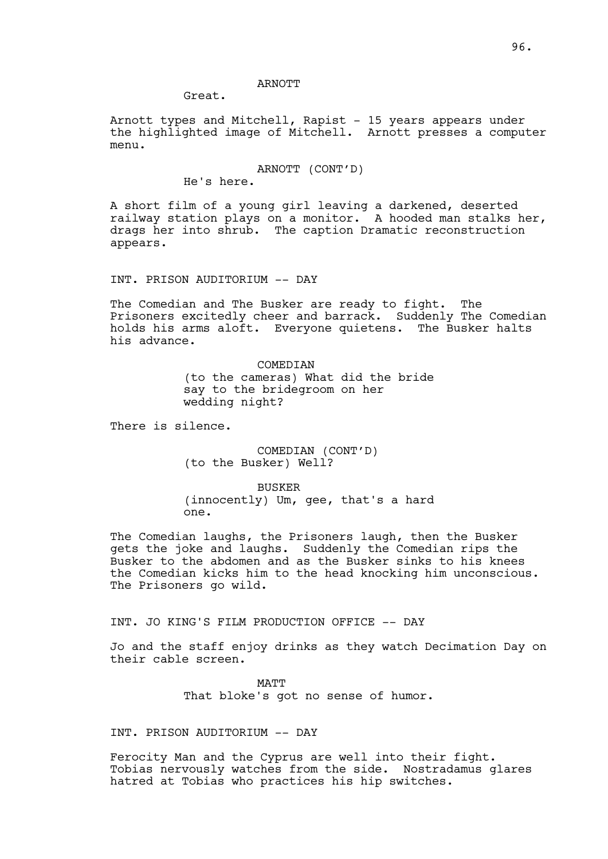## ARNOTT

Great.

Arnott types and Mitchell, Rapist - 15 years appears under the highlighted image of Mitchell. Arnott presses a computer menu.

#### ARNOTT (CONT'D)

He's here.

A short film of a young girl leaving a darkened, deserted railway station plays on a monitor. A hooded man stalks her, drags her into shrub. The caption Dramatic reconstruction appears.

INT. PRISON AUDITORIUM -- DAY

The Comedian and The Busker are ready to fight. The Prisoners excitedly cheer and barrack. Suddenly The Comedian holds his arms aloft. Everyone quietens. The Busker halts his advance.

> COMEDIAN (to the cameras) What did the bride say to the bridegroom on her wedding night?

There is silence.

COMEDIAN (CONT'D) (to the Busker) Well?

BUSKER (innocently) Um, gee, that's a hard one.

The Comedian laughs, the Prisoners laugh, then the Busker gets the joke and laughs. Suddenly the Comedian rips the Busker to the abdomen and as the Busker sinks to his knees the Comedian kicks him to the head knocking him unconscious. The Prisoners go wild.

INT. JO KING'S FILM PRODUCTION OFFICE -- DAY

Jo and the staff enjoy drinks as they watch Decimation Day on their cable screen.

> **MATT** That bloke's got no sense of humor.

## INT. PRISON AUDITORIUM -- DAY

Ferocity Man and the Cyprus are well into their fight. Tobias nervously watches from the side. Nostradamus glares hatred at Tobias who practices his hip switches.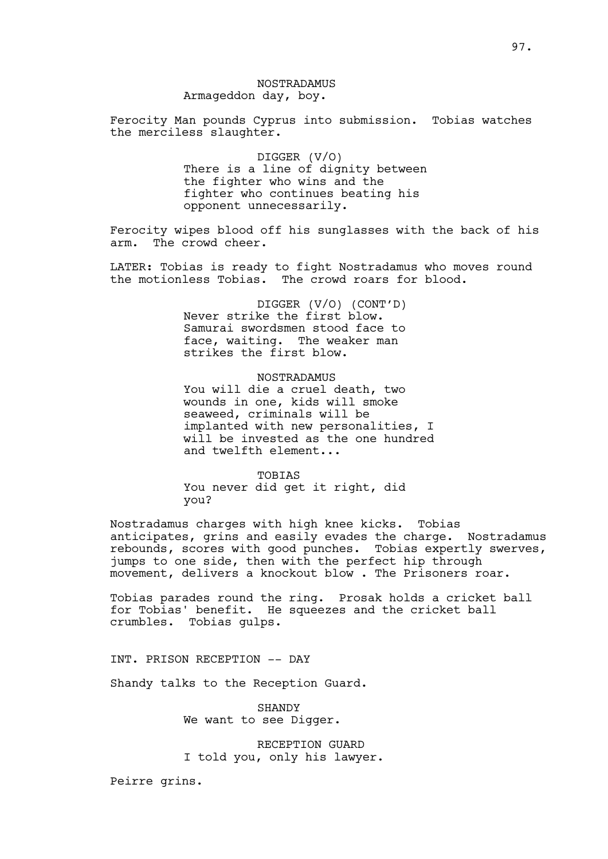# NOSTRADAMUS Armageddon day, boy.

Ferocity Man pounds Cyprus into submission. Tobias watches the merciless slaughter.

> DIGGER (V/O) There is a line of dignity between the fighter who wins and the fighter who continues beating his opponent unnecessarily.

Ferocity wipes blood off his sunglasses with the back of his arm. The crowd cheer.

LATER: Tobias is ready to fight Nostradamus who moves round the motionless Tobias. The crowd roars for blood.

> DIGGER (V/O) (CONT'D) Never strike the first blow. Samurai swordsmen stood face to face, waiting. The weaker man strikes the first blow.

## NOSTRADAMUS

You will die a cruel death, two wounds in one, kids will smoke seaweed, criminals will be implanted with new personalities, I will be invested as the one hundred and twelfth element...

TOBIAS You never did get it right, did you?

Nostradamus charges with high knee kicks. Tobias anticipates, grins and easily evades the charge. Nostradamus rebounds, scores with good punches. Tobias expertly swerves, jumps to one side, then with the perfect hip through movement, delivers a knockout blow . The Prisoners roar.

Tobias parades round the ring. Prosak holds a cricket ball for Tobias' benefit. He squeezes and the cricket ball crumbles. Tobias gulps.

INT. PRISON RECEPTION -- DAY

Shandy talks to the Reception Guard.

SHANDY We want to see Digger.

RECEPTION GUARD I told you, only his lawyer.

Peirre grins.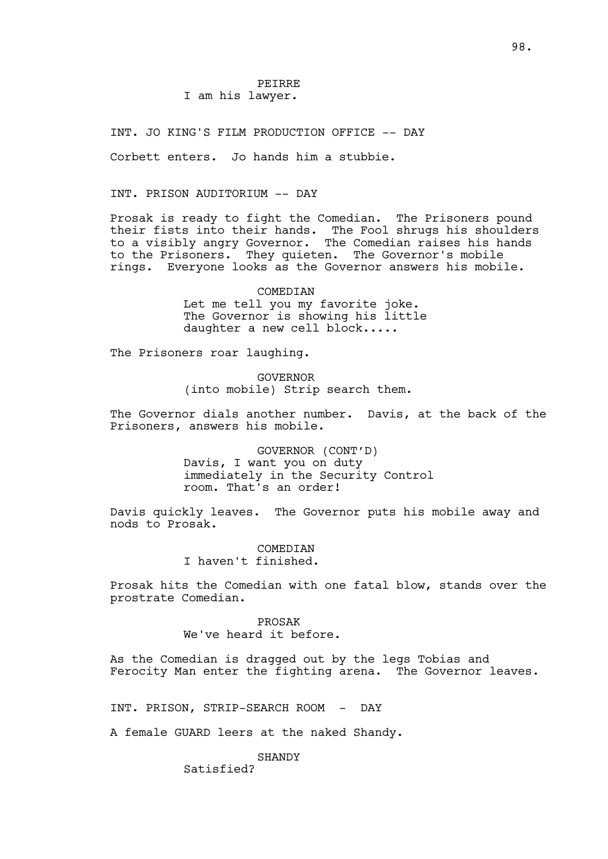## PEIRRE I am his lawyer.

INT. JO KING'S FILM PRODUCTION OFFICE -- DAY

Corbett enters. Jo hands him a stubbie.

INT. PRISON AUDITORIUM -- DAY

Prosak is ready to fight the Comedian. The Prisoners pound their fists into their hands. The Fool shrugs his shoulders to a visibly angry Governor. The Comedian raises his hands to the Prisoners. They quieten. The Governor's mobile rings. Everyone looks as the Governor answers his mobile.

> COMEDIAN Let me tell you my favorite joke. The Governor is showing his little daughter a new cell block.....

The Prisoners roar laughing.

GOVERNOR (into mobile) Strip search them.

The Governor dials another number. Davis, at the back of the Prisoners, answers his mobile.

> GOVERNOR (CONT'D) Davis, I want you on duty immediately in the Security Control room. That's an order!

Davis quickly leaves. The Governor puts his mobile away and nods to Prosak.

> COMEDIAN I haven't finished.

Prosak hits the Comedian with one fatal blow, stands over the prostrate Comedian.

> PROSAK We've heard it before.

As the Comedian is dragged out by the legs Tobias and Ferocity Man enter the fighting arena. The Governor leaves.

INT. PRISON, STRIP-SEARCH ROOM - DAY

A female GUARD leers at the naked Shandy.

**SHANDY** 

Satisfied?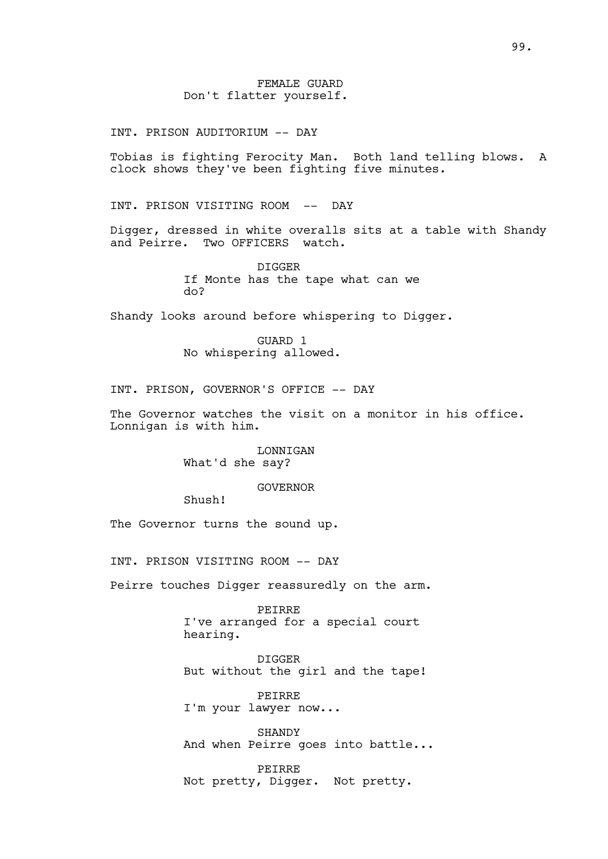INT. PRISON AUDITORIUM -- DAY

Tobias is fighting Ferocity Man. Both land telling blows. A clock shows they've been fighting five minutes.

INT. PRISON VISITING ROOM -- DAY

Digger, dressed in white overalls sits at a table with Shandy and Peirre. Two OFFICERS watch.

> DIGGER If Monte has the tape what can we do?

Shandy looks around before whispering to Digger.

GUARD 1 No whispering allowed.

INT. PRISON, GOVERNOR'S OFFICE -- DAY

The Governor watches the visit on a monitor in his office. Lonnigan is with him.

> LONNIGAN What'd she say?

## GOVERNOR

Shush!

The Governor turns the sound up.

INT. PRISON VISITING ROOM -- DAY

Peirre touches Digger reassuredly on the arm.

PEIRRE I've arranged for a special court hearing.

DIGGER But without the girl and the tape!

PEIRRE I'm your lawyer now...

**SHANDY** And when Peirre goes into battle...

PEIRRE Not pretty, Digger. Not pretty.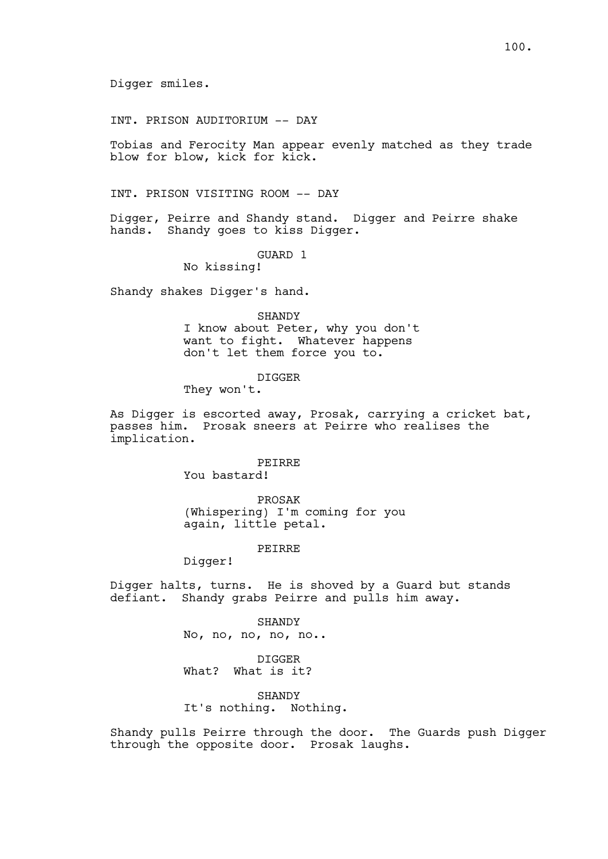Digger smiles.

INT. PRISON AUDITORIUM -- DAY

Tobias and Ferocity Man appear evenly matched as they trade blow for blow, kick for kick.

INT. PRISON VISITING ROOM -- DAY

Digger, Peirre and Shandy stand. Digger and Peirre shake hands. Shandy goes to kiss Digger.

GUARD 1

No kissing!

Shandy shakes Digger's hand.

SHANDY I know about Peter, why you don't want to fight. Whatever happens don't let them force you to.

DIGGER

They won't.

As Digger is escorted away, Prosak, carrying a cricket bat, passes him. Prosak sneers at Peirre who realises the implication.

PEIRRE

You bastard!

PROSAK (Whispering) I'm coming for you again, little petal.

PEIRRE

Digger!

Digger halts, turns. He is shoved by a Guard but stands defiant. Shandy grabs Peirre and pulls him away.

> SHANDY No, no, no, no, no..

DIGGER What? What is it?

SHANDY It's nothing. Nothing.

Shandy pulls Peirre through the door. The Guards push Digger through the opposite door. Prosak laughs.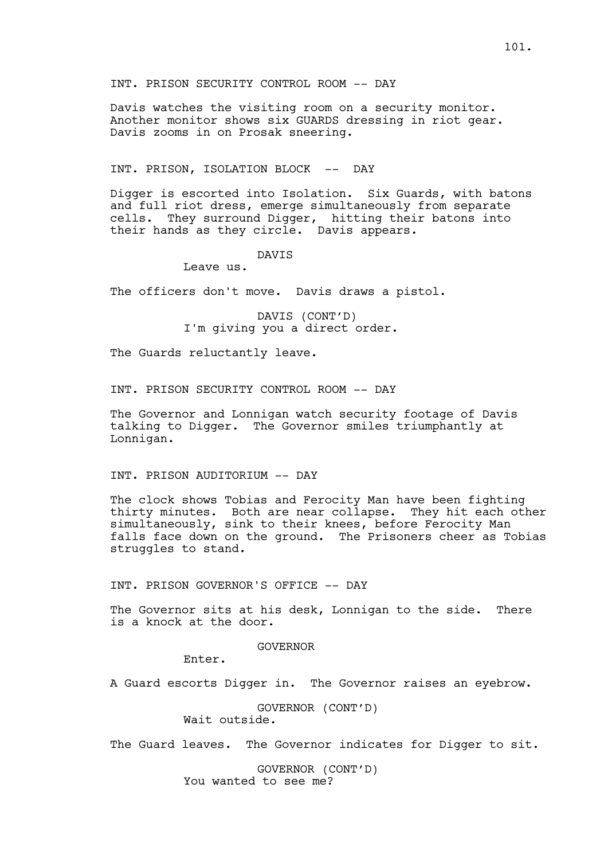INT. PRISON SECURITY CONTROL ROOM -- DAY

Davis watches the visiting room on a security monitor. Another monitor shows six GUARDS dressing in riot gear. Davis zooms in on Prosak sneering.

#### INT. PRISON, ISOLATION BLOCK -- DAY

Digger is escorted into Isolation. Six Guards, with batons and full riot dress, emerge simultaneously from separate cells. They surround Digger, hitting their batons into their hands as they circle. Davis appears.

## DAVIS

Leave us.

The officers don't move. Davis draws a pistol.

DAVIS (CONT'D) I'm giving you a direct order.

The Guards reluctantly leave.

INT. PRISON SECURITY CONTROL ROOM -- DAY

The Governor and Lonnigan watch security footage of Davis talking to Digger. The Governor smiles triumphantly at Lonnigan.

## INT. PRISON AUDITORIUM -- DAY

The clock shows Tobias and Ferocity Man have been fighting thirty minutes. Both are near collapse. They hit each other simultaneously, sink to their knees, before Ferocity Man falls face down on the ground. The Prisoners cheer as Tobias struggles to stand.

INT. PRISON GOVERNOR'S OFFICE -- DAY

The Governor sits at his desk, Lonnigan to the side. There is a knock at the door.

GOVERNOR

Enter.

A Guard escorts Digger in. The Governor raises an eyebrow.

GOVERNOR (CONT'D) Wait outside.

The Guard leaves. The Governor indicates for Digger to sit.

GOVERNOR (CONT'D) You wanted to see me?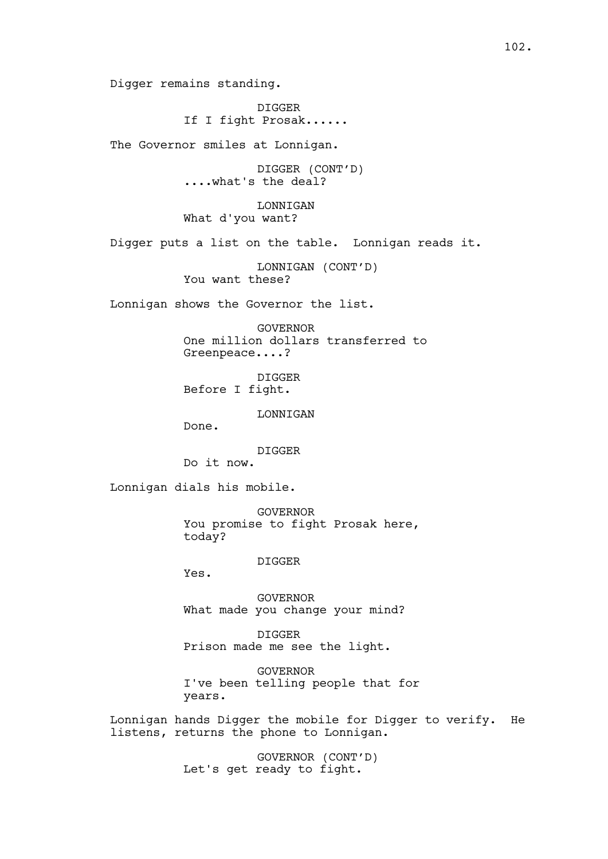Digger remains standing.

DIGGER If I fight Prosak......

The Governor smiles at Lonnigan.

DIGGER (CONT'D) ....what's the deal?

LONNIGAN What d'you want?

Digger puts a list on the table. Lonnigan reads it.

LONNIGAN (CONT'D) You want these?

Lonnigan shows the Governor the list.

GOVERNOR One million dollars transferred to Greenpeace....?

DIGGER Before I fight.

LONNIGAN

Done.

DIGGER

Do it now.

Lonnigan dials his mobile.

GOVERNOR You promise to fight Prosak here, today?

DIGGER

Yes.

GOVERNOR What made you change your mind?

DIGGER Prison made me see the light.

GOVERNOR I've been telling people that for years.

Lonnigan hands Digger the mobile for Digger to verify. He listens, returns the phone to Lonnigan.

> GOVERNOR (CONT'D) Let's get ready to fight.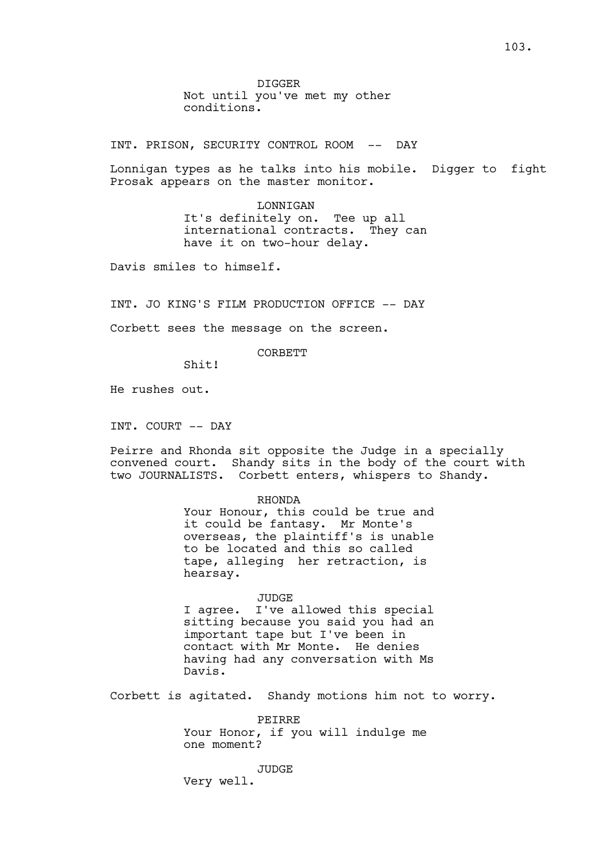DIGGER Not until you've met my other conditions.

INT. PRISON, SECURITY CONTROL ROOM -- DAY

Lonnigan types as he talks into his mobile. Digger to fight Prosak appears on the master monitor.

> LONNIGAN It's definitely on. Tee up all international contracts. They can have it on two-hour delay.

Davis smiles to himself.

INT. JO KING'S FILM PRODUCTION OFFICE -- DAY

Corbett sees the message on the screen.

CORBETT

Shit!

He rushes out.

INT. COURT -- DAY

Peirre and Rhonda sit opposite the Judge in a specially convened court. Shandy sits in the body of the court with two JOURNALISTS. Corbett enters, whispers to Shandy.

#### RHONDA

Your Honour, this could be true and it could be fantasy. Mr Monte's overseas, the plaintiff's is unable to be located and this so called tape, alleging her retraction, is hearsay.

#### JUDGE

I agree. I've allowed this special sitting because you said you had an important tape but I've been in contact with Mr Monte. He denies having had any conversation with Ms Davis.

Corbett is agitated. Shandy motions him not to worry.

PEIRRE Your Honor, if you will indulge me one moment?

JUDGE

Very well.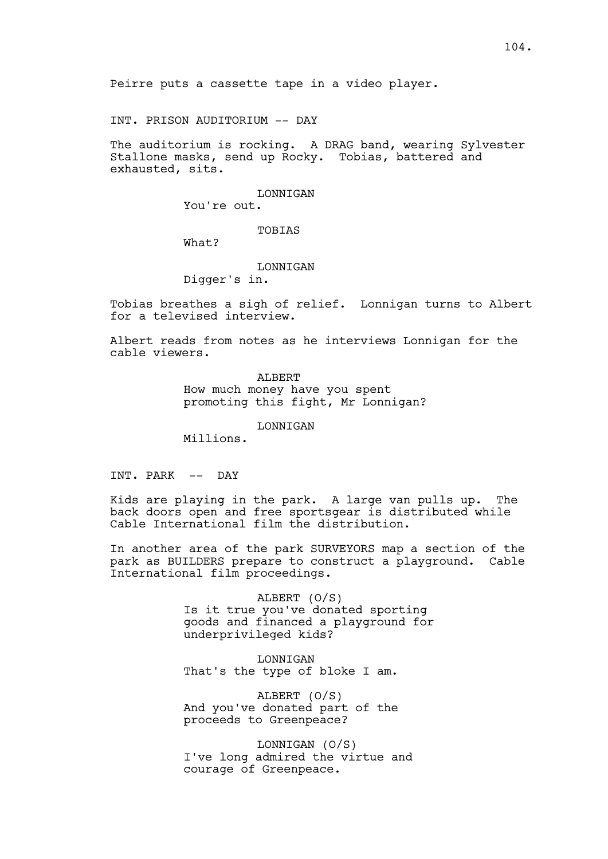Peirre puts a cassette tape in a video player.

INT. PRISON AUDITORIUM -- DAY

The auditorium is rocking. A DRAG band, wearing Sylvester Stallone masks, send up Rocky. Tobias, battered and exhausted, sits.

LONNIGAN

You're out.

TOBIAS

What?

#### LONNIGAN

Digger's in.

Tobias breathes a sigh of relief. Lonnigan turns to Albert for a televised interview.

Albert reads from notes as he interviews Lonnigan for the cable viewers.

> ALBERT How much money have you spent promoting this fight, Mr Lonnigan?

> > LONNIGAN

Millions.

INT. PARK -- DAY

Kids are playing in the park. A large van pulls up. The back doors open and free sportsgear is distributed while Cable International film the distribution.

In another area of the park SURVEYORS map a section of the park as BUILDERS prepare to construct a playground. Cable International film proceedings.

> ALBERT (O/S) Is it true you've donated sporting goods and financed a playground for underprivileged kids?

LONNIGAN That's the type of bloke I am.

ALBERT (O/S) And you've donated part of the proceeds to Greenpeace?

LONNIGAN (O/S) I've long admired the virtue and courage of Greenpeace.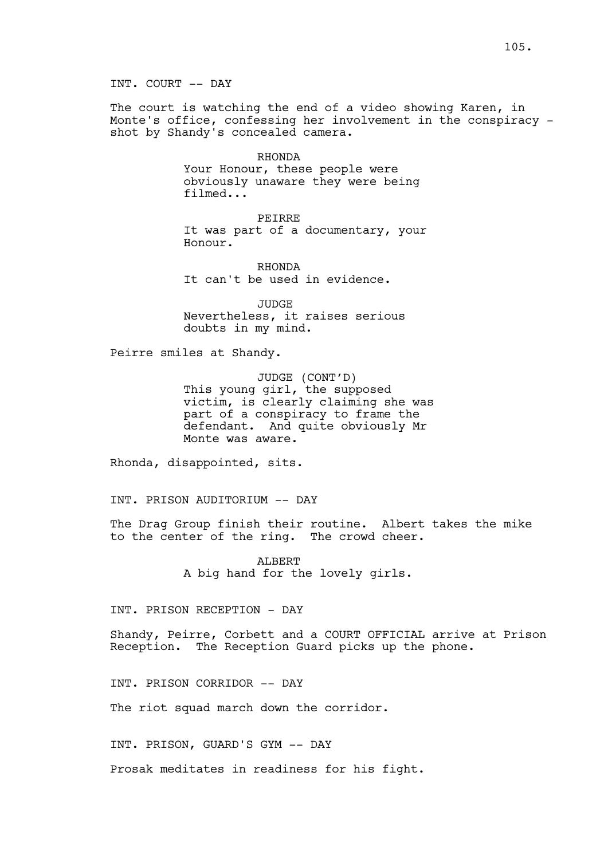INT. COURT -- DAY

The court is watching the end of a video showing Karen, in Monte's office, confessing her involvement in the conspiracy shot by Shandy's concealed camera.

> RHONDA Your Honour, these people were obviously unaware they were being filmed...

PEIRRE It was part of a documentary, your Honour.

RHONDA It can't be used in evidence.

JUDGE Nevertheless, it raises serious doubts in my mind.

Peirre smiles at Shandy.

JUDGE (CONT'D) This young girl, the supposed victim, is clearly claiming she was part of a conspiracy to frame the defendant. And quite obviously Mr Monte was aware.

Rhonda, disappointed, sits.

INT. PRISON AUDITORIUM -- DAY

The Drag Group finish their routine. Albert takes the mike to the center of the ring. The crowd cheer.

> ALBERT A big hand for the lovely girls.

INT. PRISON RECEPTION - DAY

Shandy, Peirre, Corbett and a COURT OFFICIAL arrive at Prison Reception. The Reception Guard picks up the phone.

INT. PRISON CORRIDOR -- DAY

The riot squad march down the corridor.

INT. PRISON, GUARD'S GYM -- DAY

Prosak meditates in readiness for his fight.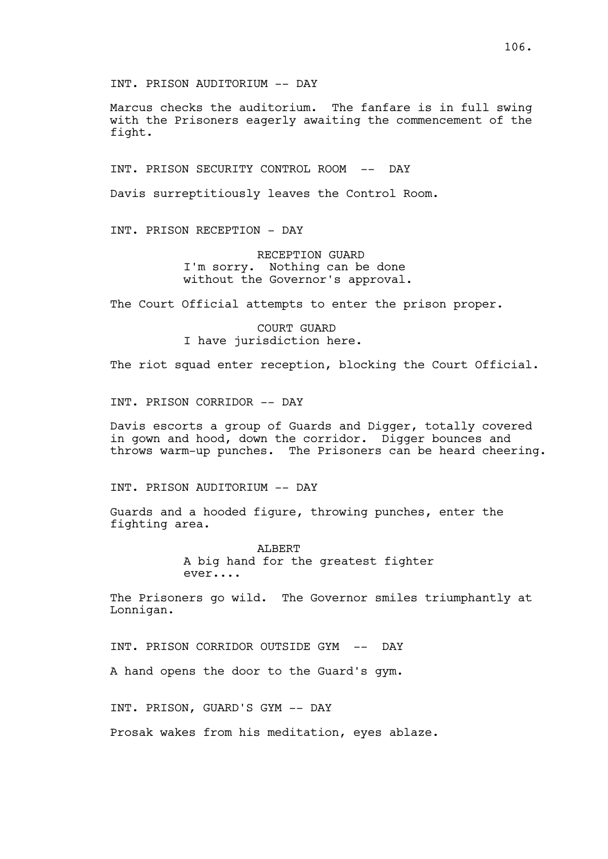INT. PRISON AUDITORIUM -- DAY

Marcus checks the auditorium. The fanfare is in full swing with the Prisoners eagerly awaiting the commencement of the fight.

INT. PRISON SECURITY CONTROL ROOM -- DAY

Davis surreptitiously leaves the Control Room.

INT. PRISON RECEPTION - DAY

RECEPTION GUARD I'm sorry. Nothing can be done without the Governor's approval.

The Court Official attempts to enter the prison proper.

COURT GUARD I have jurisdiction here.

The riot squad enter reception, blocking the Court Official.

INT. PRISON CORRIDOR -- DAY

Davis escorts a group of Guards and Digger, totally covered in gown and hood, down the corridor. Digger bounces and throws warm-up punches. The Prisoners can be heard cheering.

INT. PRISON AUDITORIUM -- DAY

Guards and a hooded figure, throwing punches, enter the fighting area.

> ALBERT A big hand for the greatest fighter ever....

The Prisoners go wild. The Governor smiles triumphantly at Lonnigan.

INT. PRISON CORRIDOR OUTSIDE GYM -- DAY

A hand opens the door to the Guard's gym.

INT. PRISON, GUARD'S GYM -- DAY

Prosak wakes from his meditation, eyes ablaze.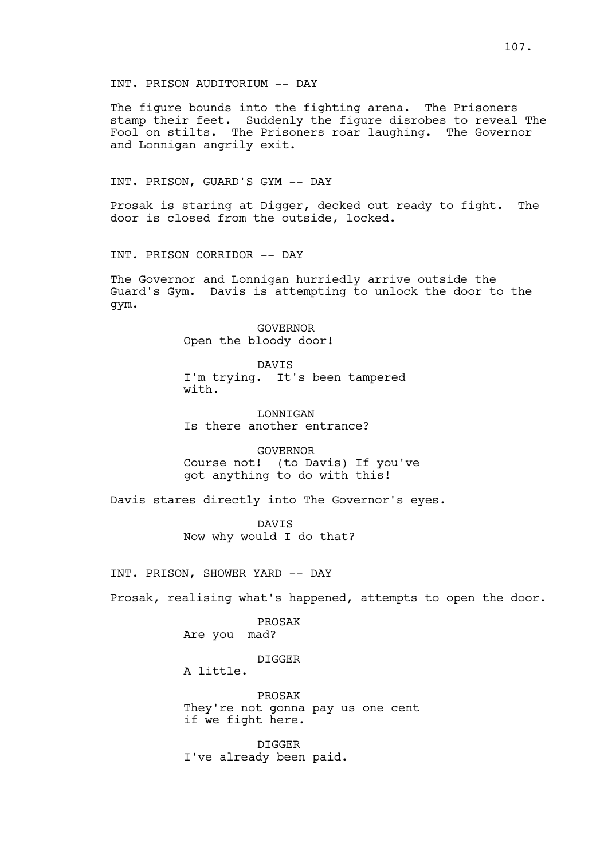INT. PRISON AUDITORIUM -- DAY

The figure bounds into the fighting arena. The Prisoners stamp their feet. Suddenly the figure disrobes to reveal The Fool on stilts. The Prisoners roar laughing. The Governor and Lonnigan angrily exit.

INT. PRISON, GUARD'S GYM -- DAY

Prosak is staring at Digger, decked out ready to fight. The door is closed from the outside, locked.

INT. PRISON CORRIDOR -- DAY

The Governor and Lonnigan hurriedly arrive outside the Guard's Gym. Davis is attempting to unlock the door to the gym.

> GOVERNOR Open the bloody door!

DAVIS I'm trying. It's been tampered with.

LONNIGAN Is there another entrance?

GOVERNOR Course not! (to Davis) If you've got anything to do with this!

Davis stares directly into The Governor's eyes.

DAVIS Now why would I do that?

INT. PRISON, SHOWER YARD -- DAY

Prosak, realising what's happened, attempts to open the door.

PROSAK Are you mad?

DIGGER

A little.

PROSAK They're not gonna pay us one cent if we fight here.

DIGGER I've already been paid.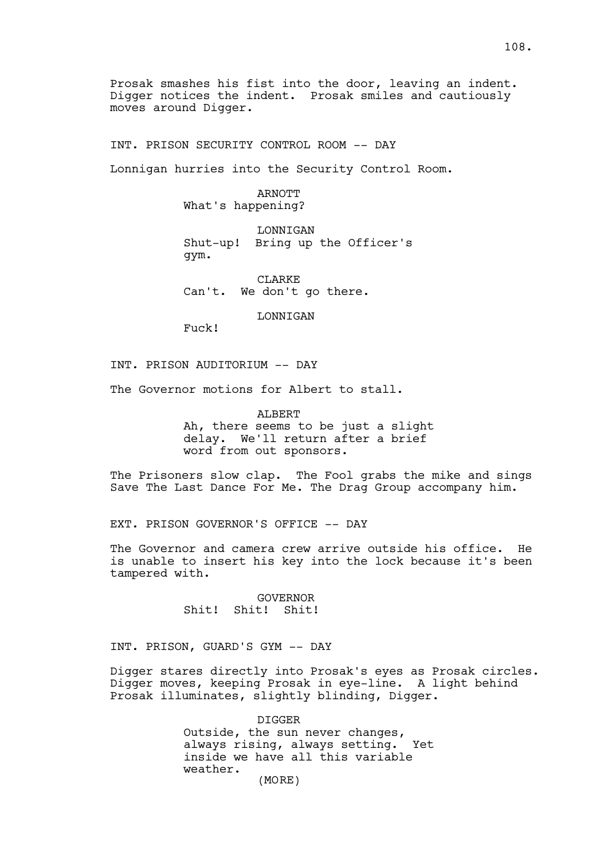Prosak smashes his fist into the door, leaving an indent. Digger notices the indent. Prosak smiles and cautiously moves around Digger.

INT. PRISON SECURITY CONTROL ROOM -- DAY

Lonnigan hurries into the Security Control Room.

ARNOTT What's happening?

LONNIGAN Shut-up! Bring up the Officer's gym.

CLARKE Can't. We don't go there.

LONNIGAN

Fuck!

INT. PRISON AUDITORIUM -- DAY

The Governor motions for Albert to stall.

ALBERT Ah, there seems to be just a slight delay. We'll return after a brief word from out sponsors.

The Prisoners slow clap. The Fool grabs the mike and sings Save The Last Dance For Me. The Drag Group accompany him.

EXT. PRISON GOVERNOR'S OFFICE -- DAY

The Governor and camera crew arrive outside his office. He is unable to insert his key into the lock because it's been tampered with.

> GOVERNOR Shit! Shit! Shit!

INT. PRISON, GUARD'S GYM -- DAY

Digger stares directly into Prosak's eyes as Prosak circles. Digger moves, keeping Prosak in eye-line. A light behind Prosak illuminates, slightly blinding, Digger.

> DIGGER Outside, the sun never changes,<br>always rising, always setting, Yet always rising, always setting. inside we have all this variable weather. (MORE)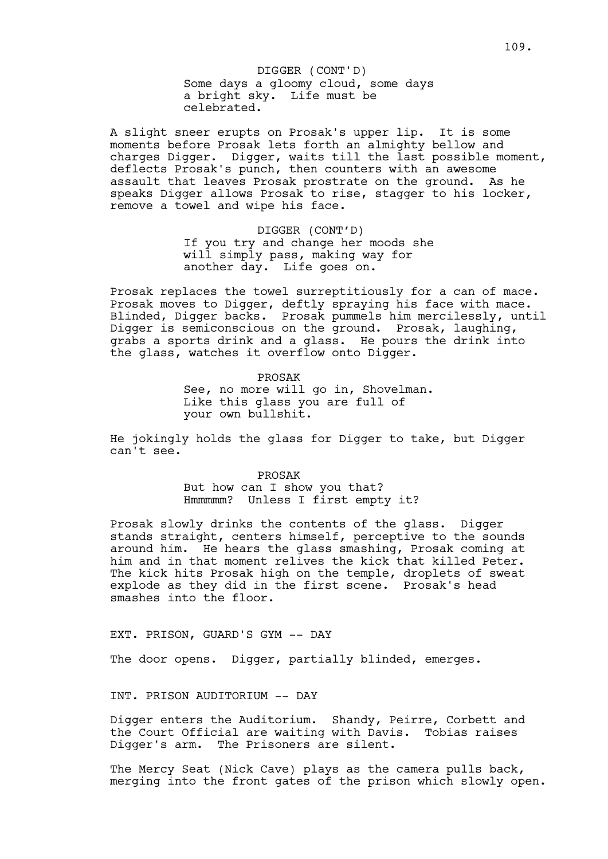A slight sneer erupts on Prosak's upper lip. It is some moments before Prosak lets forth an almighty bellow and charges Digger. Digger, waits till the last possible moment, deflects Prosak's punch, then counters with an awesome assault that leaves Prosak prostrate on the ground. As he speaks Digger allows Prosak to rise, stagger to his locker, remove a towel and wipe his face.

> DIGGER (CONT'D) If you try and change her moods she will simply pass, making way for another day. Life goes on.

Prosak replaces the towel surreptitiously for a can of mace. Prosak moves to Digger, deftly spraying his face with mace. Blinded, Digger backs. Prosak pummels him mercilessly, until Digger is semiconscious on the ground. Prosak, laughing, grabs a sports drink and a glass. He pours the drink into the glass, watches it overflow onto Digger.

> PROSAK See, no more will go in, Shovelman. Like this glass you are full of your own bullshit.

He jokingly holds the glass for Digger to take, but Digger can't see.

> PROSAK But how can I show you that? Hmmmmm? Unless I first empty it?

Prosak slowly drinks the contents of the glass. Digger stands straight, centers himself, perceptive to the sounds around him. He hears the glass smashing, Prosak coming at him and in that moment relives the kick that killed Peter. The kick hits Prosak high on the temple, droplets of sweat explode as they did in the first scene. Prosak's head smashes into the floor.

EXT. PRISON, GUARD'S GYM -- DAY

The door opens. Digger, partially blinded, emerges.

INT. PRISON AUDITORIUM -- DAY

Digger enters the Auditorium. Shandy, Peirre, Corbett and the Court Official are waiting with Davis. Tobias raises Digger's arm. The Prisoners are silent.

The Mercy Seat (Nick Cave) plays as the camera pulls back, merging into the front gates of the prison which slowly open.